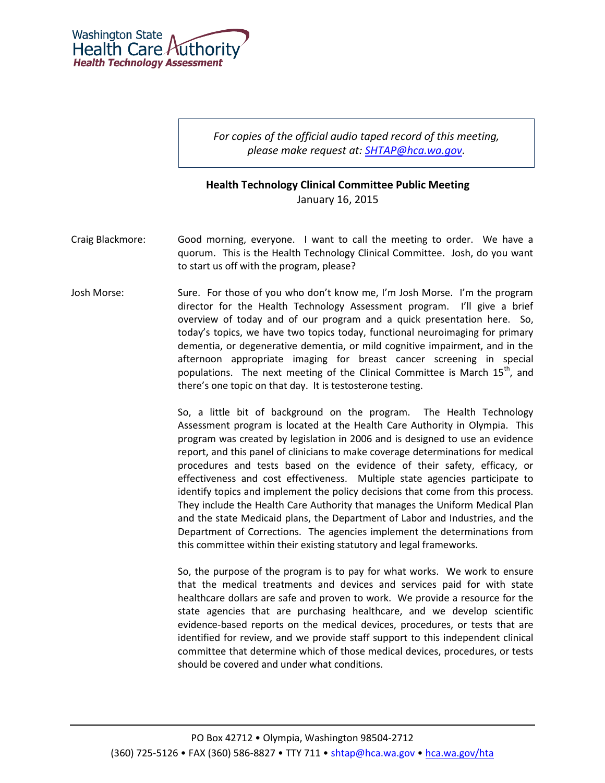

*For copies of the official audio taped record of this meeting, please make request at: [SHTAP@hca.wa.gov.](mailto:SHTAP@hca.wa.gov)*

## **Health Technology Clinical Committee Public Meeting** January 16, 2015

- Craig Blackmore: Good morning, everyone. I want to call the meeting to order. We have a quorum. This is the Health Technology Clinical Committee. Josh, do you want to start us off with the program, please?
- Josh Morse: Sure. For those of you who don't know me, I'm Josh Morse. I'm the program director for the Health Technology Assessment program. I'll give a brief overview of today and of our program and a quick presentation here. So, today's topics, we have two topics today, functional neuroimaging for primary dementia, or degenerative dementia, or mild cognitive impairment, and in the afternoon appropriate imaging for breast cancer screening in special populations. The next meeting of the Clinical Committee is March  $15<sup>th</sup>$ , and there's one topic on that day. It is testosterone testing.

So, a little bit of background on the program. The Health Technology Assessment program is located at the Health Care Authority in Olympia. This program was created by legislation in 2006 and is designed to use an evidence report, and this panel of clinicians to make coverage determinations for medical procedures and tests based on the evidence of their safety, efficacy, or effectiveness and cost effectiveness. Multiple state agencies participate to identify topics and implement the policy decisions that come from this process. They include the Health Care Authority that manages the Uniform Medical Plan and the state Medicaid plans, the Department of Labor and Industries, and the Department of Corrections. The agencies implement the determinations from this committee within their existing statutory and legal frameworks.

So, the purpose of the program is to pay for what works. We work to ensure that the medical treatments and devices and services paid for with state healthcare dollars are safe and proven to work. We provide a resource for the state agencies that are purchasing healthcare, and we develop scientific evidence-based reports on the medical devices, procedures, or tests that are identified for review, and we provide staff support to this independent clinical committee that determine which of those medical devices, procedures, or tests should be covered and under what conditions.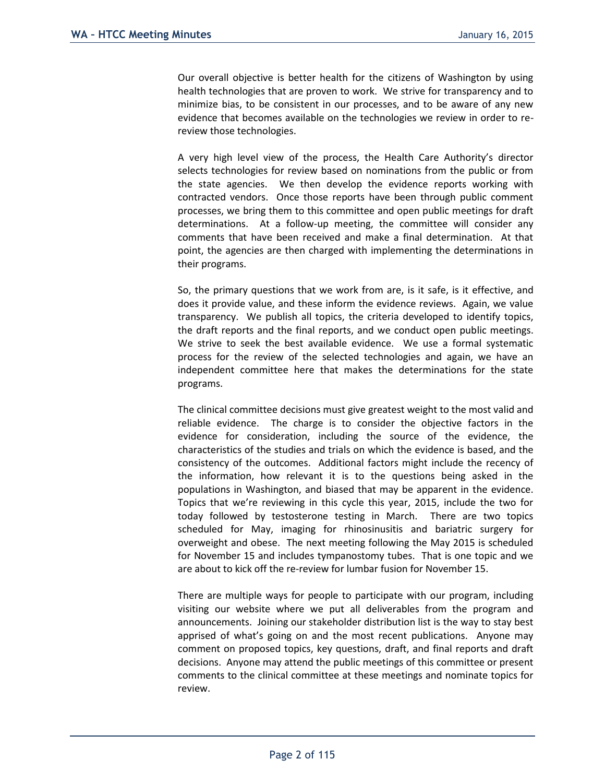Our overall objective is better health for the citizens of Washington by using health technologies that are proven to work. We strive for transparency and to minimize bias, to be consistent in our processes, and to be aware of any new evidence that becomes available on the technologies we review in order to rereview those technologies.

A very high level view of the process, the Health Care Authority's director selects technologies for review based on nominations from the public or from the state agencies. We then develop the evidence reports working with contracted vendors. Once those reports have been through public comment processes, we bring them to this committee and open public meetings for draft determinations. At a follow-up meeting, the committee will consider any comments that have been received and make a final determination. At that point, the agencies are then charged with implementing the determinations in their programs.

So, the primary questions that we work from are, is it safe, is it effective, and does it provide value, and these inform the evidence reviews. Again, we value transparency. We publish all topics, the criteria developed to identify topics, the draft reports and the final reports, and we conduct open public meetings. We strive to seek the best available evidence. We use a formal systematic process for the review of the selected technologies and again, we have an independent committee here that makes the determinations for the state programs.

The clinical committee decisions must give greatest weight to the most valid and reliable evidence. The charge is to consider the objective factors in the evidence for consideration, including the source of the evidence, the characteristics of the studies and trials on which the evidence is based, and the consistency of the outcomes. Additional factors might include the recency of the information, how relevant it is to the questions being asked in the populations in Washington, and biased that may be apparent in the evidence. Topics that we're reviewing in this cycle this year, 2015, include the two for today followed by testosterone testing in March. There are two topics scheduled for May, imaging for rhinosinusitis and bariatric surgery for overweight and obese. The next meeting following the May 2015 is scheduled for November 15 and includes tympanostomy tubes. That is one topic and we are about to kick off the re-review for lumbar fusion for November 15.

There are multiple ways for people to participate with our program, including visiting our website where we put all deliverables from the program and announcements. Joining our stakeholder distribution list is the way to stay best apprised of what's going on and the most recent publications. Anyone may comment on proposed topics, key questions, draft, and final reports and draft decisions. Anyone may attend the public meetings of this committee or present comments to the clinical committee at these meetings and nominate topics for review.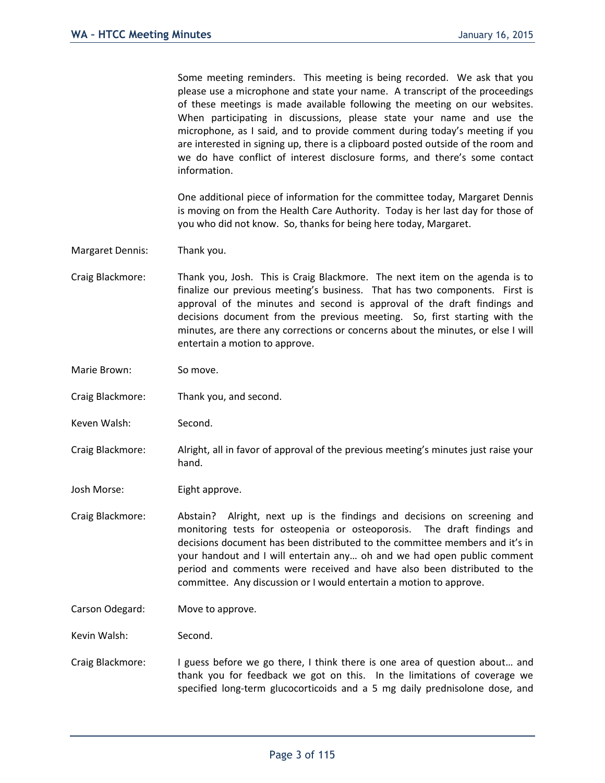Some meeting reminders. This meeting is being recorded. We ask that you please use a microphone and state your name. A transcript of the proceedings of these meetings is made available following the meeting on our websites. When participating in discussions, please state your name and use the microphone, as I said, and to provide comment during today's meeting if you are interested in signing up, there is a clipboard posted outside of the room and we do have conflict of interest disclosure forms, and there's some contact information.

One additional piece of information for the committee today, Margaret Dennis is moving on from the Health Care Authority. Today is her last day for those of you who did not know. So, thanks for being here today, Margaret.

Margaret Dennis: Thank you.

Craig Blackmore: Thank you, Josh. This is Craig Blackmore. The next item on the agenda is to finalize our previous meeting's business. That has two components. First is approval of the minutes and second is approval of the draft findings and decisions document from the previous meeting. So, first starting with the minutes, are there any corrections or concerns about the minutes, or else I will entertain a motion to approve.

Marie Brown: So move.

Craig Blackmore: Thank you, and second.

Keven Walsh: Second.

Craig Blackmore: Alright, all in favor of approval of the previous meeting's minutes just raise your hand.

Josh Morse: Eight approve.

Craig Blackmore: Abstain? Alright, next up is the findings and decisions on screening and monitoring tests for osteopenia or osteoporosis. The draft findings and decisions document has been distributed to the committee members and it's in your handout and I will entertain any… oh and we had open public comment period and comments were received and have also been distributed to the committee. Any discussion or I would entertain a motion to approve.

Carson Odegard: Move to approve.

Kevin Walsh: Second.

Craig Blackmore: I guess before we go there, I think there is one area of question about… and thank you for feedback we got on this. In the limitations of coverage we specified long-term glucocorticoids and a 5 mg daily prednisolone dose, and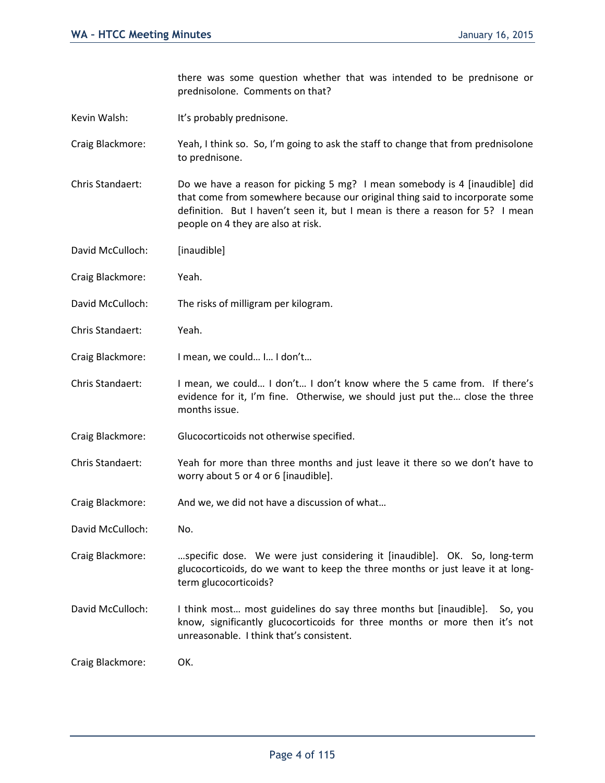there was some question whether that was intended to be prednisone or prednisolone. Comments on that?

Kevin Walsh: It's probably prednisone.

Craig Blackmore: Yeah, I think so. So, I'm going to ask the staff to change that from prednisolone to prednisone.

- Chris Standaert: Do we have a reason for picking 5 mg? I mean somebody is 4 [inaudible] did that come from somewhere because our original thing said to incorporate some definition. But I haven't seen it, but I mean is there a reason for 5? I mean people on 4 they are also at risk.
- David McCulloch: [inaudible]
- Craig Blackmore: Yeah.
- David McCulloch: The risks of milligram per kilogram.
- Chris Standaert: Yeah.
- Craig Blackmore: I mean, we could… I… I don't…
- Chris Standaert: I mean, we could… I don't… I don't know where the 5 came from. If there's evidence for it, I'm fine. Otherwise, we should just put the… close the three months issue.
- Craig Blackmore: Glucocorticoids not otherwise specified.
- Chris Standaert: Yeah for more than three months and just leave it there so we don't have to worry about 5 or 4 or 6 [inaudible].
- Craig Blackmore: And we, we did not have a discussion of what…
- David McCulloch: No.
- Craig Blackmore: …specific dose. We were just considering it [inaudible]. OK. So, long-term glucocorticoids, do we want to keep the three months or just leave it at longterm glucocorticoids?
- David McCulloch: I think most… most guidelines do say three months but [inaudible]. So, you know, significantly glucocorticoids for three months or more then it's not unreasonable. I think that's consistent.

Craig Blackmore: OK.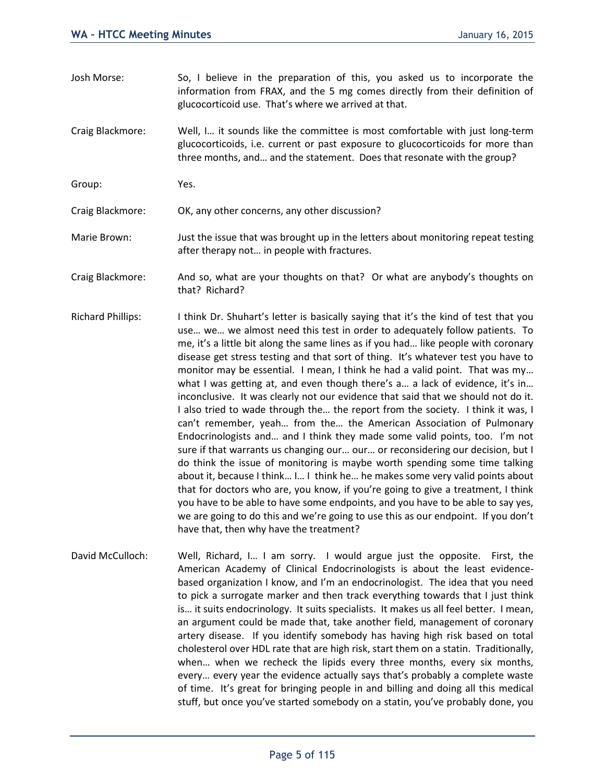- Josh Morse: So, I believe in the preparation of this, you asked us to incorporate the information from FRAX, and the 5 mg comes directly from their definition of glucocorticoid use. That's where we arrived at that.
- Craig Blackmore: Well, I… it sounds like the committee is most comfortable with just long-term glucocorticoids, i.e. current or past exposure to glucocorticoids for more than three months, and… and the statement. Does that resonate with the group?
- Group: Yes.

Craig Blackmore: OK, any other concerns, any other discussion?

- Marie Brown: Just the issue that was brought up in the letters about monitoring repeat testing after therapy not… in people with fractures.
- Craig Blackmore: And so, what are your thoughts on that? Or what are anybody's thoughts on that? Richard?
- Richard Phillips: I think Dr. Shuhart's letter is basically saying that it's the kind of test that you use… we… we almost need this test in order to adequately follow patients. To me, it's a little bit along the same lines as if you had… like people with coronary disease get stress testing and that sort of thing. It's whatever test you have to monitor may be essential. I mean, I think he had a valid point. That was my… what I was getting at, and even though there's a... a lack of evidence, it's in... inconclusive. It was clearly not our evidence that said that we should not do it. I also tried to wade through the… the report from the society. I think it was, I can't remember, yeah… from the… the American Association of Pulmonary Endocrinologists and… and I think they made some valid points, too. I'm not sure if that warrants us changing our… our… or reconsidering our decision, but I do think the issue of monitoring is maybe worth spending some time talking about it, because I think… I… I think he… he makes some very valid points about that for doctors who are, you know, if you're going to give a treatment, I think you have to be able to have some endpoints, and you have to be able to say yes, we are going to do this and we're going to use this as our endpoint. If you don't have that, then why have the treatment?
- David McCulloch: Well, Richard, I... I am sorry. I would argue just the opposite. First, the American Academy of Clinical Endocrinologists is about the least evidencebased organization I know, and I'm an endocrinologist. The idea that you need to pick a surrogate marker and then track everything towards that I just think is… it suits endocrinology. It suits specialists. It makes us all feel better. I mean, an argument could be made that, take another field, management of coronary artery disease. If you identify somebody has having high risk based on total cholesterol over HDL rate that are high risk, start them on a statin. Traditionally, when… when we recheck the lipids every three months, every six months, every… every year the evidence actually says that's probably a complete waste of time. It's great for bringing people in and billing and doing all this medical stuff, but once you've started somebody on a statin, you've probably done, you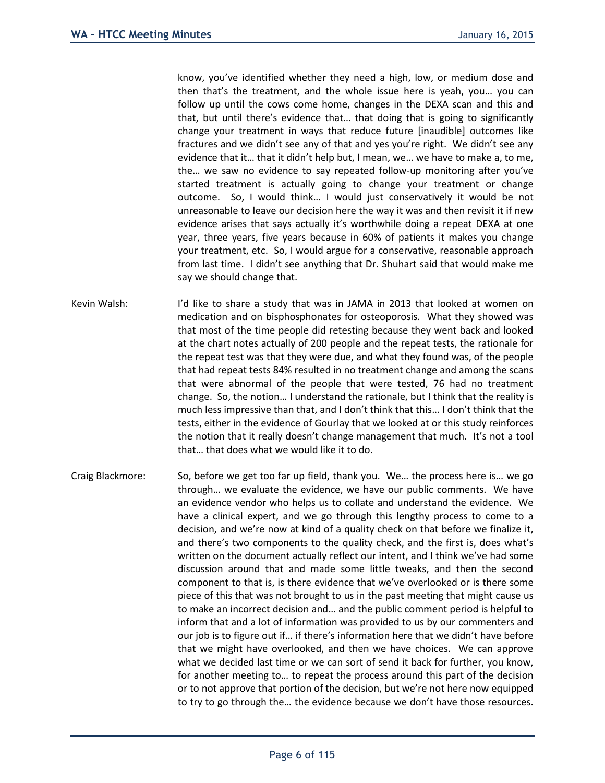know, you've identified whether they need a high, low, or medium dose and then that's the treatment, and the whole issue here is yeah, you… you can follow up until the cows come home, changes in the DEXA scan and this and that, but until there's evidence that… that doing that is going to significantly change your treatment in ways that reduce future [inaudible] outcomes like fractures and we didn't see any of that and yes you're right. We didn't see any evidence that it… that it didn't help but, I mean, we… we have to make a, to me, the… we saw no evidence to say repeated follow-up monitoring after you've started treatment is actually going to change your treatment or change outcome. So, I would think… I would just conservatively it would be not unreasonable to leave our decision here the way it was and then revisit it if new evidence arises that says actually it's worthwhile doing a repeat DEXA at one year, three years, five years because in 60% of patients it makes you change your treatment, etc. So, I would argue for a conservative, reasonable approach from last time. I didn't see anything that Dr. Shuhart said that would make me say we should change that.

- Kevin Walsh: I'd like to share a study that was in JAMA in 2013 that looked at women on medication and on bisphosphonates for osteoporosis. What they showed was that most of the time people did retesting because they went back and looked at the chart notes actually of 200 people and the repeat tests, the rationale for the repeat test was that they were due, and what they found was, of the people that had repeat tests 84% resulted in no treatment change and among the scans that were abnormal of the people that were tested, 76 had no treatment change. So, the notion… I understand the rationale, but I think that the reality is much less impressive than that, and I don't think that this… I don't think that the tests, either in the evidence of Gourlay that we looked at or this study reinforces the notion that it really doesn't change management that much. It's not a tool that… that does what we would like it to do.
- Craig Blackmore: So, before we get too far up field, thank you. We… the process here is… we go through… we evaluate the evidence, we have our public comments. We have an evidence vendor who helps us to collate and understand the evidence. We have a clinical expert, and we go through this lengthy process to come to a decision, and we're now at kind of a quality check on that before we finalize it, and there's two components to the quality check, and the first is, does what's written on the document actually reflect our intent, and I think we've had some discussion around that and made some little tweaks, and then the second component to that is, is there evidence that we've overlooked or is there some piece of this that was not brought to us in the past meeting that might cause us to make an incorrect decision and… and the public comment period is helpful to inform that and a lot of information was provided to us by our commenters and our job is to figure out if… if there's information here that we didn't have before that we might have overlooked, and then we have choices. We can approve what we decided last time or we can sort of send it back for further, you know, for another meeting to… to repeat the process around this part of the decision or to not approve that portion of the decision, but we're not here now equipped to try to go through the… the evidence because we don't have those resources.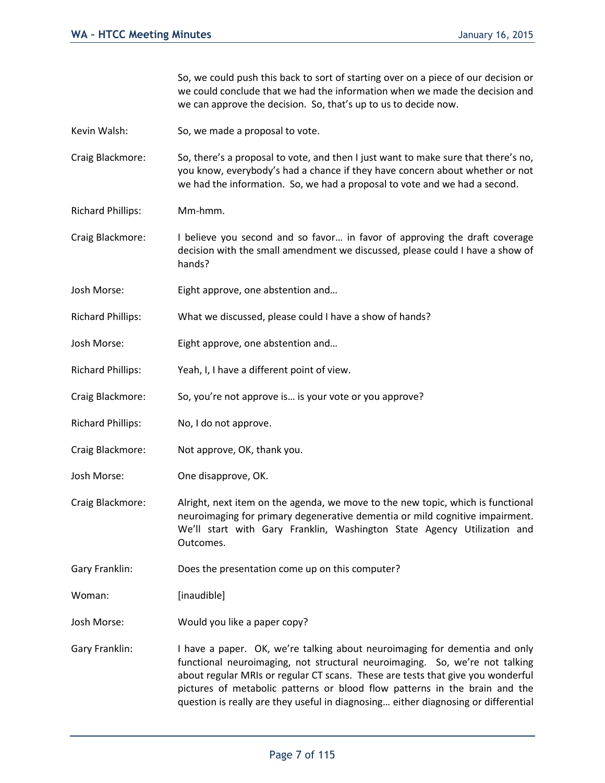So, we could push this back to sort of starting over on a piece of our decision or we could conclude that we had the information when we made the decision and we can approve the decision. So, that's up to us to decide now.

Kevin Walsh: So, we made a proposal to vote.

Craig Blackmore: So, there's a proposal to vote, and then I just want to make sure that there's no, you know, everybody's had a chance if they have concern about whether or not we had the information. So, we had a proposal to vote and we had a second.

Richard Phillips: Mm-hmm.

Craig Blackmore: I believe you second and so favor… in favor of approving the draft coverage decision with the small amendment we discussed, please could I have a show of hands?

Josh Morse: Eight approve, one abstention and…

Richard Phillips: What we discussed, please could I have a show of hands?

Josh Morse: Eight approve, one abstention and…

Richard Phillips: Yeah, I, I have a different point of view.

Craig Blackmore: So, you're not approve is… is your vote or you approve?

Richard Phillips: No, I do not approve.

Craig Blackmore: Not approve, OK, thank you.

Josh Morse: One disapprove, OK.

Craig Blackmore: Alright, next item on the agenda, we move to the new topic, which is functional neuroimaging for primary degenerative dementia or mild cognitive impairment. We'll start with Gary Franklin, Washington State Agency Utilization and Outcomes.

Gary Franklin: Does the presentation come up on this computer?

Woman: [inaudible]

Josh Morse: Would you like a paper copy?

Gary Franklin: I have a paper. OK, we're talking about neuroimaging for dementia and only functional neuroimaging, not structural neuroimaging. So, we're not talking about regular MRIs or regular CT scans. These are tests that give you wonderful pictures of metabolic patterns or blood flow patterns in the brain and the question is really are they useful in diagnosing… either diagnosing or differential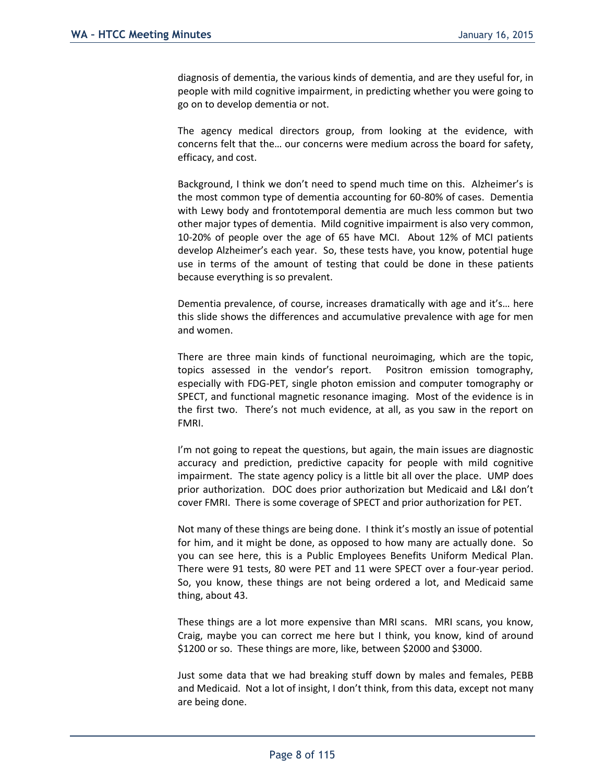diagnosis of dementia, the various kinds of dementia, and are they useful for, in people with mild cognitive impairment, in predicting whether you were going to go on to develop dementia or not.

The agency medical directors group, from looking at the evidence, with concerns felt that the… our concerns were medium across the board for safety, efficacy, and cost.

Background, I think we don't need to spend much time on this. Alzheimer's is the most common type of dementia accounting for 60-80% of cases. Dementia with Lewy body and frontotemporal dementia are much less common but two other major types of dementia. Mild cognitive impairment is also very common, 10-20% of people over the age of 65 have MCI. About 12% of MCI patients develop Alzheimer's each year. So, these tests have, you know, potential huge use in terms of the amount of testing that could be done in these patients because everything is so prevalent.

Dementia prevalence, of course, increases dramatically with age and it's… here this slide shows the differences and accumulative prevalence with age for men and women.

There are three main kinds of functional neuroimaging, which are the topic, topics assessed in the vendor's report. Positron emission tomography, especially with FDG-PET, single photon emission and computer tomography or SPECT, and functional magnetic resonance imaging. Most of the evidence is in the first two. There's not much evidence, at all, as you saw in the report on FMRI.

I'm not going to repeat the questions, but again, the main issues are diagnostic accuracy and prediction, predictive capacity for people with mild cognitive impairment. The state agency policy is a little bit all over the place. UMP does prior authorization. DOC does prior authorization but Medicaid and L&I don't cover FMRI. There is some coverage of SPECT and prior authorization for PET.

Not many of these things are being done. I think it's mostly an issue of potential for him, and it might be done, as opposed to how many are actually done. So you can see here, this is a Public Employees Benefits Uniform Medical Plan. There were 91 tests, 80 were PET and 11 were SPECT over a four-year period. So, you know, these things are not being ordered a lot, and Medicaid same thing, about 43.

These things are a lot more expensive than MRI scans. MRI scans, you know, Craig, maybe you can correct me here but I think, you know, kind of around \$1200 or so. These things are more, like, between \$2000 and \$3000.

Just some data that we had breaking stuff down by males and females, PEBB and Medicaid. Not a lot of insight, I don't think, from this data, except not many are being done.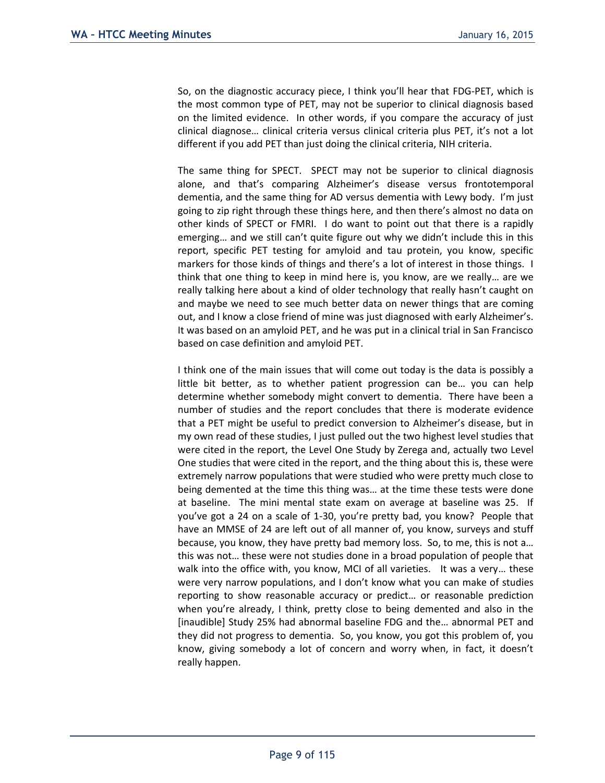So, on the diagnostic accuracy piece, I think you'll hear that FDG-PET, which is the most common type of PET, may not be superior to clinical diagnosis based on the limited evidence. In other words, if you compare the accuracy of just clinical diagnose… clinical criteria versus clinical criteria plus PET, it's not a lot different if you add PET than just doing the clinical criteria, NIH criteria.

The same thing for SPECT. SPECT may not be superior to clinical diagnosis alone, and that's comparing Alzheimer's disease versus frontotemporal dementia, and the same thing for AD versus dementia with Lewy body. I'm just going to zip right through these things here, and then there's almost no data on other kinds of SPECT or FMRI. I do want to point out that there is a rapidly emerging… and we still can't quite figure out why we didn't include this in this report, specific PET testing for amyloid and tau protein, you know, specific markers for those kinds of things and there's a lot of interest in those things. I think that one thing to keep in mind here is, you know, are we really… are we really talking here about a kind of older technology that really hasn't caught on and maybe we need to see much better data on newer things that are coming out, and I know a close friend of mine was just diagnosed with early Alzheimer's. It was based on an amyloid PET, and he was put in a clinical trial in San Francisco based on case definition and amyloid PET.

I think one of the main issues that will come out today is the data is possibly a little bit better, as to whether patient progression can be… you can help determine whether somebody might convert to dementia. There have been a number of studies and the report concludes that there is moderate evidence that a PET might be useful to predict conversion to Alzheimer's disease, but in my own read of these studies, I just pulled out the two highest level studies that were cited in the report, the Level One Study by Zerega and, actually two Level One studies that were cited in the report, and the thing about this is, these were extremely narrow populations that were studied who were pretty much close to being demented at the time this thing was… at the time these tests were done at baseline. The mini mental state exam on average at baseline was 25. If you've got a 24 on a scale of 1-30, you're pretty bad, you know? People that have an MMSE of 24 are left out of all manner of, you know, surveys and stuff because, you know, they have pretty bad memory loss. So, to me, this is not a… this was not… these were not studies done in a broad population of people that walk into the office with, you know, MCI of all varieties. It was a very... these were very narrow populations, and I don't know what you can make of studies reporting to show reasonable accuracy or predict… or reasonable prediction when you're already, I think, pretty close to being demented and also in the [inaudible] Study 25% had abnormal baseline FDG and the… abnormal PET and they did not progress to dementia. So, you know, you got this problem of, you know, giving somebody a lot of concern and worry when, in fact, it doesn't really happen.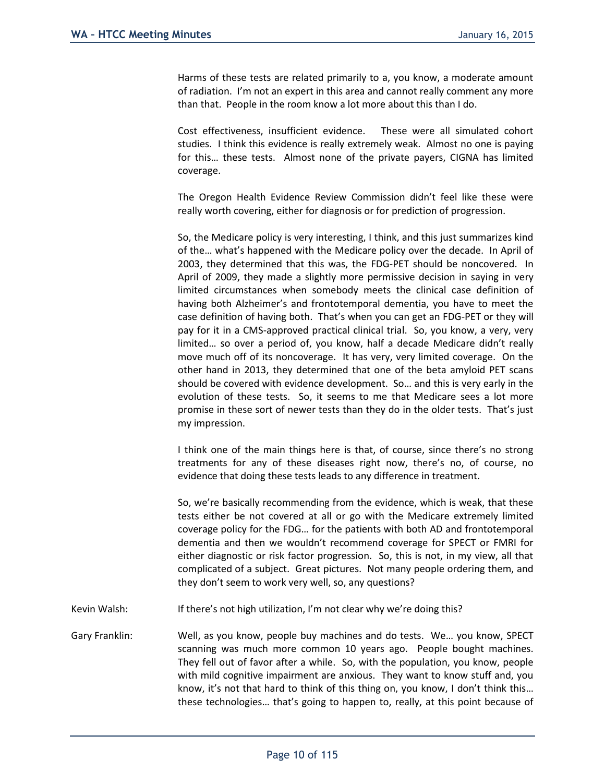Harms of these tests are related primarily to a, you know, a moderate amount of radiation. I'm not an expert in this area and cannot really comment any more than that. People in the room know a lot more about this than I do.

Cost effectiveness, insufficient evidence. These were all simulated cohort studies. I think this evidence is really extremely weak. Almost no one is paying for this… these tests. Almost none of the private payers, CIGNA has limited coverage.

The Oregon Health Evidence Review Commission didn't feel like these were really worth covering, either for diagnosis or for prediction of progression.

So, the Medicare policy is very interesting, I think, and this just summarizes kind of the… what's happened with the Medicare policy over the decade. In April of 2003, they determined that this was, the FDG-PET should be noncovered. In April of 2009, they made a slightly more permissive decision in saying in very limited circumstances when somebody meets the clinical case definition of having both Alzheimer's and frontotemporal dementia, you have to meet the case definition of having both. That's when you can get an FDG-PET or they will pay for it in a CMS-approved practical clinical trial. So, you know, a very, very limited… so over a period of, you know, half a decade Medicare didn't really move much off of its noncoverage. It has very, very limited coverage. On the other hand in 2013, they determined that one of the beta amyloid PET scans should be covered with evidence development. So… and this is very early in the evolution of these tests. So, it seems to me that Medicare sees a lot more promise in these sort of newer tests than they do in the older tests. That's just my impression.

I think one of the main things here is that, of course, since there's no strong treatments for any of these diseases right now, there's no, of course, no evidence that doing these tests leads to any difference in treatment.

So, we're basically recommending from the evidence, which is weak, that these tests either be not covered at all or go with the Medicare extremely limited coverage policy for the FDG… for the patients with both AD and frontotemporal dementia and then we wouldn't recommend coverage for SPECT or FMRI for either diagnostic or risk factor progression. So, this is not, in my view, all that complicated of a subject. Great pictures. Not many people ordering them, and they don't seem to work very well, so, any questions?

- Kevin Walsh: If there's not high utilization, I'm not clear why we're doing this?
- Gary Franklin: Well, as you know, people buy machines and do tests. We… you know, SPECT scanning was much more common 10 years ago. People bought machines. They fell out of favor after a while. So, with the population, you know, people with mild cognitive impairment are anxious. They want to know stuff and, you know, it's not that hard to think of this thing on, you know, I don't think this… these technologies… that's going to happen to, really, at this point because of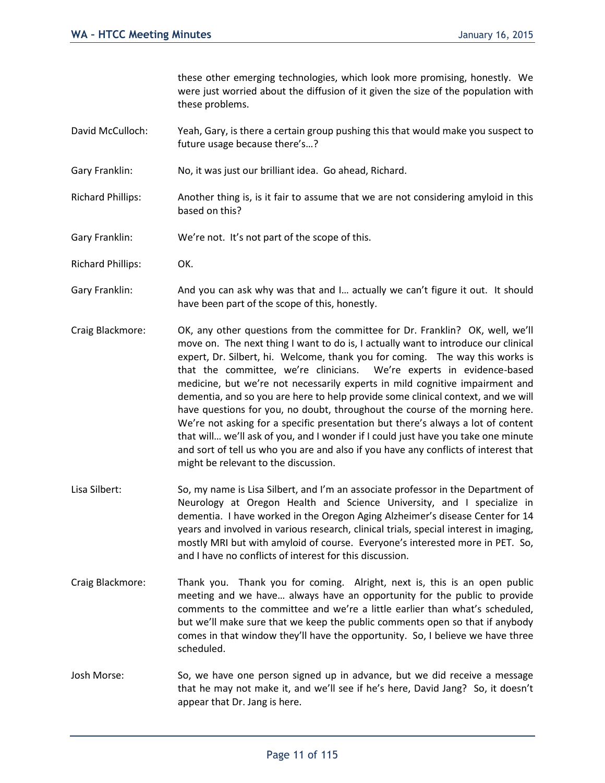these other emerging technologies, which look more promising, honestly. We were just worried about the diffusion of it given the size of the population with these problems.

- David McCulloch: Yeah, Gary, is there a certain group pushing this that would make you suspect to future usage because there's…?
- Gary Franklin: No, it was just our brilliant idea. Go ahead, Richard.
- Richard Phillips: Another thing is, is it fair to assume that we are not considering amyloid in this based on this?
- Gary Franklin: We're not. It's not part of the scope of this.
- Richard Phillips: OK.
- Gary Franklin: And you can ask why was that and I... actually we can't figure it out. It should have been part of the scope of this, honestly.
- Craig Blackmore: OK, any other questions from the committee for Dr. Franklin? OK, well, we'll move on. The next thing I want to do is, I actually want to introduce our clinical expert, Dr. Silbert, hi. Welcome, thank you for coming. The way this works is that the committee, we're clinicians. We're experts in evidence-based medicine, but we're not necessarily experts in mild cognitive impairment and dementia, and so you are here to help provide some clinical context, and we will have questions for you, no doubt, throughout the course of the morning here. We're not asking for a specific presentation but there's always a lot of content that will… we'll ask of you, and I wonder if I could just have you take one minute and sort of tell us who you are and also if you have any conflicts of interest that might be relevant to the discussion.
- Lisa Silbert: So, my name is Lisa Silbert, and I'm an associate professor in the Department of Neurology at Oregon Health and Science University, and I specialize in dementia. I have worked in the Oregon Aging Alzheimer's disease Center for 14 years and involved in various research, clinical trials, special interest in imaging, mostly MRI but with amyloid of course. Everyone's interested more in PET. So, and I have no conflicts of interest for this discussion.
- Craig Blackmore: Thank you. Thank you for coming. Alright, next is, this is an open public meeting and we have… always have an opportunity for the public to provide comments to the committee and we're a little earlier than what's scheduled, but we'll make sure that we keep the public comments open so that if anybody comes in that window they'll have the opportunity. So, I believe we have three scheduled.
- Josh Morse: So, we have one person signed up in advance, but we did receive a message that he may not make it, and we'll see if he's here, David Jang? So, it doesn't appear that Dr. Jang is here.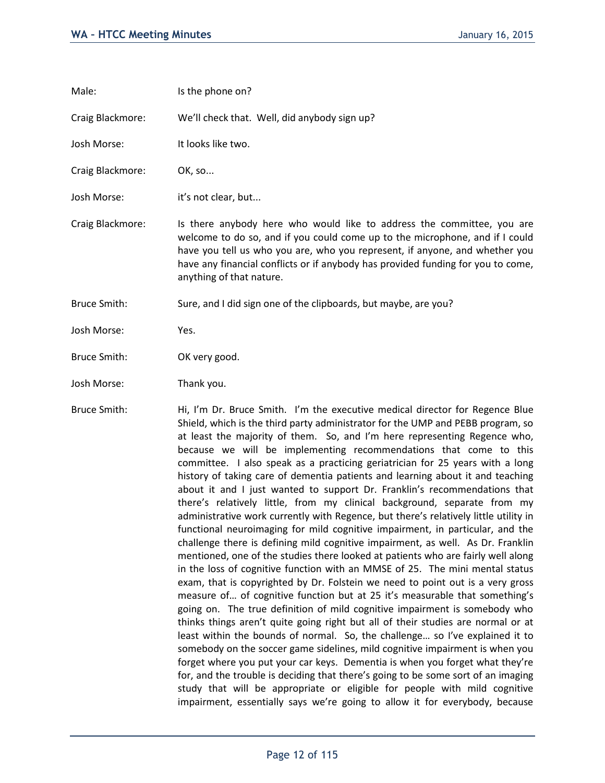| Male:               | Is the phone on?                                                                                                                                                                                                                                                                                                                                      |
|---------------------|-------------------------------------------------------------------------------------------------------------------------------------------------------------------------------------------------------------------------------------------------------------------------------------------------------------------------------------------------------|
| Craig Blackmore:    | We'll check that. Well, did anybody sign up?                                                                                                                                                                                                                                                                                                          |
| Josh Morse:         | It looks like two.                                                                                                                                                                                                                                                                                                                                    |
| Craig Blackmore:    | OK, so                                                                                                                                                                                                                                                                                                                                                |
| Josh Morse:         | it's not clear, but                                                                                                                                                                                                                                                                                                                                   |
| Craig Blackmore:    | Is there anybody here who would like to address the committee, you are<br>welcome to do so, and if you could come up to the microphone, and if I could<br>have you tell us who you are, who you represent, if anyone, and whether you<br>have any financial conflicts or if anybody has provided funding for you to come,<br>anything of that nature. |
| <b>Bruce Smith:</b> | Sure, and I did sign one of the clipboards, but maybe, are you?                                                                                                                                                                                                                                                                                       |
| Josh Morse:         | Yes.                                                                                                                                                                                                                                                                                                                                                  |
| <b>Bruce Smith:</b> | OK very good.                                                                                                                                                                                                                                                                                                                                         |
| Josh Morse:         | Thank you.                                                                                                                                                                                                                                                                                                                                            |
|                     |                                                                                                                                                                                                                                                                                                                                                       |

Bruce Smith: Hi, I'm Dr. Bruce Smith. I'm the executive medical director for Regence Blue Shield, which is the third party administrator for the UMP and PEBB program, so at least the majority of them. So, and I'm here representing Regence who, because we will be implementing recommendations that come to this committee. I also speak as a practicing geriatrician for 25 years with a long history of taking care of dementia patients and learning about it and teaching about it and I just wanted to support Dr. Franklin's recommendations that there's relatively little, from my clinical background, separate from my administrative work currently with Regence, but there's relatively little utility in functional neuroimaging for mild cognitive impairment, in particular, and the challenge there is defining mild cognitive impairment, as well. As Dr. Franklin mentioned, one of the studies there looked at patients who are fairly well along in the loss of cognitive function with an MMSE of 25. The mini mental status exam, that is copyrighted by Dr. Folstein we need to point out is a very gross measure of… of cognitive function but at 25 it's measurable that something's going on. The true definition of mild cognitive impairment is somebody who thinks things aren't quite going right but all of their studies are normal or at least within the bounds of normal. So, the challenge… so I've explained it to somebody on the soccer game sidelines, mild cognitive impairment is when you forget where you put your car keys. Dementia is when you forget what they're for, and the trouble is deciding that there's going to be some sort of an imaging study that will be appropriate or eligible for people with mild cognitive impairment, essentially says we're going to allow it for everybody, because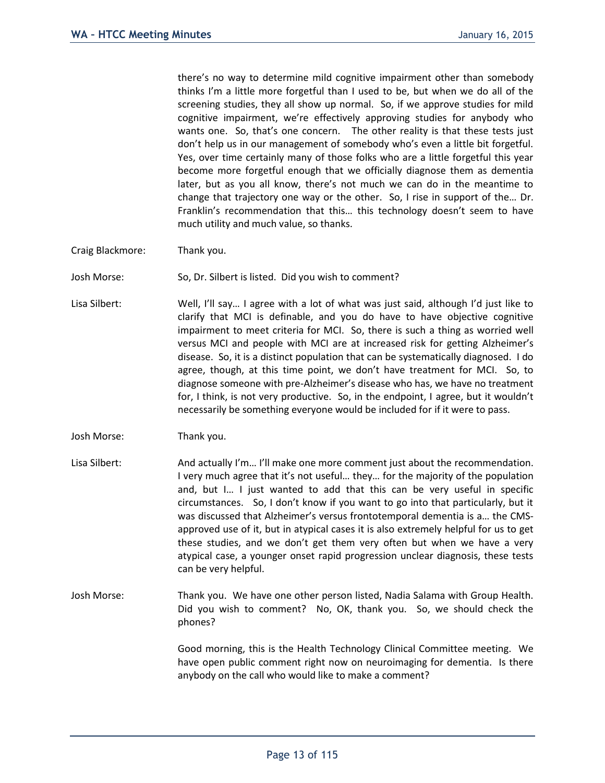there's no way to determine mild cognitive impairment other than somebody thinks I'm a little more forgetful than I used to be, but when we do all of the screening studies, they all show up normal. So, if we approve studies for mild cognitive impairment, we're effectively approving studies for anybody who wants one. So, that's one concern. The other reality is that these tests just don't help us in our management of somebody who's even a little bit forgetful. Yes, over time certainly many of those folks who are a little forgetful this year become more forgetful enough that we officially diagnose them as dementia later, but as you all know, there's not much we can do in the meantime to change that trajectory one way or the other. So, I rise in support of the… Dr. Franklin's recommendation that this… this technology doesn't seem to have much utility and much value, so thanks.

- Craig Blackmore: Thank you.
- Josh Morse: So, Dr. Silbert is listed. Did you wish to comment?
- Lisa Silbert: Well, I'll say... I agree with a lot of what was just said, although I'd just like to clarify that MCI is definable, and you do have to have objective cognitive impairment to meet criteria for MCI. So, there is such a thing as worried well versus MCI and people with MCI are at increased risk for getting Alzheimer's disease. So, it is a distinct population that can be systematically diagnosed. I do agree, though, at this time point, we don't have treatment for MCI. So, to diagnose someone with pre-Alzheimer's disease who has, we have no treatment for, I think, is not very productive. So, in the endpoint, I agree, but it wouldn't necessarily be something everyone would be included for if it were to pass.
- Josh Morse: Thank you.
- Lisa Silbert: And actually I'm... I'll make one more comment just about the recommendation. I very much agree that it's not useful… they… for the majority of the population and, but I… I just wanted to add that this can be very useful in specific circumstances. So, I don't know if you want to go into that particularly, but it was discussed that Alzheimer's versus frontotemporal dementia is a… the CMSapproved use of it, but in atypical cases it is also extremely helpful for us to get these studies, and we don't get them very often but when we have a very atypical case, a younger onset rapid progression unclear diagnosis, these tests can be very helpful.
- Josh Morse: Thank you. We have one other person listed, Nadia Salama with Group Health. Did you wish to comment? No, OK, thank you. So, we should check the phones?

Good morning, this is the Health Technology Clinical Committee meeting. We have open public comment right now on neuroimaging for dementia. Is there anybody on the call who would like to make a comment?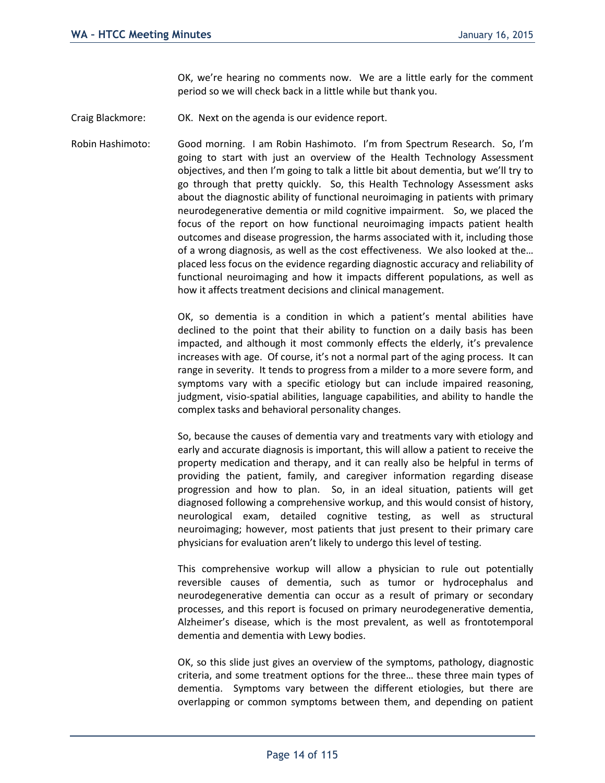OK, we're hearing no comments now. We are a little early for the comment period so we will check back in a little while but thank you.

Craig Blackmore: OK. Next on the agenda is our evidence report.

Robin Hashimoto: Good morning. I am Robin Hashimoto. I'm from Spectrum Research. So, I'm going to start with just an overview of the Health Technology Assessment objectives, and then I'm going to talk a little bit about dementia, but we'll try to go through that pretty quickly. So, this Health Technology Assessment asks about the diagnostic ability of functional neuroimaging in patients with primary neurodegenerative dementia or mild cognitive impairment. So, we placed the focus of the report on how functional neuroimaging impacts patient health outcomes and disease progression, the harms associated with it, including those of a wrong diagnosis, as well as the cost effectiveness. We also looked at the… placed less focus on the evidence regarding diagnostic accuracy and reliability of functional neuroimaging and how it impacts different populations, as well as how it affects treatment decisions and clinical management.

> OK, so dementia is a condition in which a patient's mental abilities have declined to the point that their ability to function on a daily basis has been impacted, and although it most commonly effects the elderly, it's prevalence increases with age. Of course, it's not a normal part of the aging process. It can range in severity. It tends to progress from a milder to a more severe form, and symptoms vary with a specific etiology but can include impaired reasoning, judgment, visio-spatial abilities, language capabilities, and ability to handle the complex tasks and behavioral personality changes.

> So, because the causes of dementia vary and treatments vary with etiology and early and accurate diagnosis is important, this will allow a patient to receive the property medication and therapy, and it can really also be helpful in terms of providing the patient, family, and caregiver information regarding disease progression and how to plan. So, in an ideal situation, patients will get diagnosed following a comprehensive workup, and this would consist of history, neurological exam, detailed cognitive testing, as well as structural neuroimaging; however, most patients that just present to their primary care physicians for evaluation aren't likely to undergo this level of testing.

> This comprehensive workup will allow a physician to rule out potentially reversible causes of dementia, such as tumor or hydrocephalus and neurodegenerative dementia can occur as a result of primary or secondary processes, and this report is focused on primary neurodegenerative dementia, Alzheimer's disease, which is the most prevalent, as well as frontotemporal dementia and dementia with Lewy bodies.

> OK, so this slide just gives an overview of the symptoms, pathology, diagnostic criteria, and some treatment options for the three… these three main types of dementia. Symptoms vary between the different etiologies, but there are overlapping or common symptoms between them, and depending on patient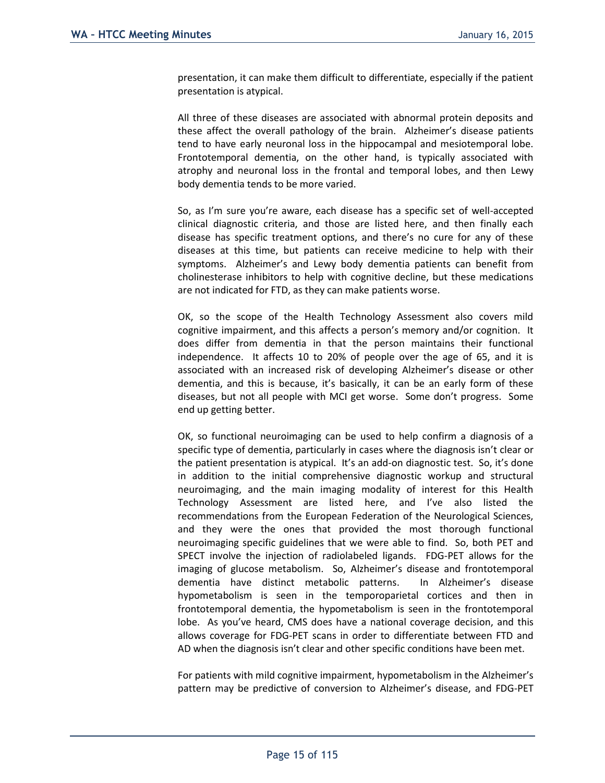presentation, it can make them difficult to differentiate, especially if the patient presentation is atypical.

All three of these diseases are associated with abnormal protein deposits and these affect the overall pathology of the brain. Alzheimer's disease patients tend to have early neuronal loss in the hippocampal and mesiotemporal lobe. Frontotemporal dementia, on the other hand, is typically associated with atrophy and neuronal loss in the frontal and temporal lobes, and then Lewy body dementia tends to be more varied.

So, as I'm sure you're aware, each disease has a specific set of well-accepted clinical diagnostic criteria, and those are listed here, and then finally each disease has specific treatment options, and there's no cure for any of these diseases at this time, but patients can receive medicine to help with their symptoms. Alzheimer's and Lewy body dementia patients can benefit from cholinesterase inhibitors to help with cognitive decline, but these medications are not indicated for FTD, as they can make patients worse.

OK, so the scope of the Health Technology Assessment also covers mild cognitive impairment, and this affects a person's memory and/or cognition. It does differ from dementia in that the person maintains their functional independence. It affects 10 to 20% of people over the age of 65, and it is associated with an increased risk of developing Alzheimer's disease or other dementia, and this is because, it's basically, it can be an early form of these diseases, but not all people with MCI get worse. Some don't progress. Some end up getting better.

OK, so functional neuroimaging can be used to help confirm a diagnosis of a specific type of dementia, particularly in cases where the diagnosis isn't clear or the patient presentation is atypical. It's an add-on diagnostic test. So, it's done in addition to the initial comprehensive diagnostic workup and structural neuroimaging, and the main imaging modality of interest for this Health Technology Assessment are listed here, and I've also listed the recommendations from the European Federation of the Neurological Sciences, and they were the ones that provided the most thorough functional neuroimaging specific guidelines that we were able to find. So, both PET and SPECT involve the injection of radiolabeled ligands. FDG-PET allows for the imaging of glucose metabolism. So, Alzheimer's disease and frontotemporal dementia have distinct metabolic patterns. In Alzheimer's disease hypometabolism is seen in the temporoparietal cortices and then in frontotemporal dementia, the hypometabolism is seen in the frontotemporal lobe. As you've heard, CMS does have a national coverage decision, and this allows coverage for FDG-PET scans in order to differentiate between FTD and AD when the diagnosis isn't clear and other specific conditions have been met.

For patients with mild cognitive impairment, hypometabolism in the Alzheimer's pattern may be predictive of conversion to Alzheimer's disease, and FDG-PET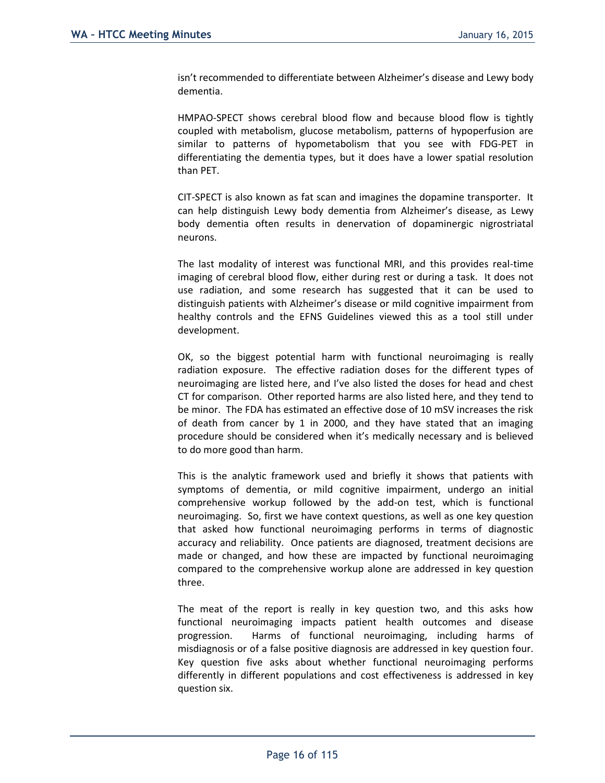isn't recommended to differentiate between Alzheimer's disease and Lewy body dementia.

HMPAO-SPECT shows cerebral blood flow and because blood flow is tightly coupled with metabolism, glucose metabolism, patterns of hypoperfusion are similar to patterns of hypometabolism that you see with FDG-PET in differentiating the dementia types, but it does have a lower spatial resolution than PET.

CIT-SPECT is also known as fat scan and imagines the dopamine transporter. It can help distinguish Lewy body dementia from Alzheimer's disease, as Lewy body dementia often results in denervation of dopaminergic nigrostriatal neurons.

The last modality of interest was functional MRI, and this provides real-time imaging of cerebral blood flow, either during rest or during a task. It does not use radiation, and some research has suggested that it can be used to distinguish patients with Alzheimer's disease or mild cognitive impairment from healthy controls and the EFNS Guidelines viewed this as a tool still under development.

OK, so the biggest potential harm with functional neuroimaging is really radiation exposure. The effective radiation doses for the different types of neuroimaging are listed here, and I've also listed the doses for head and chest CT for comparison. Other reported harms are also listed here, and they tend to be minor. The FDA has estimated an effective dose of 10 mSV increases the risk of death from cancer by 1 in 2000, and they have stated that an imaging procedure should be considered when it's medically necessary and is believed to do more good than harm.

This is the analytic framework used and briefly it shows that patients with symptoms of dementia, or mild cognitive impairment, undergo an initial comprehensive workup followed by the add-on test, which is functional neuroimaging. So, first we have context questions, as well as one key question that asked how functional neuroimaging performs in terms of diagnostic accuracy and reliability. Once patients are diagnosed, treatment decisions are made or changed, and how these are impacted by functional neuroimaging compared to the comprehensive workup alone are addressed in key question three.

The meat of the report is really in key question two, and this asks how functional neuroimaging impacts patient health outcomes and disease progression. Harms of functional neuroimaging, including harms of misdiagnosis or of a false positive diagnosis are addressed in key question four. Key question five asks about whether functional neuroimaging performs differently in different populations and cost effectiveness is addressed in key question six.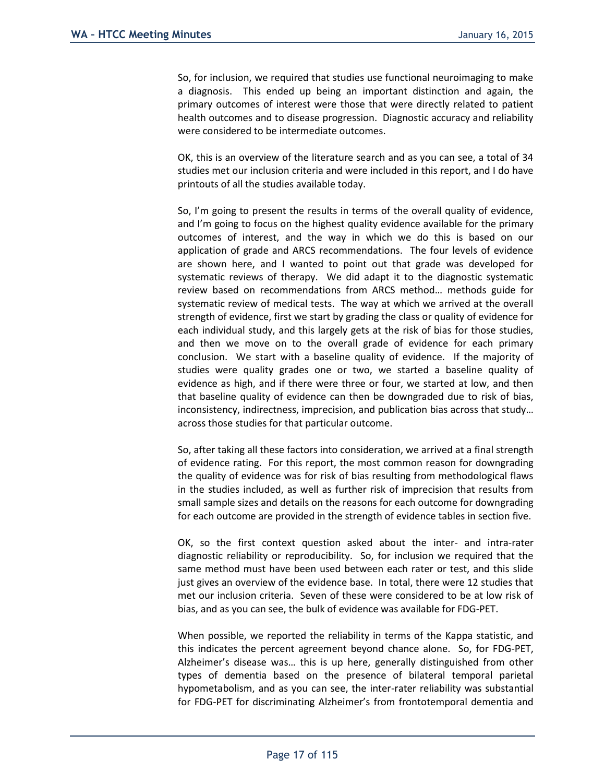So, for inclusion, we required that studies use functional neuroimaging to make a diagnosis. This ended up being an important distinction and again, the primary outcomes of interest were those that were directly related to patient health outcomes and to disease progression. Diagnostic accuracy and reliability were considered to be intermediate outcomes.

OK, this is an overview of the literature search and as you can see, a total of 34 studies met our inclusion criteria and were included in this report, and I do have printouts of all the studies available today.

So, I'm going to present the results in terms of the overall quality of evidence, and I'm going to focus on the highest quality evidence available for the primary outcomes of interest, and the way in which we do this is based on our application of grade and ARCS recommendations. The four levels of evidence are shown here, and I wanted to point out that grade was developed for systematic reviews of therapy. We did adapt it to the diagnostic systematic review based on recommendations from ARCS method… methods guide for systematic review of medical tests. The way at which we arrived at the overall strength of evidence, first we start by grading the class or quality of evidence for each individual study, and this largely gets at the risk of bias for those studies, and then we move on to the overall grade of evidence for each primary conclusion. We start with a baseline quality of evidence. If the majority of studies were quality grades one or two, we started a baseline quality of evidence as high, and if there were three or four, we started at low, and then that baseline quality of evidence can then be downgraded due to risk of bias, inconsistency, indirectness, imprecision, and publication bias across that study… across those studies for that particular outcome.

So, after taking all these factors into consideration, we arrived at a final strength of evidence rating. For this report, the most common reason for downgrading the quality of evidence was for risk of bias resulting from methodological flaws in the studies included, as well as further risk of imprecision that results from small sample sizes and details on the reasons for each outcome for downgrading for each outcome are provided in the strength of evidence tables in section five.

OK, so the first context question asked about the inter- and intra-rater diagnostic reliability or reproducibility. So, for inclusion we required that the same method must have been used between each rater or test, and this slide just gives an overview of the evidence base. In total, there were 12 studies that met our inclusion criteria. Seven of these were considered to be at low risk of bias, and as you can see, the bulk of evidence was available for FDG-PET.

When possible, we reported the reliability in terms of the Kappa statistic, and this indicates the percent agreement beyond chance alone. So, for FDG-PET, Alzheimer's disease was… this is up here, generally distinguished from other types of dementia based on the presence of bilateral temporal parietal hypometabolism, and as you can see, the inter-rater reliability was substantial for FDG-PET for discriminating Alzheimer's from frontotemporal dementia and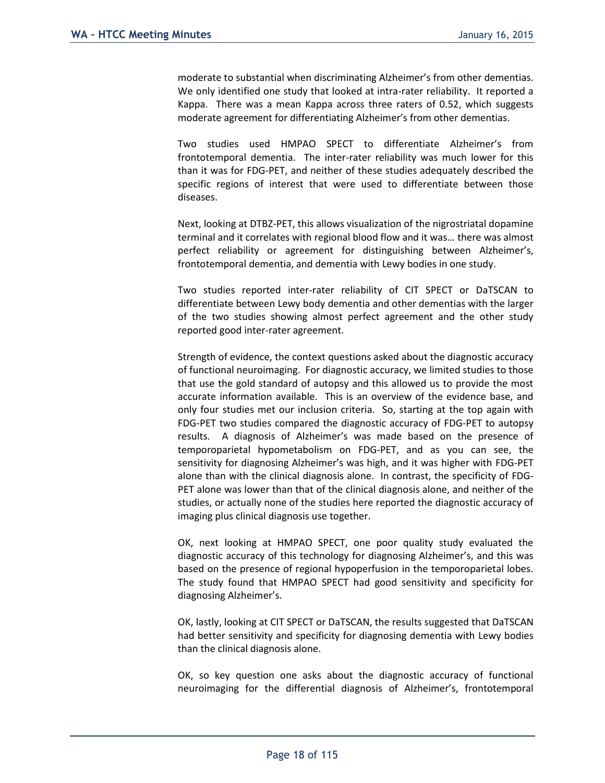moderate to substantial when discriminating Alzheimer's from other dementias. We only identified one study that looked at intra-rater reliability. It reported a Kappa. There was a mean Kappa across three raters of 0.52, which suggests moderate agreement for differentiating Alzheimer's from other dementias.

Two studies used HMPAO SPECT to differentiate Alzheimer's from frontotemporal dementia. The inter-rater reliability was much lower for this than it was for FDG-PET, and neither of these studies adequately described the specific regions of interest that were used to differentiate between those diseases.

Next, looking at DTBZ-PET, this allows visualization of the nigrostriatal dopamine terminal and it correlates with regional blood flow and it was… there was almost perfect reliability or agreement for distinguishing between Alzheimer's, frontotemporal dementia, and dementia with Lewy bodies in one study.

Two studies reported inter-rater reliability of CIT SPECT or DaTSCAN to differentiate between Lewy body dementia and other dementias with the larger of the two studies showing almost perfect agreement and the other study reported good inter-rater agreement.

Strength of evidence, the context questions asked about the diagnostic accuracy of functional neuroimaging. For diagnostic accuracy, we limited studies to those that use the gold standard of autopsy and this allowed us to provide the most accurate information available. This is an overview of the evidence base, and only four studies met our inclusion criteria. So, starting at the top again with FDG-PET two studies compared the diagnostic accuracy of FDG-PET to autopsy results. A diagnosis of Alzheimer's was made based on the presence of temporoparietal hypometabolism on FDG-PET, and as you can see, the sensitivity for diagnosing Alzheimer's was high, and it was higher with FDG-PET alone than with the clinical diagnosis alone. In contrast, the specificity of FDG-PET alone was lower than that of the clinical diagnosis alone, and neither of the studies, or actually none of the studies here reported the diagnostic accuracy of imaging plus clinical diagnosis use together.

OK, next looking at HMPAO SPECT, one poor quality study evaluated the diagnostic accuracy of this technology for diagnosing Alzheimer's, and this was based on the presence of regional hypoperfusion in the temporoparietal lobes. The study found that HMPAO SPECT had good sensitivity and specificity for diagnosing Alzheimer's.

OK, lastly, looking at CIT SPECT or DaTSCAN, the results suggested that DaTSCAN had better sensitivity and specificity for diagnosing dementia with Lewy bodies than the clinical diagnosis alone.

OK, so key question one asks about the diagnostic accuracy of functional neuroimaging for the differential diagnosis of Alzheimer's, frontotemporal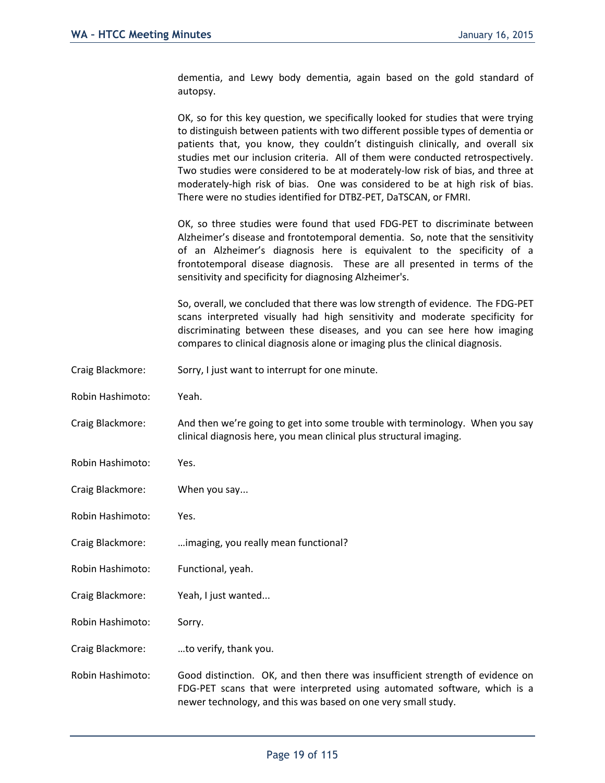dementia, and Lewy body dementia, again based on the gold standard of autopsy.

OK, so for this key question, we specifically looked for studies that were trying to distinguish between patients with two different possible types of dementia or patients that, you know, they couldn't distinguish clinically, and overall six studies met our inclusion criteria. All of them were conducted retrospectively. Two studies were considered to be at moderately-low risk of bias, and three at moderately-high risk of bias. One was considered to be at high risk of bias. There were no studies identified for DTBZ-PET, DaTSCAN, or FMRI.

OK, so three studies were found that used FDG-PET to discriminate between Alzheimer's disease and frontotemporal dementia. So, note that the sensitivity of an Alzheimer's diagnosis here is equivalent to the specificity of a frontotemporal disease diagnosis. These are all presented in terms of the sensitivity and specificity for diagnosing Alzheimer's.

So, overall, we concluded that there was low strength of evidence. The FDG-PET scans interpreted visually had high sensitivity and moderate specificity for discriminating between these diseases, and you can see here how imaging compares to clinical diagnosis alone or imaging plus the clinical diagnosis.

- Craig Blackmore: Sorry, I just want to interrupt for one minute.
- Robin Hashimoto: Yeah.
- Craig Blackmore: And then we're going to get into some trouble with terminology. When you say clinical diagnosis here, you mean clinical plus structural imaging.
- Robin Hashimoto: Yes.
- Craig Blackmore: When you say...
- Robin Hashimoto: Yes.
- Craig Blackmore: …imaging, you really mean functional?
- Robin Hashimoto: Functional, yeah.
- Craig Blackmore: Yeah, I just wanted...
- Robin Hashimoto: Sorry.
- Craig Blackmore: …to verify, thank you.
- Robin Hashimoto: Good distinction. OK, and then there was insufficient strength of evidence on FDG-PET scans that were interpreted using automated software, which is a newer technology, and this was based on one very small study.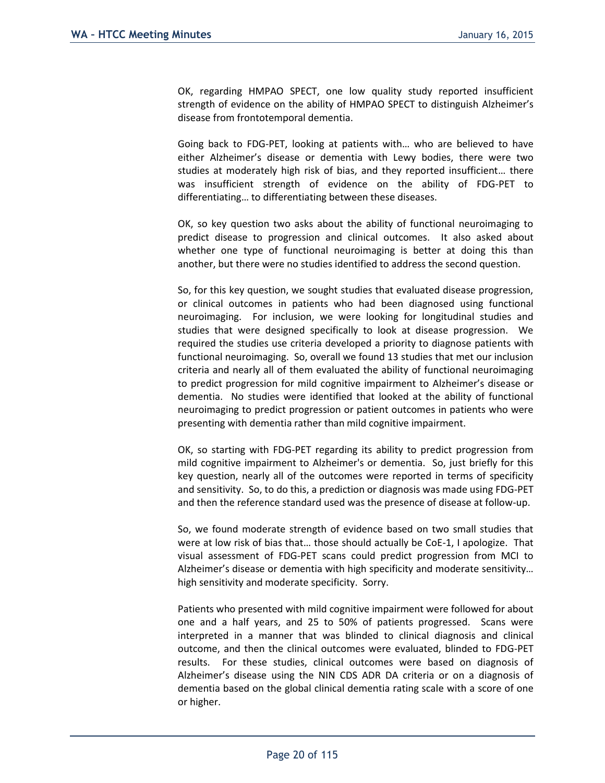OK, regarding HMPAO SPECT, one low quality study reported insufficient strength of evidence on the ability of HMPAO SPECT to distinguish Alzheimer's disease from frontotemporal dementia.

Going back to FDG-PET, looking at patients with… who are believed to have either Alzheimer's disease or dementia with Lewy bodies, there were two studies at moderately high risk of bias, and they reported insufficient… there was insufficient strength of evidence on the ability of FDG-PET to differentiating… to differentiating between these diseases.

OK, so key question two asks about the ability of functional neuroimaging to predict disease to progression and clinical outcomes. It also asked about whether one type of functional neuroimaging is better at doing this than another, but there were no studies identified to address the second question.

So, for this key question, we sought studies that evaluated disease progression, or clinical outcomes in patients who had been diagnosed using functional neuroimaging. For inclusion, we were looking for longitudinal studies and studies that were designed specifically to look at disease progression. We required the studies use criteria developed a priority to diagnose patients with functional neuroimaging. So, overall we found 13 studies that met our inclusion criteria and nearly all of them evaluated the ability of functional neuroimaging to predict progression for mild cognitive impairment to Alzheimer's disease or dementia. No studies were identified that looked at the ability of functional neuroimaging to predict progression or patient outcomes in patients who were presenting with dementia rather than mild cognitive impairment.

OK, so starting with FDG-PET regarding its ability to predict progression from mild cognitive impairment to Alzheimer's or dementia. So, just briefly for this key question, nearly all of the outcomes were reported in terms of specificity and sensitivity. So, to do this, a prediction or diagnosis was made using FDG-PET and then the reference standard used was the presence of disease at follow-up.

So, we found moderate strength of evidence based on two small studies that were at low risk of bias that… those should actually be CoE-1, I apologize. That visual assessment of FDG-PET scans could predict progression from MCI to Alzheimer's disease or dementia with high specificity and moderate sensitivity… high sensitivity and moderate specificity. Sorry.

Patients who presented with mild cognitive impairment were followed for about one and a half years, and 25 to 50% of patients progressed. Scans were interpreted in a manner that was blinded to clinical diagnosis and clinical outcome, and then the clinical outcomes were evaluated, blinded to FDG-PET results. For these studies, clinical outcomes were based on diagnosis of Alzheimer's disease using the NIN CDS ADR DA criteria or on a diagnosis of dementia based on the global clinical dementia rating scale with a score of one or higher.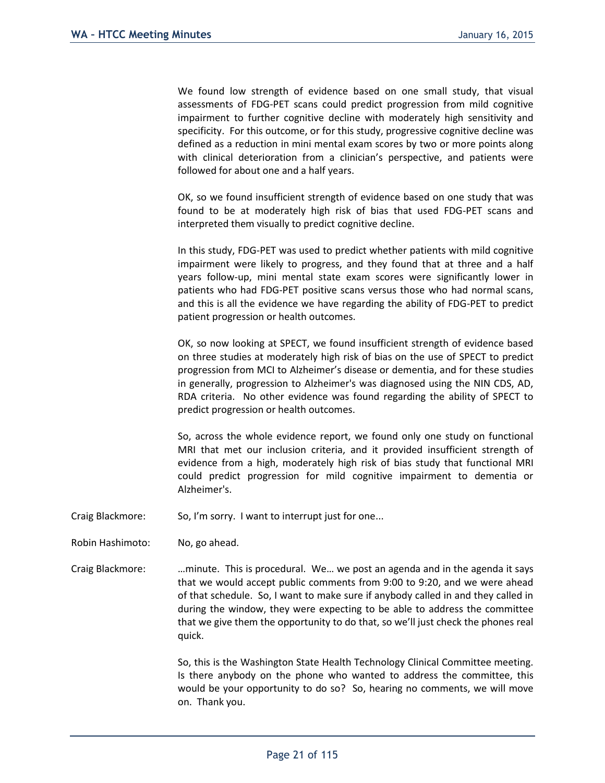We found low strength of evidence based on one small study, that visual assessments of FDG-PET scans could predict progression from mild cognitive impairment to further cognitive decline with moderately high sensitivity and specificity. For this outcome, or for this study, progressive cognitive decline was defined as a reduction in mini mental exam scores by two or more points along with clinical deterioration from a clinician's perspective, and patients were followed for about one and a half years.

OK, so we found insufficient strength of evidence based on one study that was found to be at moderately high risk of bias that used FDG-PET scans and interpreted them visually to predict cognitive decline.

In this study, FDG-PET was used to predict whether patients with mild cognitive impairment were likely to progress, and they found that at three and a half years follow-up, mini mental state exam scores were significantly lower in patients who had FDG-PET positive scans versus those who had normal scans, and this is all the evidence we have regarding the ability of FDG-PET to predict patient progression or health outcomes.

OK, so now looking at SPECT, we found insufficient strength of evidence based on three studies at moderately high risk of bias on the use of SPECT to predict progression from MCI to Alzheimer's disease or dementia, and for these studies in generally, progression to Alzheimer's was diagnosed using the NIN CDS, AD, RDA criteria. No other evidence was found regarding the ability of SPECT to predict progression or health outcomes.

So, across the whole evidence report, we found only one study on functional MRI that met our inclusion criteria, and it provided insufficient strength of evidence from a high, moderately high risk of bias study that functional MRI could predict progression for mild cognitive impairment to dementia or Alzheimer's.

- Craig Blackmore: So, I'm sorry. I want to interrupt just for one...
- Robin Hashimoto: No, go ahead.
- Craig Blackmore: …minute. This is procedural. We… we post an agenda and in the agenda it says that we would accept public comments from 9:00 to 9:20, and we were ahead of that schedule. So, I want to make sure if anybody called in and they called in during the window, they were expecting to be able to address the committee that we give them the opportunity to do that, so we'll just check the phones real quick.

So, this is the Washington State Health Technology Clinical Committee meeting. Is there anybody on the phone who wanted to address the committee, this would be your opportunity to do so? So, hearing no comments, we will move on. Thank you.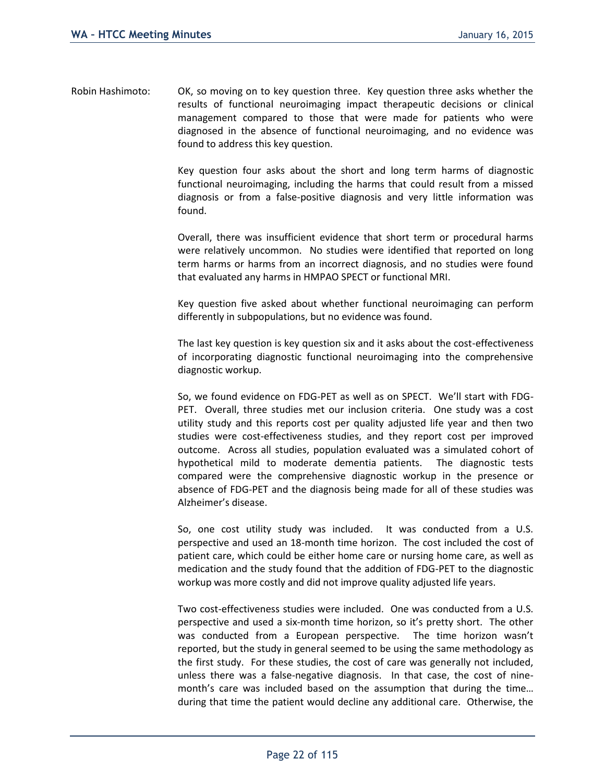Robin Hashimoto: OK, so moving on to key question three. Key question three asks whether the results of functional neuroimaging impact therapeutic decisions or clinical management compared to those that were made for patients who were diagnosed in the absence of functional neuroimaging, and no evidence was found to address this key question.

> Key question four asks about the short and long term harms of diagnostic functional neuroimaging, including the harms that could result from a missed diagnosis or from a false-positive diagnosis and very little information was found.

> Overall, there was insufficient evidence that short term or procedural harms were relatively uncommon. No studies were identified that reported on long term harms or harms from an incorrect diagnosis, and no studies were found that evaluated any harms in HMPAO SPECT or functional MRI.

> Key question five asked about whether functional neuroimaging can perform differently in subpopulations, but no evidence was found.

> The last key question is key question six and it asks about the cost-effectiveness of incorporating diagnostic functional neuroimaging into the comprehensive diagnostic workup.

> So, we found evidence on FDG-PET as well as on SPECT. We'll start with FDG-PET. Overall, three studies met our inclusion criteria. One study was a cost utility study and this reports cost per quality adjusted life year and then two studies were cost-effectiveness studies, and they report cost per improved outcome. Across all studies, population evaluated was a simulated cohort of hypothetical mild to moderate dementia patients. The diagnostic tests compared were the comprehensive diagnostic workup in the presence or absence of FDG-PET and the diagnosis being made for all of these studies was Alzheimer's disease.

> So, one cost utility study was included. It was conducted from a U.S. perspective and used an 18-month time horizon. The cost included the cost of patient care, which could be either home care or nursing home care, as well as medication and the study found that the addition of FDG-PET to the diagnostic workup was more costly and did not improve quality adjusted life years.

> Two cost-effectiveness studies were included. One was conducted from a U.S. perspective and used a six-month time horizon, so it's pretty short. The other was conducted from a European perspective. The time horizon wasn't reported, but the study in general seemed to be using the same methodology as the first study. For these studies, the cost of care was generally not included, unless there was a false-negative diagnosis. In that case, the cost of ninemonth's care was included based on the assumption that during the time… during that time the patient would decline any additional care. Otherwise, the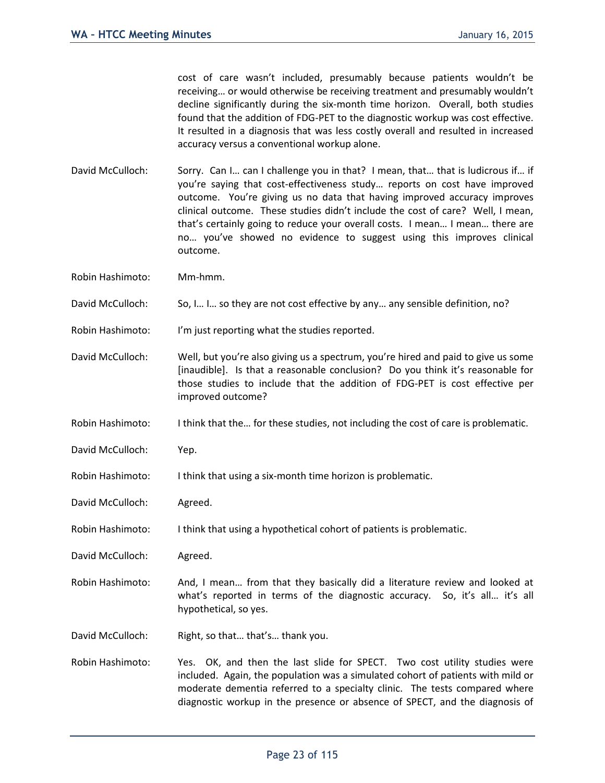cost of care wasn't included, presumably because patients wouldn't be receiving… or would otherwise be receiving treatment and presumably wouldn't decline significantly during the six-month time horizon. Overall, both studies found that the addition of FDG-PET to the diagnostic workup was cost effective. It resulted in a diagnosis that was less costly overall and resulted in increased accuracy versus a conventional workup alone.

David McCulloch: Sorry. Can I... can I challenge you in that? I mean, that... that is ludicrous if... if you're saying that cost-effectiveness study… reports on cost have improved outcome. You're giving us no data that having improved accuracy improves clinical outcome. These studies didn't include the cost of care? Well, I mean, that's certainly going to reduce your overall costs. I mean… I mean… there are no… you've showed no evidence to suggest using this improves clinical outcome.

Robin Hashimoto: Mm-hmm.

David McCulloch: So, I… I… so they are not cost effective by any… any sensible definition, no?

Robin Hashimoto: I'm just reporting what the studies reported.

- David McCulloch: Well, but you're also giving us a spectrum, you're hired and paid to give us some [inaudible]. Is that a reasonable conclusion? Do you think it's reasonable for those studies to include that the addition of FDG-PET is cost effective per improved outcome?
- Robin Hashimoto: I think that the... for these studies, not including the cost of care is problematic.
- David McCulloch: Yep.
- Robin Hashimoto: I think that using a six-month time horizon is problematic.

David McCulloch: Agreed.

Robin Hashimoto: I think that using a hypothetical cohort of patients is problematic.

David McCulloch: Agreed.

Robin Hashimoto: And, I mean… from that they basically did a literature review and looked at what's reported in terms of the diagnostic accuracy. So, it's all... it's all hypothetical, so yes.

David McCulloch: Right, so that… that's… thank you.

Robin Hashimoto: Yes. OK, and then the last slide for SPECT. Two cost utility studies were included. Again, the population was a simulated cohort of patients with mild or moderate dementia referred to a specialty clinic. The tests compared where diagnostic workup in the presence or absence of SPECT, and the diagnosis of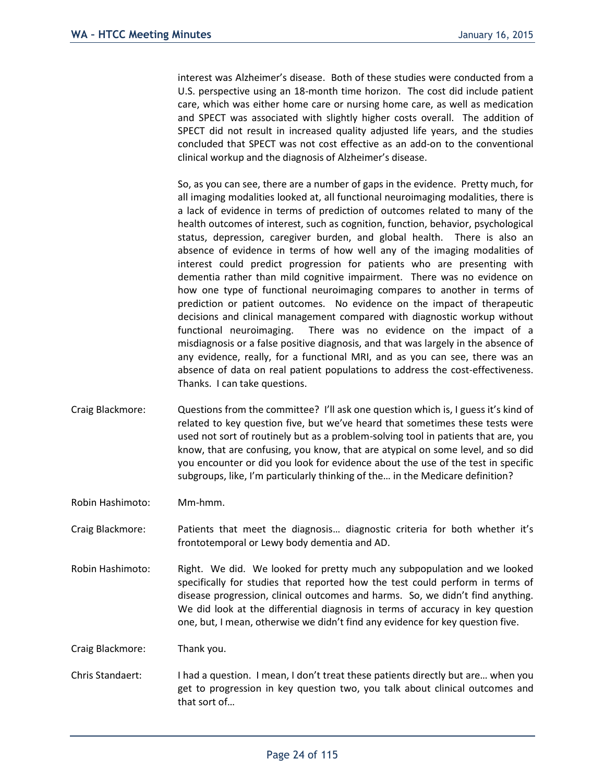interest was Alzheimer's disease. Both of these studies were conducted from a U.S. perspective using an 18-month time horizon. The cost did include patient care, which was either home care or nursing home care, as well as medication and SPECT was associated with slightly higher costs overall. The addition of SPECT did not result in increased quality adjusted life years, and the studies concluded that SPECT was not cost effective as an add-on to the conventional clinical workup and the diagnosis of Alzheimer's disease.

So, as you can see, there are a number of gaps in the evidence. Pretty much, for all imaging modalities looked at, all functional neuroimaging modalities, there is a lack of evidence in terms of prediction of outcomes related to many of the health outcomes of interest, such as cognition, function, behavior, psychological status, depression, caregiver burden, and global health. There is also an absence of evidence in terms of how well any of the imaging modalities of interest could predict progression for patients who are presenting with dementia rather than mild cognitive impairment. There was no evidence on how one type of functional neuroimaging compares to another in terms of prediction or patient outcomes. No evidence on the impact of therapeutic decisions and clinical management compared with diagnostic workup without functional neuroimaging. There was no evidence on the impact of a misdiagnosis or a false positive diagnosis, and that was largely in the absence of any evidence, really, for a functional MRI, and as you can see, there was an absence of data on real patient populations to address the cost-effectiveness. Thanks. I can take questions.

Craig Blackmore: Questions from the committee? I'll ask one question which is, I guess it's kind of related to key question five, but we've heard that sometimes these tests were used not sort of routinely but as a problem-solving tool in patients that are, you know, that are confusing, you know, that are atypical on some level, and so did you encounter or did you look for evidence about the use of the test in specific subgroups, like, I'm particularly thinking of the… in the Medicare definition?

Robin Hashimoto: Mm-hmm.

Craig Blackmore: Patients that meet the diagnosis… diagnostic criteria for both whether it's frontotemporal or Lewy body dementia and AD.

Robin Hashimoto: Right. We did. We looked for pretty much any subpopulation and we looked specifically for studies that reported how the test could perform in terms of disease progression, clinical outcomes and harms. So, we didn't find anything. We did look at the differential diagnosis in terms of accuracy in key question one, but, I mean, otherwise we didn't find any evidence for key question five.

Craig Blackmore: Thank you.

Chris Standaert: I had a question. I mean, I don't treat these patients directly but are… when you get to progression in key question two, you talk about clinical outcomes and that sort of…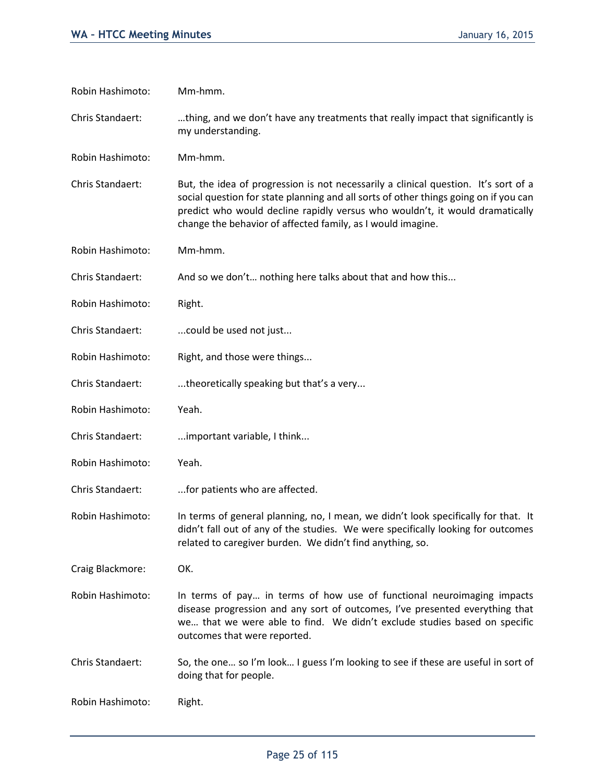| Robin Hashimoto: | Mm-hmm.                                                                                                                                                                                                                                                                                                                    |
|------------------|----------------------------------------------------------------------------------------------------------------------------------------------------------------------------------------------------------------------------------------------------------------------------------------------------------------------------|
| Chris Standaert: | thing, and we don't have any treatments that really impact that significantly is<br>my understanding.                                                                                                                                                                                                                      |
| Robin Hashimoto: | Mm-hmm.                                                                                                                                                                                                                                                                                                                    |
| Chris Standaert: | But, the idea of progression is not necessarily a clinical question. It's sort of a<br>social question for state planning and all sorts of other things going on if you can<br>predict who would decline rapidly versus who wouldn't, it would dramatically<br>change the behavior of affected family, as I would imagine. |
| Robin Hashimoto: | Mm-hmm.                                                                                                                                                                                                                                                                                                                    |
| Chris Standaert: | And so we don't nothing here talks about that and how this                                                                                                                                                                                                                                                                 |
| Robin Hashimoto: | Right.                                                                                                                                                                                                                                                                                                                     |
| Chris Standaert: | could be used not just                                                                                                                                                                                                                                                                                                     |
| Robin Hashimoto: | Right, and those were things                                                                                                                                                                                                                                                                                               |
| Chris Standaert: | theoretically speaking but that's a very                                                                                                                                                                                                                                                                                   |
| Robin Hashimoto: | Yeah.                                                                                                                                                                                                                                                                                                                      |
| Chris Standaert: | important variable, I think                                                                                                                                                                                                                                                                                                |
| Robin Hashimoto: | Yeah.                                                                                                                                                                                                                                                                                                                      |
| Chris Standaert: | for patients who are affected.                                                                                                                                                                                                                                                                                             |
| Robin Hashimoto: | In terms of general planning, no, I mean, we didn't look specifically for that. It<br>didn't fall out of any of the studies. We were specifically looking for outcomes<br>related to caregiver burden. We didn't find anything, so.                                                                                        |
| Craig Blackmore: | OK.                                                                                                                                                                                                                                                                                                                        |
| Robin Hashimoto: | In terms of pay in terms of how use of functional neuroimaging impacts<br>disease progression and any sort of outcomes, I've presented everything that<br>we that we were able to find. We didn't exclude studies based on specific<br>outcomes that were reported.                                                        |
| Chris Standaert: | So, the one so I'm look I guess I'm looking to see if these are useful in sort of<br>doing that for people.                                                                                                                                                                                                                |
| Robin Hashimoto: | Right.                                                                                                                                                                                                                                                                                                                     |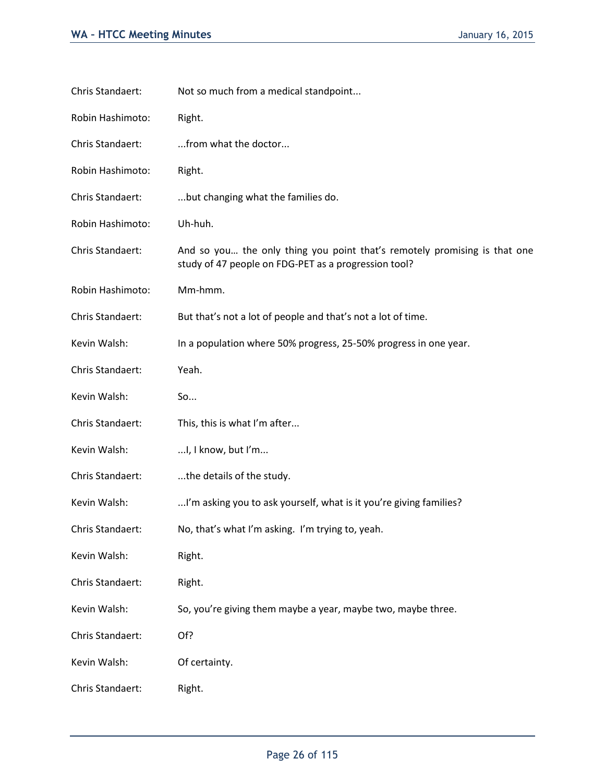| Chris Standaert: | Not so much from a medical standpoint                                                                                             |
|------------------|-----------------------------------------------------------------------------------------------------------------------------------|
| Robin Hashimoto: | Right.                                                                                                                            |
| Chris Standaert: | from what the doctor                                                                                                              |
| Robin Hashimoto: | Right.                                                                                                                            |
| Chris Standaert: | but changing what the families do.                                                                                                |
| Robin Hashimoto: | Uh-huh.                                                                                                                           |
| Chris Standaert: | And so you the only thing you point that's remotely promising is that one<br>study of 47 people on FDG-PET as a progression tool? |
| Robin Hashimoto: | Mm-hmm.                                                                                                                           |
| Chris Standaert: | But that's not a lot of people and that's not a lot of time.                                                                      |
| Kevin Walsh:     | In a population where 50% progress, 25-50% progress in one year.                                                                  |
| Chris Standaert: | Yeah.                                                                                                                             |
| Kevin Walsh:     | So                                                                                                                                |
| Chris Standaert: | This, this is what I'm after                                                                                                      |
| Kevin Walsh:     | I, I know, but I'm                                                                                                                |
| Chris Standaert: | the details of the study.                                                                                                         |
| Kevin Walsh:     | I'm asking you to ask yourself, what is it you're giving families?                                                                |
| Chris Standaert: | No, that's what I'm asking. I'm trying to, yeah.                                                                                  |
| Kevin Walsh:     | Right.                                                                                                                            |
| Chris Standaert: | Right.                                                                                                                            |
| Kevin Walsh:     | So, you're giving them maybe a year, maybe two, maybe three.                                                                      |
| Chris Standaert: | Of?                                                                                                                               |
| Kevin Walsh:     | Of certainty.                                                                                                                     |
| Chris Standaert: | Right.                                                                                                                            |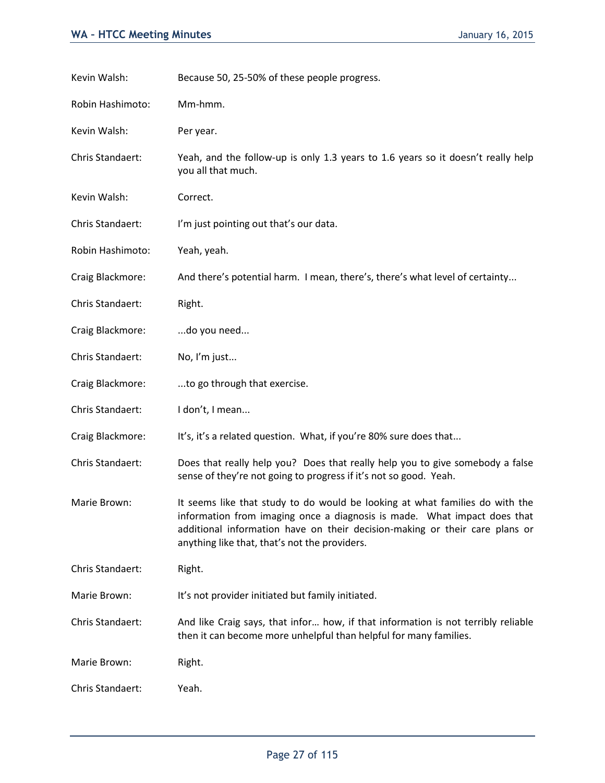| Kevin Walsh:     | Because 50, 25-50% of these people progress.                                                                                                                                                                                                                                             |
|------------------|------------------------------------------------------------------------------------------------------------------------------------------------------------------------------------------------------------------------------------------------------------------------------------------|
| Robin Hashimoto: | Mm-hmm.                                                                                                                                                                                                                                                                                  |
| Kevin Walsh:     | Per year.                                                                                                                                                                                                                                                                                |
| Chris Standaert: | Yeah, and the follow-up is only 1.3 years to 1.6 years so it doesn't really help<br>you all that much.                                                                                                                                                                                   |
| Kevin Walsh:     | Correct.                                                                                                                                                                                                                                                                                 |
| Chris Standaert: | I'm just pointing out that's our data.                                                                                                                                                                                                                                                   |
| Robin Hashimoto: | Yeah, yeah.                                                                                                                                                                                                                                                                              |
| Craig Blackmore: | And there's potential harm. I mean, there's, there's what level of certainty                                                                                                                                                                                                             |
| Chris Standaert: | Right.                                                                                                                                                                                                                                                                                   |
| Craig Blackmore: | do you need                                                                                                                                                                                                                                                                              |
| Chris Standaert: | No, I'm just                                                                                                                                                                                                                                                                             |
| Craig Blackmore: | to go through that exercise.                                                                                                                                                                                                                                                             |
| Chris Standaert: | I don't, I mean                                                                                                                                                                                                                                                                          |
| Craig Blackmore: | It's, it's a related question. What, if you're 80% sure does that                                                                                                                                                                                                                        |
| Chris Standaert: | Does that really help you? Does that really help you to give somebody a false<br>sense of they're not going to progress if it's not so good. Yeah.                                                                                                                                       |
| Marie Brown:     | It seems like that study to do would be looking at what families do with the<br>information from imaging once a diagnosis is made. What impact does that<br>additional information have on their decision-making or their care plans or<br>anything like that, that's not the providers. |
| Chris Standaert: | Right.                                                                                                                                                                                                                                                                                   |
| Marie Brown:     | It's not provider initiated but family initiated.                                                                                                                                                                                                                                        |
| Chris Standaert: | And like Craig says, that infor how, if that information is not terribly reliable<br>then it can become more unhelpful than helpful for many families.                                                                                                                                   |
| Marie Brown:     | Right.                                                                                                                                                                                                                                                                                   |
| Chris Standaert: | Yeah.                                                                                                                                                                                                                                                                                    |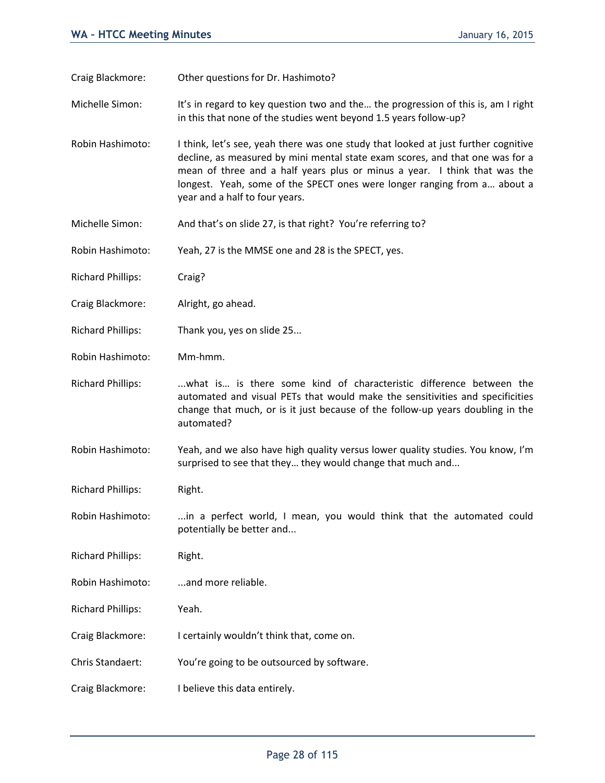Craig Blackmore: Other questions for Dr. Hashimoto?

Michelle Simon: It's in regard to key question two and the… the progression of this is, am I right in this that none of the studies went beyond 1.5 years follow-up?

Robin Hashimoto: I think, let's see, yeah there was one study that looked at just further cognitive decline, as measured by mini mental state exam scores, and that one was for a mean of three and a half years plus or minus a year. I think that was the longest. Yeah, some of the SPECT ones were longer ranging from a… about a year and a half to four years.

- Michelle Simon: And that's on slide 27, is that right? You're referring to?
- Robin Hashimoto: Yeah, 27 is the MMSE one and 28 is the SPECT, yes.
- Richard Phillips: Craig?
- Craig Blackmore: Alright, go ahead.
- Richard Phillips: Thank you, yes on slide 25...
- Robin Hashimoto: Mm-hmm.
- Richard Phillips: ...what is... is there some kind of characteristic difference between the automated and visual PETs that would make the sensitivities and specificities change that much, or is it just because of the follow-up years doubling in the automated?
- Robin Hashimoto: Yeah, and we also have high quality versus lower quality studies. You know, I'm surprised to see that they… they would change that much and...
- Richard Phillips: Right.
- Robin Hashimoto: ...in a perfect world, I mean, you would think that the automated could potentially be better and...
- Richard Phillips: Right.
- Robin Hashimoto: ...and more reliable.
- Richard Phillips: Yeah.
- Craig Blackmore: I certainly wouldn't think that, come on.
- Chris Standaert: You're going to be outsourced by software.
- Craig Blackmore: I believe this data entirely.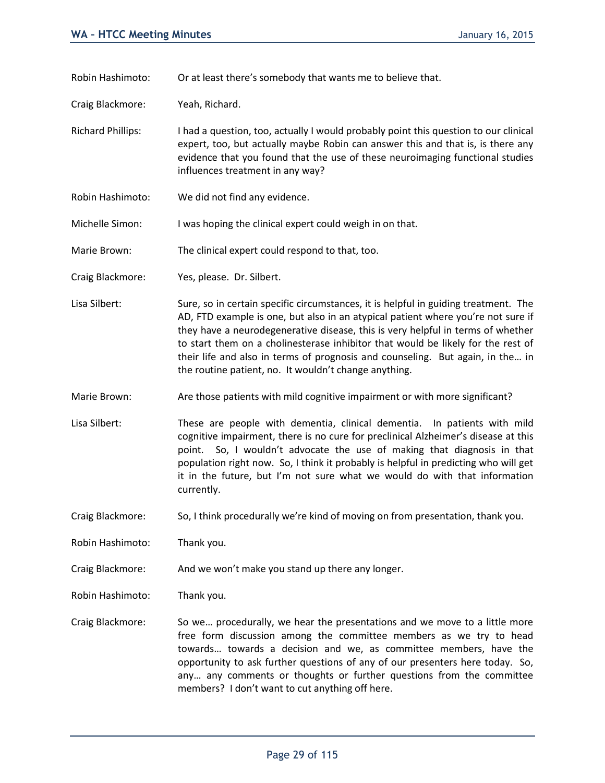Robin Hashimoto: Or at least there's somebody that wants me to believe that.

Craig Blackmore: Yeah, Richard.

Richard Phillips: I had a question, too, actually I would probably point this question to our clinical expert, too, but actually maybe Robin can answer this and that is, is there any evidence that you found that the use of these neuroimaging functional studies influences treatment in any way?

Robin Hashimoto: We did not find any evidence.

Michelle Simon: I was hoping the clinical expert could weigh in on that.

Marie Brown: The clinical expert could respond to that, too.

Craig Blackmore: Yes, please. Dr. Silbert.

- Lisa Silbert: Sure, so in certain specific circumstances, it is helpful in guiding treatment. The AD, FTD example is one, but also in an atypical patient where you're not sure if they have a neurodegenerative disease, this is very helpful in terms of whether to start them on a cholinesterase inhibitor that would be likely for the rest of their life and also in terms of prognosis and counseling. But again, in the… in the routine patient, no. It wouldn't change anything.
- Marie Brown: Are those patients with mild cognitive impairment or with more significant?

Lisa Silbert: These are people with dementia, clinical dementia. In patients with mild cognitive impairment, there is no cure for preclinical Alzheimer's disease at this point. So, I wouldn't advocate the use of making that diagnosis in that population right now. So, I think it probably is helpful in predicting who will get it in the future, but I'm not sure what we would do with that information currently.

Craig Blackmore: So, I think procedurally we're kind of moving on from presentation, thank you.

Robin Hashimoto: Thank you.

Craig Blackmore: And we won't make you stand up there any longer.

Robin Hashimoto: Thank you.

Craig Blackmore: So we… procedurally, we hear the presentations and we move to a little more free form discussion among the committee members as we try to head towards… towards a decision and we, as committee members, have the opportunity to ask further questions of any of our presenters here today. So, any… any comments or thoughts or further questions from the committee members? I don't want to cut anything off here.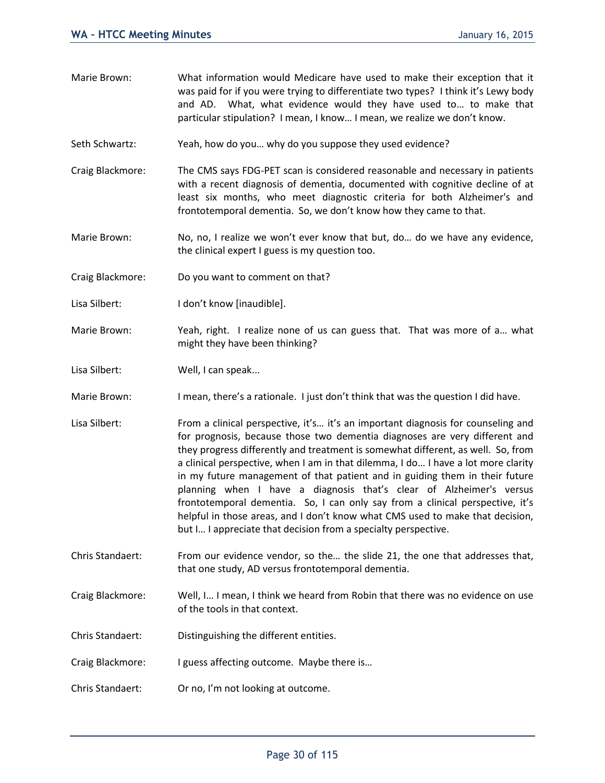- Marie Brown: What information would Medicare have used to make their exception that it was paid for if you were trying to differentiate two types? I think it's Lewy body and AD. What, what evidence would they have used to… to make that particular stipulation? I mean, I know… I mean, we realize we don't know.
- Seth Schwartz: Yeah, how do you… why do you suppose they used evidence?
- Craig Blackmore: The CMS says FDG-PET scan is considered reasonable and necessary in patients with a recent diagnosis of dementia, documented with cognitive decline of at least six months, who meet diagnostic criteria for both Alzheimer's and frontotemporal dementia. So, we don't know how they came to that.
- Marie Brown: No, no, I realize we won't ever know that but, do... do we have any evidence, the clinical expert I guess is my question too.
- Craig Blackmore: Do you want to comment on that?
- Lisa Silbert: I don't know [inaudible].
- Marie Brown: Yeah, right. I realize none of us can guess that. That was more of a... what might they have been thinking?
- Lisa Silbert: Well, I can speak...
- Marie Brown: I mean, there's a rationale. I just don't think that was the question I did have.
- Lisa Silbert: From a clinical perspective, it's... it's an important diagnosis for counseling and for prognosis, because those two dementia diagnoses are very different and they progress differently and treatment is somewhat different, as well. So, from a clinical perspective, when I am in that dilemma, I do… I have a lot more clarity in my future management of that patient and in guiding them in their future planning when I have a diagnosis that's clear of Alzheimer's versus frontotemporal dementia. So, I can only say from a clinical perspective, it's helpful in those areas, and I don't know what CMS used to make that decision, but I… I appreciate that decision from a specialty perspective.
- Chris Standaert: From our evidence vendor, so the… the slide 21, the one that addresses that, that one study, AD versus frontotemporal dementia.
- Craig Blackmore: Well, I… I mean, I think we heard from Robin that there was no evidence on use of the tools in that context.
- Chris Standaert: Distinguishing the different entities.
- Craig Blackmore: I guess affecting outcome. Maybe there is…
- Chris Standaert: Or no, I'm not looking at outcome.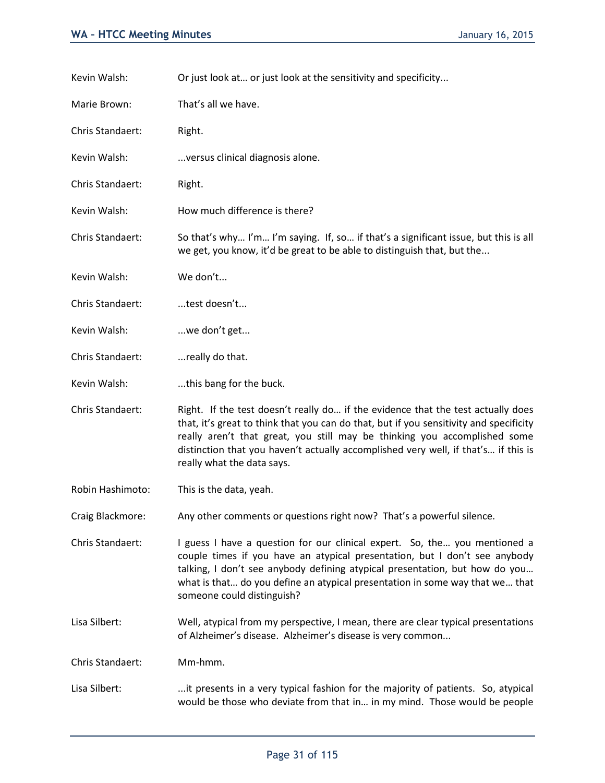Kevin Walsh: Or just look at ... or just look at the sensitivity and specificity...

Marie Brown: That's all we have.

Chris Standaert: Right.

Kevin Walsh: ...versus clinical diagnosis alone.

Chris Standaert: Right.

Kevin Walsh: How much difference is there?

Chris Standaert: So that's why… I'm… I'm saying. If, so… if that's a significant issue, but this is all we get, you know, it'd be great to be able to distinguish that, but the...

Kevin Walsh: We don't...

- Chris Standaert: ...test doesn't...
- Kevin Walsh: ...we don't get...
- Chris Standaert: ...really do that.

Kevin Walsh: ...this bang for the buck.

- Chris Standaert: Right. If the test doesn't really do… if the evidence that the test actually does that, it's great to think that you can do that, but if you sensitivity and specificity really aren't that great, you still may be thinking you accomplished some distinction that you haven't actually accomplished very well, if that's… if this is really what the data says.
- Robin Hashimoto: This is the data, yeah.

Craig Blackmore: Any other comments or questions right now? That's a powerful silence.

Chris Standaert: I guess I have a question for our clinical expert. So, the… you mentioned a couple times if you have an atypical presentation, but I don't see anybody talking, I don't see anybody defining atypical presentation, but how do you… what is that… do you define an atypical presentation in some way that we… that someone could distinguish?

Lisa Silbert: Well, atypical from my perspective, I mean, there are clear typical presentations of Alzheimer's disease. Alzheimer's disease is very common...

Chris Standaert: Mm-hmm.

Lisa Silbert: ...it presents in a very typical fashion for the majority of patients. So, atypical would be those who deviate from that in… in my mind. Those would be people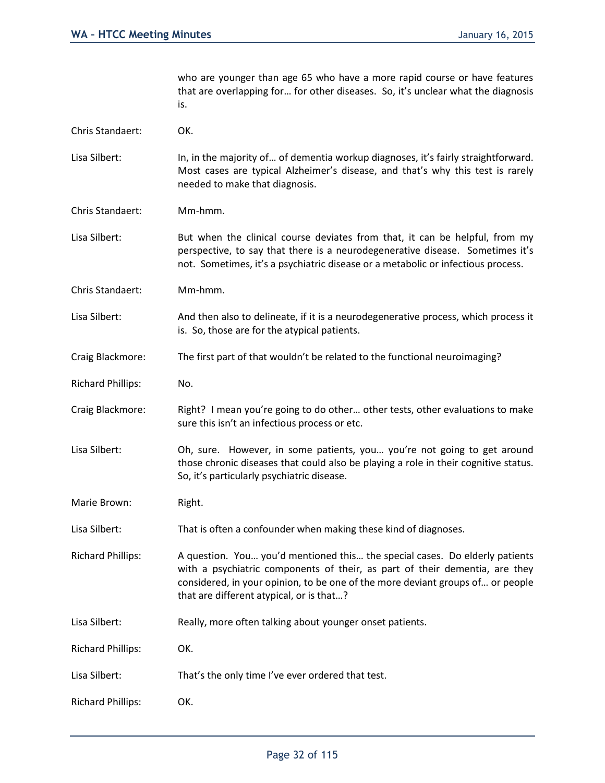who are younger than age 65 who have a more rapid course or have features that are overlapping for… for other diseases. So, it's unclear what the diagnosis is.

Chris Standaert: OK.

Lisa Silbert: In, in the majority of... of dementia workup diagnoses, it's fairly straightforward. Most cases are typical Alzheimer's disease, and that's why this test is rarely needed to make that diagnosis.

- Chris Standaert: Mm-hmm.
- Lisa Silbert: But when the clinical course deviates from that, it can be helpful, from my perspective, to say that there is a neurodegenerative disease. Sometimes it's not. Sometimes, it's a psychiatric disease or a metabolic or infectious process.
- Chris Standaert: Mm-hmm.
- Lisa Silbert: And then also to delineate, if it is a neurodegenerative process, which process it is. So, those are for the atypical patients.
- Craig Blackmore: The first part of that wouldn't be related to the functional neuroimaging?
- Richard Phillips: No.
- Craig Blackmore: Right? I mean you're going to do other… other tests, other evaluations to make sure this isn't an infectious process or etc.
- Lisa Silbert: Oh, sure. However, in some patients, you... you're not going to get around those chronic diseases that could also be playing a role in their cognitive status. So, it's particularly psychiatric disease.
- Marie Brown: Right.
- Lisa Silbert: That is often a confounder when making these kind of diagnoses.
- Richard Phillips: A question. You… you'd mentioned this… the special cases. Do elderly patients with a psychiatric components of their, as part of their dementia, are they considered, in your opinion, to be one of the more deviant groups of… or people that are different atypical, or is that…?
- Lisa Silbert: Really, more often talking about younger onset patients.
- Richard Phillips: OK.
- Lisa Silbert: That's the only time I've ever ordered that test.
- Richard Phillips: OK.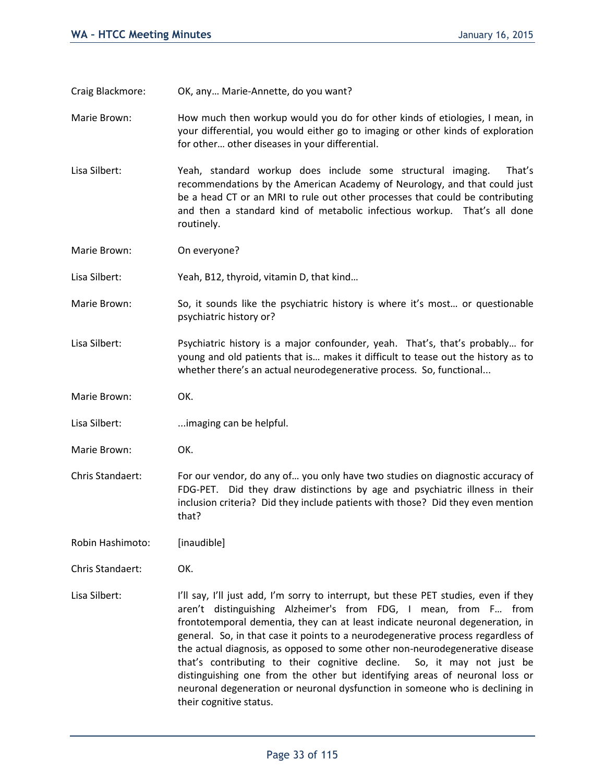Craig Blackmore: OK, any… Marie-Annette, do you want?

Marie Brown: How much then workup would you do for other kinds of etiologies, I mean, in your differential, you would either go to imaging or other kinds of exploration for other… other diseases in your differential.

Lisa Silbert: Yeah, standard workup does include some structural imaging. That's recommendations by the American Academy of Neurology, and that could just be a head CT or an MRI to rule out other processes that could be contributing and then a standard kind of metabolic infectious workup. That's all done routinely.

Marie Brown: On everyone?

Lisa Silbert: Yeah, B12, thyroid, vitamin D, that kind…

Marie Brown: So, it sounds like the psychiatric history is where it's most... or questionable psychiatric history or?

Lisa Silbert: Psychiatric history is a major confounder, yeah. That's, that's probably... for young and old patients that is… makes it difficult to tease out the history as to whether there's an actual neurodegenerative process. So, functional...

Marie Brown: OK.

Lisa Silbert: ...imaging can be helpful.

Marie Brown: OK.

Chris Standaert: For our vendor, do any of… you only have two studies on diagnostic accuracy of FDG-PET. Did they draw distinctions by age and psychiatric illness in their inclusion criteria? Did they include patients with those? Did they even mention that?

Robin Hashimoto: [inaudible]

Chris Standaert: OK.

Lisa Silbert: I'll say, I'll just add, I'm sorry to interrupt, but these PET studies, even if they aren't distinguishing Alzheimer's from FDG, I mean, from F… from frontotemporal dementia, they can at least indicate neuronal degeneration, in general. So, in that case it points to a neurodegenerative process regardless of the actual diagnosis, as opposed to some other non-neurodegenerative disease that's contributing to their cognitive decline. So, it may not just be distinguishing one from the other but identifying areas of neuronal loss or neuronal degeneration or neuronal dysfunction in someone who is declining in their cognitive status.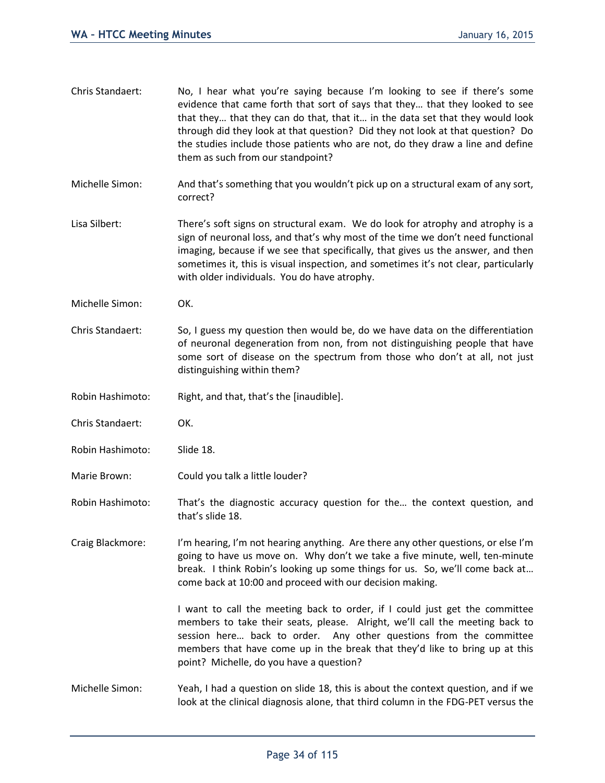| Chris Standaert: | No, I hear what you're saying because I'm looking to see if there's some<br>evidence that came forth that sort of says that they that they looked to see<br>that they that they can do that, that it in the data set that they would look<br>through did they look at that question? Did they not look at that question? Do<br>the studies include those patients who are not, do they draw a line and define<br>them as such from our standpoint? |
|------------------|----------------------------------------------------------------------------------------------------------------------------------------------------------------------------------------------------------------------------------------------------------------------------------------------------------------------------------------------------------------------------------------------------------------------------------------------------|
| Michelle Simon:  | And that's something that you wouldn't pick up on a structural exam of any sort,<br>correct?                                                                                                                                                                                                                                                                                                                                                       |
| Lisa Silbert:    | There's soft signs on structural exam. We do look for atrophy and atrophy is a<br>sign of neuronal loss, and that's why most of the time we don't need functional<br>imaging, because if we see that specifically, that gives us the answer, and then<br>sometimes it, this is visual inspection, and sometimes it's not clear, particularly<br>with older individuals. You do have atrophy.                                                       |
| Michelle Simon:  | OK.                                                                                                                                                                                                                                                                                                                                                                                                                                                |
| Chris Standaert: | So, I guess my question then would be, do we have data on the differentiation<br>of neuronal degeneration from non, from not distinguishing people that have<br>some sort of disease on the spectrum from those who don't at all, not just<br>distinguishing within them?                                                                                                                                                                          |
| Robin Hashimoto: | Right, and that, that's the [inaudible].                                                                                                                                                                                                                                                                                                                                                                                                           |
| Chris Standaert: | OK.                                                                                                                                                                                                                                                                                                                                                                                                                                                |
| Robin Hashimoto: | Slide 18.                                                                                                                                                                                                                                                                                                                                                                                                                                          |
| Marie Brown:     | Could you talk a little louder?                                                                                                                                                                                                                                                                                                                                                                                                                    |
| Robin Hashimoto: | That's the diagnostic accuracy question for the the context question, and<br>that's slide 18.                                                                                                                                                                                                                                                                                                                                                      |
| Craig Blackmore: | I'm hearing, I'm not hearing anything. Are there any other questions, or else I'm<br>going to have us move on. Why don't we take a five minute, well, ten-minute<br>break. I think Robin's looking up some things for us. So, we'll come back at<br>come back at 10:00 and proceed with our decision making.                                                                                                                                       |
|                  | I want to call the meeting back to order, if I could just get the committee<br>members to take their seats, please. Alright, we'll call the meeting back to<br>session here back to order. Any other questions from the committee<br>members that have come up in the break that they'd like to bring up at this<br>point? Michelle, do you have a question?                                                                                       |
| Michelle Simon:  | Yeah, I had a question on slide 18, this is about the context question, and if we<br>look at the clinical diagnosis alone, that third column in the FDG-PET versus the                                                                                                                                                                                                                                                                             |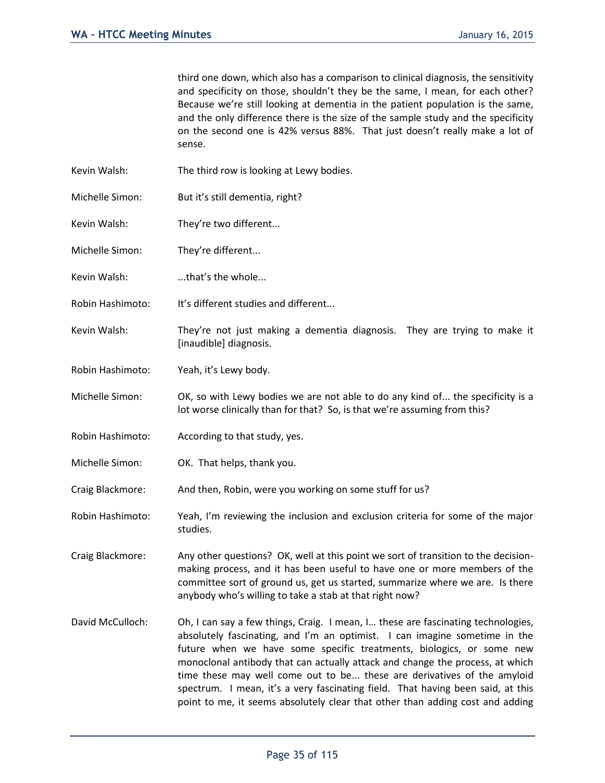third one down, which also has a comparison to clinical diagnosis, the sensitivity and specificity on those, shouldn't they be the same, I mean, for each other? Because we're still looking at dementia in the patient population is the same, and the only difference there is the size of the sample study and the specificity on the second one is 42% versus 88%. That just doesn't really make a lot of sense.

- Kevin Walsh: The third row is looking at Lewy bodies.
- Michelle Simon: But it's still dementia, right?
- Kevin Walsh: They're two different...
- Michelle Simon: They're different...
- Kevin Walsh: ...that's the whole...
- Robin Hashimoto: It's different studies and different...
- Kevin Walsh: They're not just making a dementia diagnosis. They are trying to make it [inaudible] diagnosis.
- Robin Hashimoto: Yeah, it's Lewy body.

Michelle Simon: OK, so with Lewy bodies we are not able to do any kind of... the specificity is a lot worse clinically than for that? So, is that we're assuming from this?

- Robin Hashimoto: According to that study, yes.
- Michelle Simon: OK. That helps, thank you.
- Craig Blackmore: And then, Robin, were you working on some stuff for us?
- Robin Hashimoto: Yeah, I'm reviewing the inclusion and exclusion criteria for some of the major studies.
- Craig Blackmore: Any other questions? OK, well at this point we sort of transition to the decisionmaking process, and it has been useful to have one or more members of the committee sort of ground us, get us started, summarize where we are. Is there anybody who's willing to take a stab at that right now?
- David McCulloch: Oh, I can say a few things, Craig. I mean, I... these are fascinating technologies, absolutely fascinating, and I'm an optimist. I can imagine sometime in the future when we have some specific treatments, biologics, or some new monoclonal antibody that can actually attack and change the process, at which time these may well come out to be... these are derivatives of the amyloid spectrum. I mean, it's a very fascinating field. That having been said, at this point to me, it seems absolutely clear that other than adding cost and adding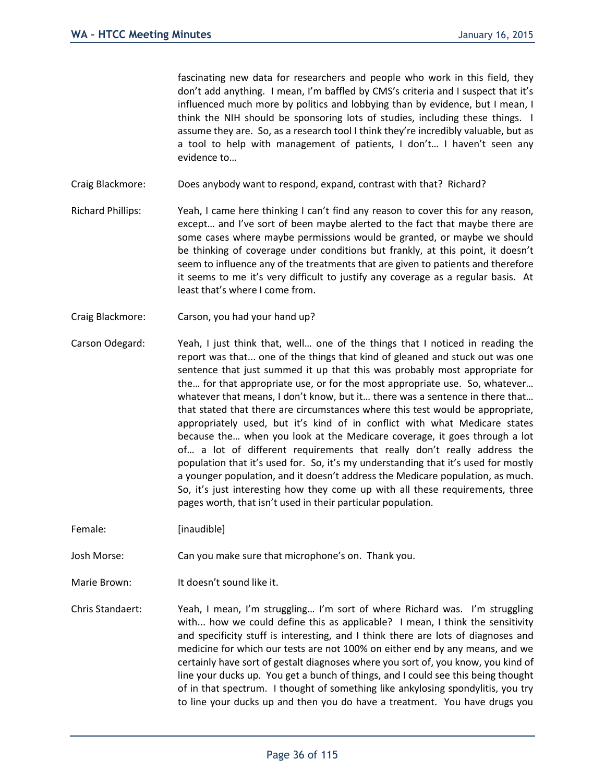fascinating new data for researchers and people who work in this field, they don't add anything. I mean, I'm baffled by CMS's criteria and I suspect that it's influenced much more by politics and lobbying than by evidence, but I mean, I think the NIH should be sponsoring lots of studies, including these things. I assume they are. So, as a research tool I think they're incredibly valuable, but as a tool to help with management of patients, I don't… I haven't seen any evidence to…

- Craig Blackmore: Does anybody want to respond, expand, contrast with that? Richard?
- Richard Phillips: Yeah, I came here thinking I can't find any reason to cover this for any reason, except… and I've sort of been maybe alerted to the fact that maybe there are some cases where maybe permissions would be granted, or maybe we should be thinking of coverage under conditions but frankly, at this point, it doesn't seem to influence any of the treatments that are given to patients and therefore it seems to me it's very difficult to justify any coverage as a regular basis. At least that's where I come from.
- Craig Blackmore: Carson, you had your hand up?
- Carson Odegard: Yeah, I just think that, well… one of the things that I noticed in reading the report was that... one of the things that kind of gleaned and stuck out was one sentence that just summed it up that this was probably most appropriate for the… for that appropriate use, or for the most appropriate use. So, whatever… whatever that means, I don't know, but it... there was a sentence in there that... that stated that there are circumstances where this test would be appropriate, appropriately used, but it's kind of in conflict with what Medicare states because the… when you look at the Medicare coverage, it goes through a lot of… a lot of different requirements that really don't really address the population that it's used for. So, it's my understanding that it's used for mostly a younger population, and it doesn't address the Medicare population, as much. So, it's just interesting how they come up with all these requirements, three pages worth, that isn't used in their particular population.

Female: [inaudible]

Josh Morse: Can you make sure that microphone's on. Thank you.

Marie Brown: It doesn't sound like it.

Chris Standaert: Yeah, I mean, I'm struggling… I'm sort of where Richard was. I'm struggling with... how we could define this as applicable? I mean, I think the sensitivity and specificity stuff is interesting, and I think there are lots of diagnoses and medicine for which our tests are not 100% on either end by any means, and we certainly have sort of gestalt diagnoses where you sort of, you know, you kind of line your ducks up. You get a bunch of things, and I could see this being thought of in that spectrum. I thought of something like ankylosing spondylitis, you try to line your ducks up and then you do have a treatment. You have drugs you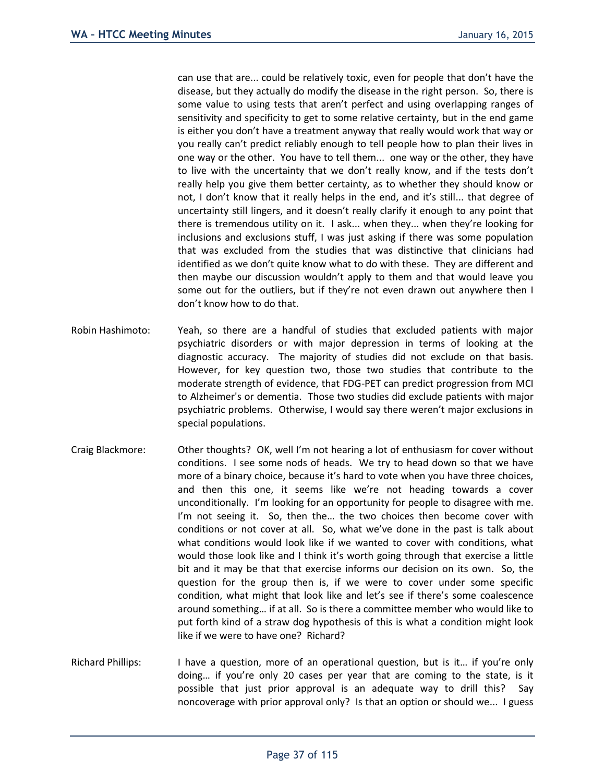can use that are... could be relatively toxic, even for people that don't have the disease, but they actually do modify the disease in the right person. So, there is some value to using tests that aren't perfect and using overlapping ranges of sensitivity and specificity to get to some relative certainty, but in the end game is either you don't have a treatment anyway that really would work that way or you really can't predict reliably enough to tell people how to plan their lives in one way or the other. You have to tell them... one way or the other, they have to live with the uncertainty that we don't really know, and if the tests don't really help you give them better certainty, as to whether they should know or not, I don't know that it really helps in the end, and it's still... that degree of uncertainty still lingers, and it doesn't really clarify it enough to any point that there is tremendous utility on it. I ask... when they... when they're looking for inclusions and exclusions stuff, I was just asking if there was some population that was excluded from the studies that was distinctive that clinicians had identified as we don't quite know what to do with these. They are different and then maybe our discussion wouldn't apply to them and that would leave you some out for the outliers, but if they're not even drawn out anywhere then I don't know how to do that.

- Robin Hashimoto: Yeah, so there are a handful of studies that excluded patients with major psychiatric disorders or with major depression in terms of looking at the diagnostic accuracy. The majority of studies did not exclude on that basis. However, for key question two, those two studies that contribute to the moderate strength of evidence, that FDG-PET can predict progression from MCI to Alzheimer's or dementia. Those two studies did exclude patients with major psychiatric problems. Otherwise, I would say there weren't major exclusions in special populations.
- Craig Blackmore: Other thoughts? OK, well I'm not hearing a lot of enthusiasm for cover without conditions. I see some nods of heads. We try to head down so that we have more of a binary choice, because it's hard to vote when you have three choices, and then this one, it seems like we're not heading towards a cover unconditionally. I'm looking for an opportunity for people to disagree with me. I'm not seeing it. So, then the… the two choices then become cover with conditions or not cover at all. So, what we've done in the past is talk about what conditions would look like if we wanted to cover with conditions, what would those look like and I think it's worth going through that exercise a little bit and it may be that that exercise informs our decision on its own. So, the question for the group then is, if we were to cover under some specific condition, what might that look like and let's see if there's some coalescence around something… if at all. So is there a committee member who would like to put forth kind of a straw dog hypothesis of this is what a condition might look like if we were to have one? Richard?
- Richard Phillips: I have a question, more of an operational question, but is it… if you're only doing… if you're only 20 cases per year that are coming to the state, is it possible that just prior approval is an adequate way to drill this? Say noncoverage with prior approval only? Is that an option or should we... I guess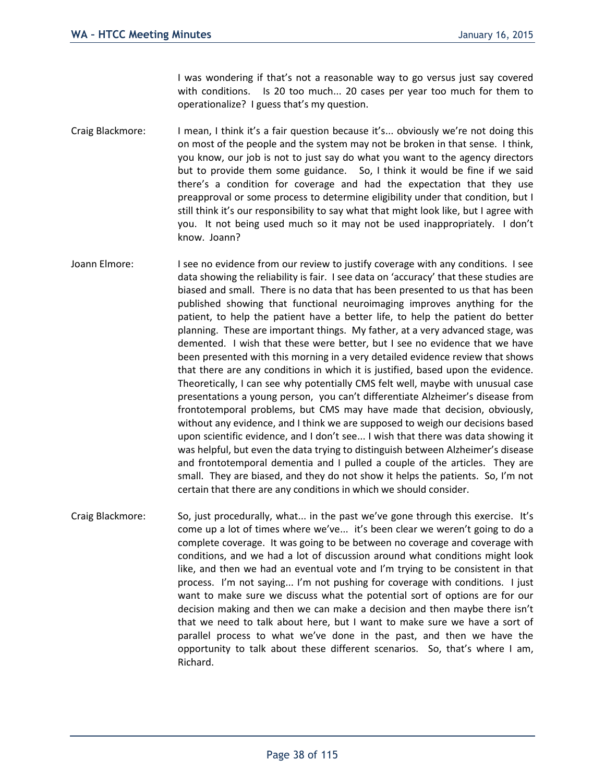I was wondering if that's not a reasonable way to go versus just say covered with conditions. Is 20 too much... 20 cases per year too much for them to operationalize? I guess that's my question.

- Craig Blackmore: I mean, I think it's a fair question because it's... obviously we're not doing this on most of the people and the system may not be broken in that sense. I think, you know, our job is not to just say do what you want to the agency directors but to provide them some guidance. So, I think it would be fine if we said there's a condition for coverage and had the expectation that they use preapproval or some process to determine eligibility under that condition, but I still think it's our responsibility to say what that might look like, but I agree with you. It not being used much so it may not be used inappropriately. I don't know. Joann?
- Joann Elmore: I see no evidence from our review to justify coverage with any conditions. I see data showing the reliability is fair. I see data on 'accuracy' that these studies are biased and small. There is no data that has been presented to us that has been published showing that functional neuroimaging improves anything for the patient, to help the patient have a better life, to help the patient do better planning. These are important things. My father, at a very advanced stage, was demented. I wish that these were better, but I see no evidence that we have been presented with this morning in a very detailed evidence review that shows that there are any conditions in which it is justified, based upon the evidence. Theoretically, I can see why potentially CMS felt well, maybe with unusual case presentations a young person, you can't differentiate Alzheimer's disease from frontotemporal problems, but CMS may have made that decision, obviously, without any evidence, and I think we are supposed to weigh our decisions based upon scientific evidence, and I don't see... I wish that there was data showing it was helpful, but even the data trying to distinguish between Alzheimer's disease and frontotemporal dementia and I pulled a couple of the articles. They are small. They are biased, and they do not show it helps the patients. So, I'm not certain that there are any conditions in which we should consider.
- Craig Blackmore: So, just procedurally, what... in the past we've gone through this exercise. It's come up a lot of times where we've... it's been clear we weren't going to do a complete coverage. It was going to be between no coverage and coverage with conditions, and we had a lot of discussion around what conditions might look like, and then we had an eventual vote and I'm trying to be consistent in that process. I'm not saying... I'm not pushing for coverage with conditions. I just want to make sure we discuss what the potential sort of options are for our decision making and then we can make a decision and then maybe there isn't that we need to talk about here, but I want to make sure we have a sort of parallel process to what we've done in the past, and then we have the opportunity to talk about these different scenarios. So, that's where I am, Richard.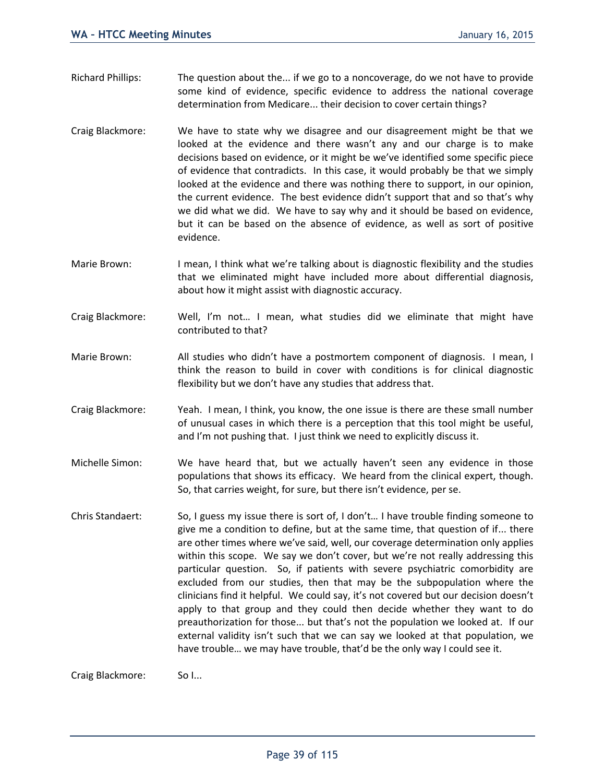- Richard Phillips: The question about the... if we go to a noncoverage, do we not have to provide some kind of evidence, specific evidence to address the national coverage determination from Medicare... their decision to cover certain things?
- Craig Blackmore: We have to state why we disagree and our disagreement might be that we looked at the evidence and there wasn't any and our charge is to make decisions based on evidence, or it might be we've identified some specific piece of evidence that contradicts. In this case, it would probably be that we simply looked at the evidence and there was nothing there to support, in our opinion, the current evidence. The best evidence didn't support that and so that's why we did what we did. We have to say why and it should be based on evidence, but it can be based on the absence of evidence, as well as sort of positive evidence.
- Marie Brown: I mean, I think what we're talking about is diagnostic flexibility and the studies that we eliminated might have included more about differential diagnosis, about how it might assist with diagnostic accuracy.
- Craig Blackmore: Well, I'm not… I mean, what studies did we eliminate that might have contributed to that?
- Marie Brown: All studies who didn't have a postmortem component of diagnosis. I mean, I think the reason to build in cover with conditions is for clinical diagnostic flexibility but we don't have any studies that address that.
- Craig Blackmore: Yeah. I mean, I think, you know, the one issue is there are these small number of unusual cases in which there is a perception that this tool might be useful, and I'm not pushing that. I just think we need to explicitly discuss it.
- Michelle Simon: We have heard that, but we actually haven't seen any evidence in those populations that shows its efficacy. We heard from the clinical expert, though. So, that carries weight, for sure, but there isn't evidence, per se.
- Chris Standaert: So, I guess my issue there is sort of, I don't… I have trouble finding someone to give me a condition to define, but at the same time, that question of if... there are other times where we've said, well, our coverage determination only applies within this scope. We say we don't cover, but we're not really addressing this particular question. So, if patients with severe psychiatric comorbidity are excluded from our studies, then that may be the subpopulation where the clinicians find it helpful. We could say, it's not covered but our decision doesn't apply to that group and they could then decide whether they want to do preauthorization for those... but that's not the population we looked at. If our external validity isn't such that we can say we looked at that population, we have trouble… we may have trouble, that'd be the only way I could see it.

Craig Blackmore: So I...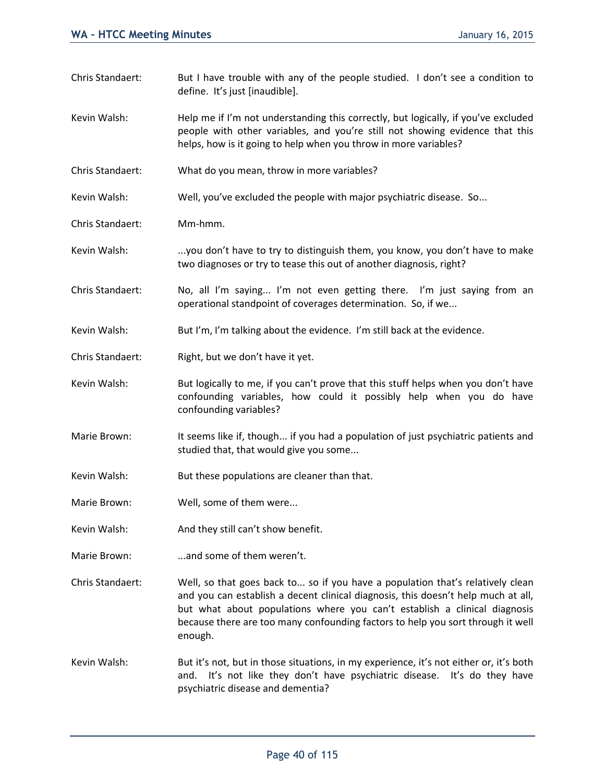|                  | define. It's just [inaudible].                                                                                                                                                                                                                                                                                                                 |  |
|------------------|------------------------------------------------------------------------------------------------------------------------------------------------------------------------------------------------------------------------------------------------------------------------------------------------------------------------------------------------|--|
| Kevin Walsh:     | Help me if I'm not understanding this correctly, but logically, if you've excluded<br>people with other variables, and you're still not showing evidence that this<br>helps, how is it going to help when you throw in more variables?                                                                                                         |  |
| Chris Standaert: | What do you mean, throw in more variables?                                                                                                                                                                                                                                                                                                     |  |
| Kevin Walsh:     | Well, you've excluded the people with major psychiatric disease. So                                                                                                                                                                                                                                                                            |  |
| Chris Standaert: | Mm-hmm.                                                                                                                                                                                                                                                                                                                                        |  |
| Kevin Walsh:     | you don't have to try to distinguish them, you know, you don't have to make<br>two diagnoses or try to tease this out of another diagnosis, right?                                                                                                                                                                                             |  |
| Chris Standaert: | No, all I'm saying I'm not even getting there. I'm just saying from an<br>operational standpoint of coverages determination. So, if we                                                                                                                                                                                                         |  |
| Kevin Walsh:     | But I'm, I'm talking about the evidence. I'm still back at the evidence.                                                                                                                                                                                                                                                                       |  |
| Chris Standaert: | Right, but we don't have it yet.                                                                                                                                                                                                                                                                                                               |  |
| Kevin Walsh:     | But logically to me, if you can't prove that this stuff helps when you don't have<br>confounding variables, how could it possibly help when you do have<br>confounding variables?                                                                                                                                                              |  |
| Marie Brown:     | It seems like if, though if you had a population of just psychiatric patients and<br>studied that, that would give you some                                                                                                                                                                                                                    |  |
| Kevin Walsh:     | But these populations are cleaner than that.                                                                                                                                                                                                                                                                                                   |  |
| Marie Brown:     | Well, some of them were                                                                                                                                                                                                                                                                                                                        |  |
| Kevin Walsh:     | And they still can't show benefit.                                                                                                                                                                                                                                                                                                             |  |
| Marie Brown:     | and some of them weren't.                                                                                                                                                                                                                                                                                                                      |  |
| Chris Standaert: | Well, so that goes back to so if you have a population that's relatively clean<br>and you can establish a decent clinical diagnosis, this doesn't help much at all,<br>but what about populations where you can't establish a clinical diagnosis<br>because there are too many confounding factors to help you sort through it well<br>enough. |  |
| Kevin Walsh:     | But it's not, but in those situations, in my experience, it's not either or, it's both<br>and. It's not like they don't have psychiatric disease. It's do they have<br>psychiatric disease and dementia?                                                                                                                                       |  |

Chris Standaert: But I have trouble with any of the people studied. I don't see a condition to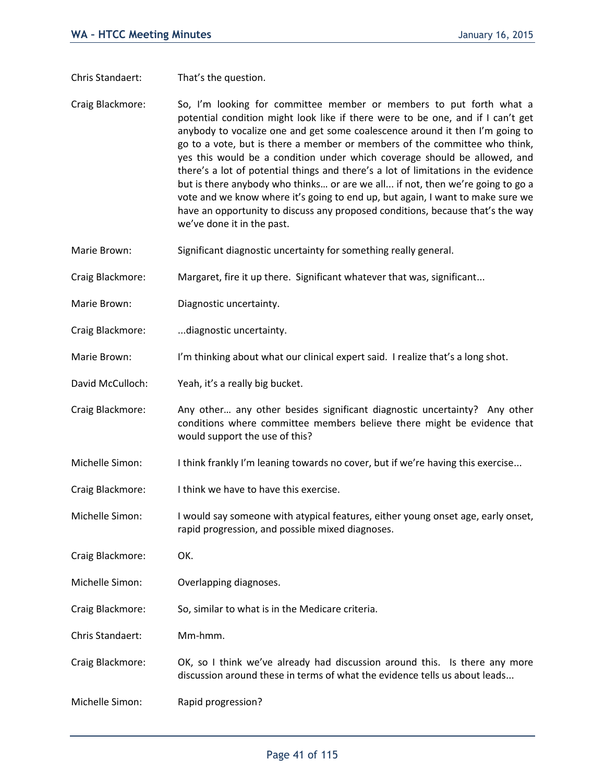Chris Standaert: That's the question.

- Craig Blackmore: So, I'm looking for committee member or members to put forth what a potential condition might look like if there were to be one, and if I can't get anybody to vocalize one and get some coalescence around it then I'm going to go to a vote, but is there a member or members of the committee who think, yes this would be a condition under which coverage should be allowed, and there's a lot of potential things and there's a lot of limitations in the evidence but is there anybody who thinks… or are we all... if not, then we're going to go a vote and we know where it's going to end up, but again, I want to make sure we have an opportunity to discuss any proposed conditions, because that's the way we've done it in the past.
- Marie Brown: Significant diagnostic uncertainty for something really general.

Craig Blackmore: Margaret, fire it up there. Significant whatever that was, significant...

- Marie Brown: Diagnostic uncertainty.
- Craig Blackmore: ...diagnostic uncertainty.
- Marie Brown: I'm thinking about what our clinical expert said. I realize that's a long shot.
- David McCulloch: Yeah, it's a really big bucket.
- Craig Blackmore: Any other… any other besides significant diagnostic uncertainty? Any other conditions where committee members believe there might be evidence that would support the use of this?
- Michelle Simon: I think frankly I'm leaning towards no cover, but if we're having this exercise...
- Craig Blackmore: I think we have to have this exercise.
- Michelle Simon: I would say someone with atypical features, either young onset age, early onset, rapid progression, and possible mixed diagnoses.
- Craig Blackmore: OK.
- Michelle Simon: Overlapping diagnoses.
- Craig Blackmore: So, similar to what is in the Medicare criteria.
- Chris Standaert: Mm-hmm.
- Craig Blackmore: OK, so I think we've already had discussion around this. Is there any more discussion around these in terms of what the evidence tells us about leads...
- Michelle Simon: Rapid progression?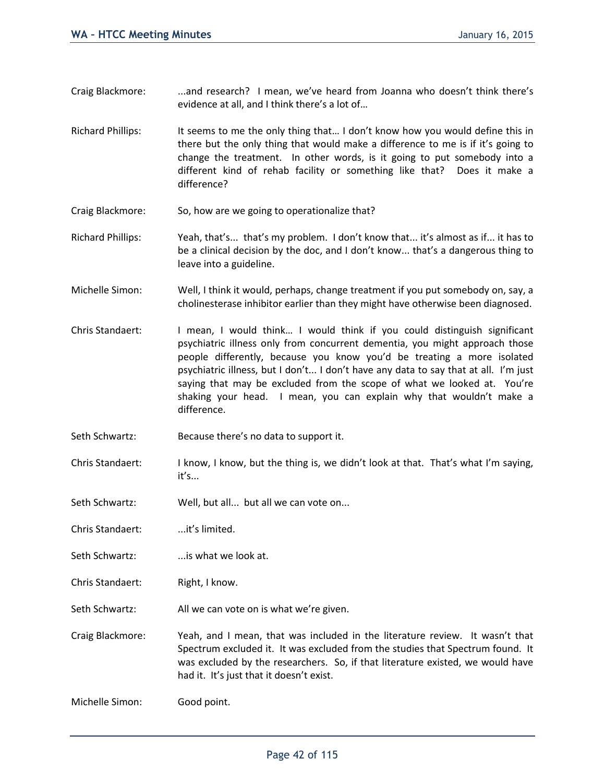- Craig Blackmore: ...and research? I mean, we've heard from Joanna who doesn't think there's evidence at all, and I think there's a lot of…
- Richard Phillips: It seems to me the only thing that... I don't know how you would define this in there but the only thing that would make a difference to me is if it's going to change the treatment. In other words, is it going to put somebody into a different kind of rehab facility or something like that? Does it make a difference?
- Craig Blackmore: So, how are we going to operationalize that?
- Richard Phillips: Yeah, that's... that's my problem. I don't know that... it's almost as if... it has to be a clinical decision by the doc, and I don't know... that's a dangerous thing to leave into a guideline.
- Michelle Simon: Well, I think it would, perhaps, change treatment if you put somebody on, say, a cholinesterase inhibitor earlier than they might have otherwise been diagnosed.
- Chris Standaert: I mean, I would think… I would think if you could distinguish significant psychiatric illness only from concurrent dementia, you might approach those people differently, because you know you'd be treating a more isolated psychiatric illness, but I don't... I don't have any data to say that at all. I'm just saying that may be excluded from the scope of what we looked at. You're shaking your head. I mean, you can explain why that wouldn't make a difference.
- Seth Schwartz: Because there's no data to support it.
- Chris Standaert: I know, I know, but the thing is, we didn't look at that. That's what I'm saying, it's...
- Seth Schwartz: Well, but all... but all we can vote on...
- Chris Standaert: ...it's limited.
- Seth Schwartz: ...is what we look at.
- Chris Standaert: Right, I know.
- Seth Schwartz: All we can vote on is what we're given.

Craig Blackmore: Yeah, and I mean, that was included in the literature review. It wasn't that Spectrum excluded it. It was excluded from the studies that Spectrum found. It was excluded by the researchers. So, if that literature existed, we would have had it. It's just that it doesn't exist.

Michelle Simon: Good point.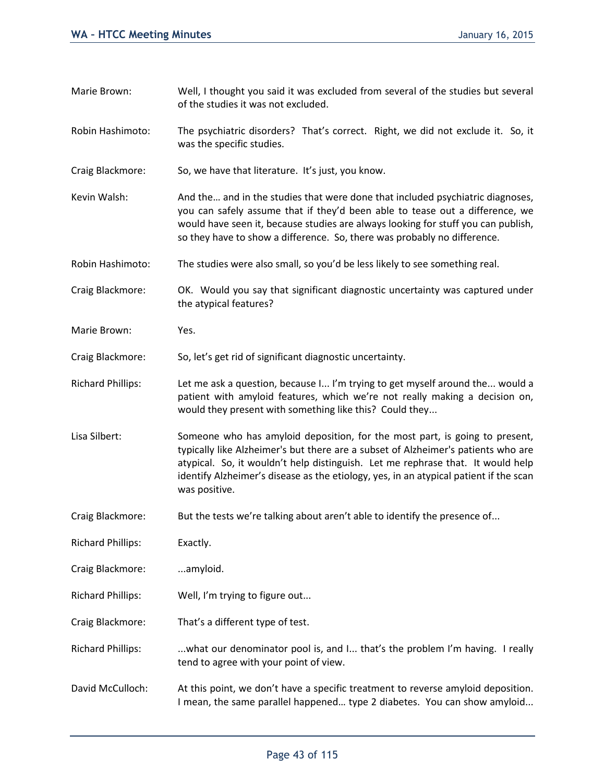Marie Brown: Well, I thought you said it was excluded from several of the studies but several of the studies it was not excluded. Robin Hashimoto: The psychiatric disorders? That's correct. Right, we did not exclude it. So, it was the specific studies. Craig Blackmore: So, we have that literature. It's just, you know. Kevin Walsh: And the ... and in the studies that were done that included psychiatric diagnoses, you can safely assume that if they'd been able to tease out a difference, we would have seen it, because studies are always looking for stuff you can publish, so they have to show a difference. So, there was probably no difference. Robin Hashimoto: The studies were also small, so you'd be less likely to see something real. Craig Blackmore: OK. Would you say that significant diagnostic uncertainty was captured under the atypical features? Marie Brown: Yes. Craig Blackmore: So, let's get rid of significant diagnostic uncertainty. Richard Phillips: Let me ask a question, because I... I'm trying to get myself around the... would a patient with amyloid features, which we're not really making a decision on, would they present with something like this? Could they... Lisa Silbert: Someone who has amyloid deposition, for the most part, is going to present, typically like Alzheimer's but there are a subset of Alzheimer's patients who are atypical. So, it wouldn't help distinguish. Let me rephrase that. It would help identify Alzheimer's disease as the etiology, yes, in an atypical patient if the scan was positive. Craig Blackmore: But the tests we're talking about aren't able to identify the presence of... Richard Phillips: Exactly. Craig Blackmore: ...amyloid. Richard Phillips: Well, I'm trying to figure out... Craig Blackmore: That's a different type of test. Richard Phillips: ...what our denominator pool is, and I... that's the problem I'm having. I really tend to agree with your point of view. David McCulloch: At this point, we don't have a specific treatment to reverse amyloid deposition. I mean, the same parallel happened… type 2 diabetes. You can show amyloid...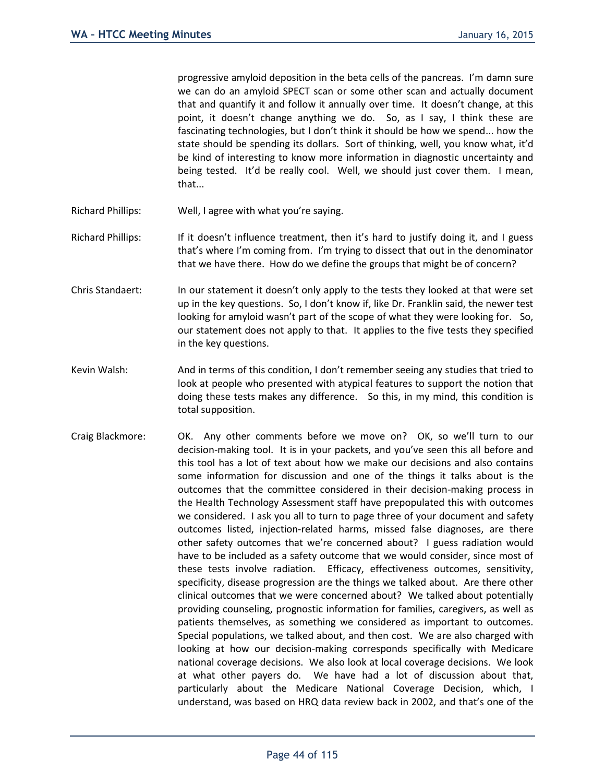progressive amyloid deposition in the beta cells of the pancreas. I'm damn sure we can do an amyloid SPECT scan or some other scan and actually document that and quantify it and follow it annually over time. It doesn't change, at this point, it doesn't change anything we do. So, as I say, I think these are fascinating technologies, but I don't think it should be how we spend... how the state should be spending its dollars. Sort of thinking, well, you know what, it'd be kind of interesting to know more information in diagnostic uncertainty and being tested. It'd be really cool. Well, we should just cover them. I mean, that...

- Richard Phillips: Well, I agree with what you're saying.
- Richard Phillips: If it doesn't influence treatment, then it's hard to justify doing it, and I guess that's where I'm coming from. I'm trying to dissect that out in the denominator that we have there. How do we define the groups that might be of concern?
- Chris Standaert: In our statement it doesn't only apply to the tests they looked at that were set up in the key questions. So, I don't know if, like Dr. Franklin said, the newer test looking for amyloid wasn't part of the scope of what they were looking for. So, our statement does not apply to that. It applies to the five tests they specified in the key questions.
- Kevin Walsh: And in terms of this condition, I don't remember seeing any studies that tried to look at people who presented with atypical features to support the notion that doing these tests makes any difference. So this, in my mind, this condition is total supposition.
- Craig Blackmore: OK. Any other comments before we move on? OK, so we'll turn to our decision-making tool. It is in your packets, and you've seen this all before and this tool has a lot of text about how we make our decisions and also contains some information for discussion and one of the things it talks about is the outcomes that the committee considered in their decision-making process in the Health Technology Assessment staff have prepopulated this with outcomes we considered. I ask you all to turn to page three of your document and safety outcomes listed, injection-related harms, missed false diagnoses, are there other safety outcomes that we're concerned about? I guess radiation would have to be included as a safety outcome that we would consider, since most of these tests involve radiation. Efficacy, effectiveness outcomes, sensitivity, specificity, disease progression are the things we talked about. Are there other clinical outcomes that we were concerned about? We talked about potentially providing counseling, prognostic information for families, caregivers, as well as patients themselves, as something we considered as important to outcomes. Special populations, we talked about, and then cost. We are also charged with looking at how our decision-making corresponds specifically with Medicare national coverage decisions. We also look at local coverage decisions. We look at what other payers do. We have had a lot of discussion about that, particularly about the Medicare National Coverage Decision, which, I understand, was based on HRQ data review back in 2002, and that's one of the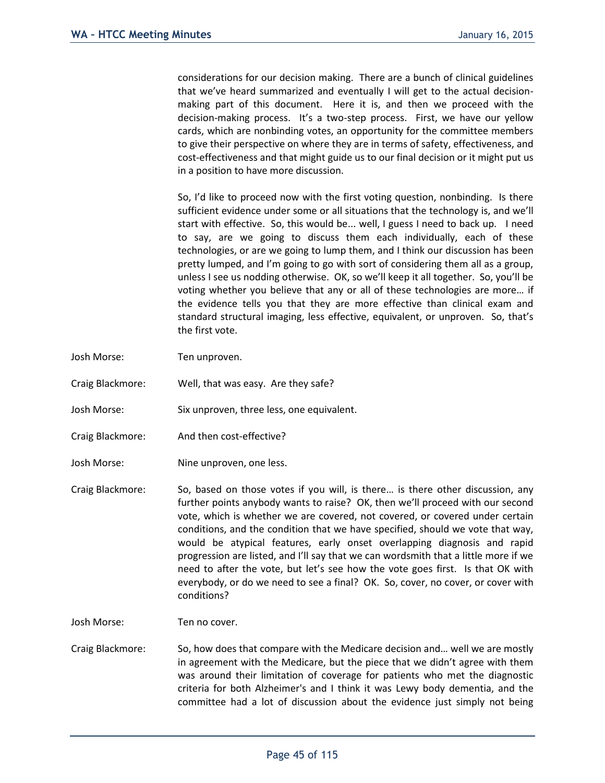considerations for our decision making. There are a bunch of clinical guidelines that we've heard summarized and eventually I will get to the actual decisionmaking part of this document. Here it is, and then we proceed with the decision-making process. It's a two-step process. First, we have our yellow cards, which are nonbinding votes, an opportunity for the committee members to give their perspective on where they are in terms of safety, effectiveness, and cost-effectiveness and that might guide us to our final decision or it might put us in a position to have more discussion.

So, I'd like to proceed now with the first voting question, nonbinding. Is there sufficient evidence under some or all situations that the technology is, and we'll start with effective. So, this would be... well, I guess I need to back up. I need to say, are we going to discuss them each individually, each of these technologies, or are we going to lump them, and I think our discussion has been pretty lumped, and I'm going to go with sort of considering them all as a group, unless I see us nodding otherwise. OK, so we'll keep it all together. So, you'll be voting whether you believe that any or all of these technologies are more… if the evidence tells you that they are more effective than clinical exam and standard structural imaging, less effective, equivalent, or unproven. So, that's the first vote.

- Josh Morse: Ten unproven.
- Craig Blackmore: Well, that was easy. Are they safe?
- Josh Morse: Six unproven, three less, one equivalent.
- Craig Blackmore: And then cost-effective?
- Josh Morse: Nine unproven, one less.
- Craig Blackmore: So, based on those votes if you will, is there… is there other discussion, any further points anybody wants to raise? OK, then we'll proceed with our second vote, which is whether we are covered, not covered, or covered under certain conditions, and the condition that we have specified, should we vote that way, would be atypical features, early onset overlapping diagnosis and rapid progression are listed, and I'll say that we can wordsmith that a little more if we need to after the vote, but let's see how the vote goes first. Is that OK with everybody, or do we need to see a final? OK. So, cover, no cover, or cover with conditions?

Josh Morse: Ten no cover.

Craig Blackmore: So, how does that compare with the Medicare decision and… well we are mostly in agreement with the Medicare, but the piece that we didn't agree with them was around their limitation of coverage for patients who met the diagnostic criteria for both Alzheimer's and I think it was Lewy body dementia, and the committee had a lot of discussion about the evidence just simply not being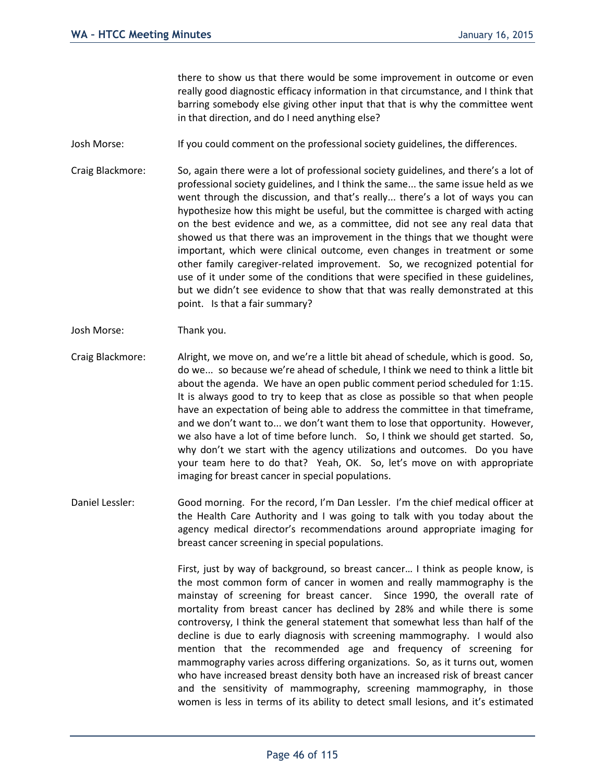there to show us that there would be some improvement in outcome or even really good diagnostic efficacy information in that circumstance, and I think that barring somebody else giving other input that that is why the committee went in that direction, and do I need anything else?

- Josh Morse: If you could comment on the professional society guidelines, the differences.
- Craig Blackmore: So, again there were a lot of professional society guidelines, and there's a lot of professional society guidelines, and I think the same... the same issue held as we went through the discussion, and that's really... there's a lot of ways you can hypothesize how this might be useful, but the committee is charged with acting on the best evidence and we, as a committee, did not see any real data that showed us that there was an improvement in the things that we thought were important, which were clinical outcome, even changes in treatment or some other family caregiver-related improvement. So, we recognized potential for use of it under some of the conditions that were specified in these guidelines, but we didn't see evidence to show that that was really demonstrated at this point. Is that a fair summary?
- Josh Morse: Thank you.
- Craig Blackmore: Alright, we move on, and we're a little bit ahead of schedule, which is good. So, do we... so because we're ahead of schedule, I think we need to think a little bit about the agenda. We have an open public comment period scheduled for 1:15. It is always good to try to keep that as close as possible so that when people have an expectation of being able to address the committee in that timeframe, and we don't want to... we don't want them to lose that opportunity. However, we also have a lot of time before lunch. So, I think we should get started. So, why don't we start with the agency utilizations and outcomes. Do you have your team here to do that? Yeah, OK. So, let's move on with appropriate imaging for breast cancer in special populations.
- Daniel Lessler: Good morning. For the record, I'm Dan Lessler. I'm the chief medical officer at the Health Care Authority and I was going to talk with you today about the agency medical director's recommendations around appropriate imaging for breast cancer screening in special populations.

First, just by way of background, so breast cancer… I think as people know, is the most common form of cancer in women and really mammography is the mainstay of screening for breast cancer. Since 1990, the overall rate of mortality from breast cancer has declined by 28% and while there is some controversy, I think the general statement that somewhat less than half of the decline is due to early diagnosis with screening mammography. I would also mention that the recommended age and frequency of screening for mammography varies across differing organizations. So, as it turns out, women who have increased breast density both have an increased risk of breast cancer and the sensitivity of mammography, screening mammography, in those women is less in terms of its ability to detect small lesions, and it's estimated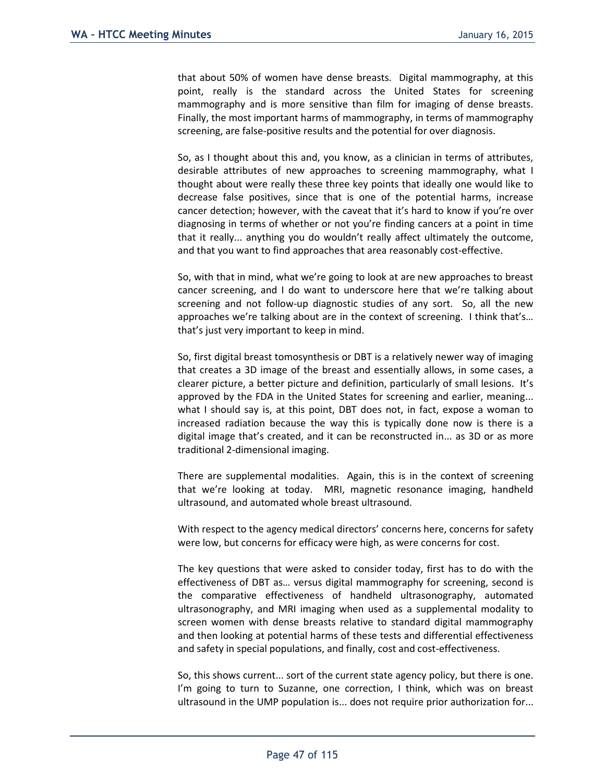that about 50% of women have dense breasts. Digital mammography, at this point, really is the standard across the United States for screening mammography and is more sensitive than film for imaging of dense breasts. Finally, the most important harms of mammography, in terms of mammography screening, are false-positive results and the potential for over diagnosis.

So, as I thought about this and, you know, as a clinician in terms of attributes, desirable attributes of new approaches to screening mammography, what I thought about were really these three key points that ideally one would like to decrease false positives, since that is one of the potential harms, increase cancer detection; however, with the caveat that it's hard to know if you're over diagnosing in terms of whether or not you're finding cancers at a point in time that it really... anything you do wouldn't really affect ultimately the outcome, and that you want to find approaches that area reasonably cost-effective.

So, with that in mind, what we're going to look at are new approaches to breast cancer screening, and I do want to underscore here that we're talking about screening and not follow-up diagnostic studies of any sort. So, all the new approaches we're talking about are in the context of screening. I think that's… that's just very important to keep in mind.

So, first digital breast tomosynthesis or DBT is a relatively newer way of imaging that creates a 3D image of the breast and essentially allows, in some cases, a clearer picture, a better picture and definition, particularly of small lesions. It's approved by the FDA in the United States for screening and earlier, meaning... what I should say is, at this point, DBT does not, in fact, expose a woman to increased radiation because the way this is typically done now is there is a digital image that's created, and it can be reconstructed in... as 3D or as more traditional 2-dimensional imaging.

There are supplemental modalities. Again, this is in the context of screening that we're looking at today. MRI, magnetic resonance imaging, handheld ultrasound, and automated whole breast ultrasound.

With respect to the agency medical directors' concerns here, concerns for safety were low, but concerns for efficacy were high, as were concerns for cost.

The key questions that were asked to consider today, first has to do with the effectiveness of DBT as… versus digital mammography for screening, second is the comparative effectiveness of handheld ultrasonography, automated ultrasonography, and MRI imaging when used as a supplemental modality to screen women with dense breasts relative to standard digital mammography and then looking at potential harms of these tests and differential effectiveness and safety in special populations, and finally, cost and cost-effectiveness.

So, this shows current... sort of the current state agency policy, but there is one. I'm going to turn to Suzanne, one correction, I think, which was on breast ultrasound in the UMP population is... does not require prior authorization for...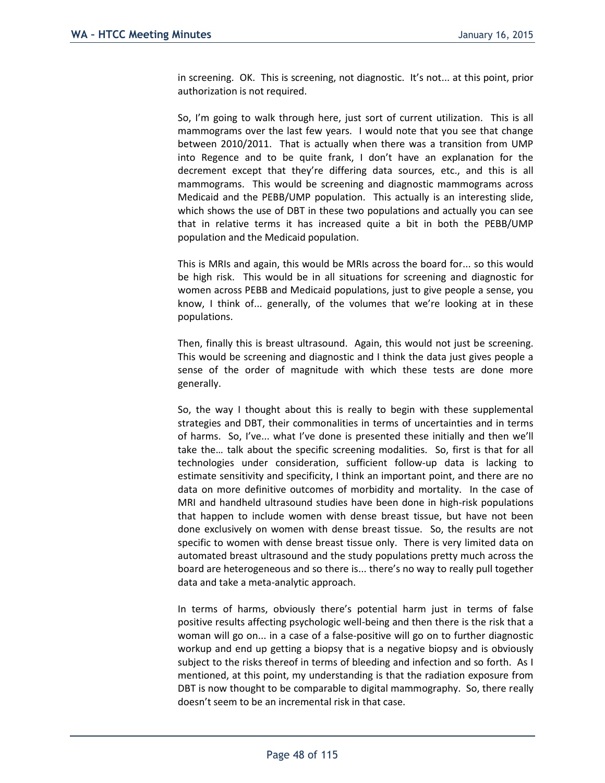in screening. OK. This is screening, not diagnostic. It's not... at this point, prior authorization is not required.

So, I'm going to walk through here, just sort of current utilization. This is all mammograms over the last few years. I would note that you see that change between 2010/2011. That is actually when there was a transition from UMP into Regence and to be quite frank, I don't have an explanation for the decrement except that they're differing data sources, etc., and this is all mammograms. This would be screening and diagnostic mammograms across Medicaid and the PEBB/UMP population. This actually is an interesting slide, which shows the use of DBT in these two populations and actually you can see that in relative terms it has increased quite a bit in both the PEBB/UMP population and the Medicaid population.

This is MRIs and again, this would be MRIs across the board for... so this would be high risk. This would be in all situations for screening and diagnostic for women across PEBB and Medicaid populations, just to give people a sense, you know, I think of... generally, of the volumes that we're looking at in these populations.

Then, finally this is breast ultrasound. Again, this would not just be screening. This would be screening and diagnostic and I think the data just gives people a sense of the order of magnitude with which these tests are done more generally.

So, the way I thought about this is really to begin with these supplemental strategies and DBT, their commonalities in terms of uncertainties and in terms of harms. So, I've... what I've done is presented these initially and then we'll take the… talk about the specific screening modalities. So, first is that for all technologies under consideration, sufficient follow-up data is lacking to estimate sensitivity and specificity, I think an important point, and there are no data on more definitive outcomes of morbidity and mortality. In the case of MRI and handheld ultrasound studies have been done in high-risk populations that happen to include women with dense breast tissue, but have not been done exclusively on women with dense breast tissue. So, the results are not specific to women with dense breast tissue only. There is very limited data on automated breast ultrasound and the study populations pretty much across the board are heterogeneous and so there is... there's no way to really pull together data and take a meta-analytic approach.

In terms of harms, obviously there's potential harm just in terms of false positive results affecting psychologic well-being and then there is the risk that a woman will go on... in a case of a false-positive will go on to further diagnostic workup and end up getting a biopsy that is a negative biopsy and is obviously subject to the risks thereof in terms of bleeding and infection and so forth. As I mentioned, at this point, my understanding is that the radiation exposure from DBT is now thought to be comparable to digital mammography. So, there really doesn't seem to be an incremental risk in that case.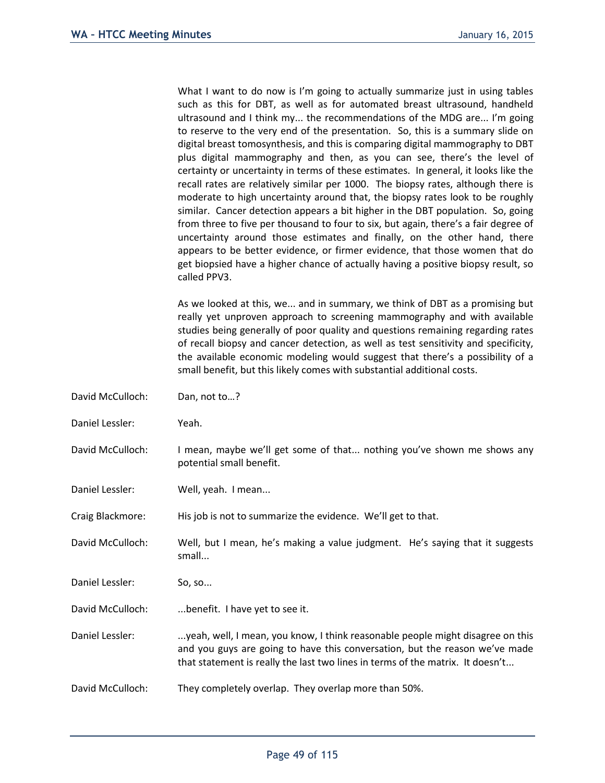What I want to do now is I'm going to actually summarize just in using tables such as this for DBT, as well as for automated breast ultrasound, handheld ultrasound and I think my... the recommendations of the MDG are... I'm going to reserve to the very end of the presentation. So, this is a summary slide on digital breast tomosynthesis, and this is comparing digital mammography to DBT plus digital mammography and then, as you can see, there's the level of certainty or uncertainty in terms of these estimates. In general, it looks like the recall rates are relatively similar per 1000. The biopsy rates, although there is moderate to high uncertainty around that, the biopsy rates look to be roughly similar. Cancer detection appears a bit higher in the DBT population. So, going from three to five per thousand to four to six, but again, there's a fair degree of uncertainty around those estimates and finally, on the other hand, there appears to be better evidence, or firmer evidence, that those women that do get biopsied have a higher chance of actually having a positive biopsy result, so called PPV3.

As we looked at this, we... and in summary, we think of DBT as a promising but really yet unproven approach to screening mammography and with available studies being generally of poor quality and questions remaining regarding rates of recall biopsy and cancer detection, as well as test sensitivity and specificity, the available economic modeling would suggest that there's a possibility of a small benefit, but this likely comes with substantial additional costs.

| David McCulloch: | Dan, not to?                                                                                                                                                                                                                                    |
|------------------|-------------------------------------------------------------------------------------------------------------------------------------------------------------------------------------------------------------------------------------------------|
| Daniel Lessler:  | Yeah.                                                                                                                                                                                                                                           |
| David McCulloch: | I mean, maybe we'll get some of that nothing you've shown me shows any<br>potential small benefit.                                                                                                                                              |
| Daniel Lessler:  | Well, yeah. I mean                                                                                                                                                                                                                              |
| Craig Blackmore: | His job is not to summarize the evidence. We'll get to that.                                                                                                                                                                                    |
| David McCulloch: | Well, but I mean, he's making a value judgment. He's saying that it suggests<br>small                                                                                                                                                           |
| Daniel Lessler:  | So, so                                                                                                                                                                                                                                          |
| David McCulloch: | benefit. I have yet to see it.                                                                                                                                                                                                                  |
| Daniel Lessler:  | yeah, well, I mean, you know, I think reasonable people might disagree on this<br>and you guys are going to have this conversation, but the reason we've made<br>that statement is really the last two lines in terms of the matrix. It doesn't |
| David McCulloch: | They completely overlap. They overlap more than 50%.                                                                                                                                                                                            |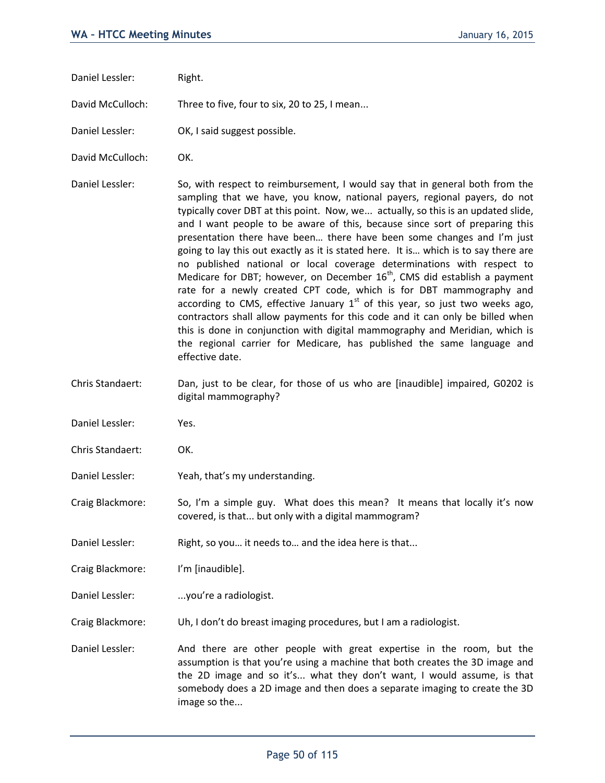Daniel Lessler: Right.

David McCulloch: Three to five, four to six, 20 to 25, I mean...

Daniel Lessler: OK, I said suggest possible.

David McCulloch: OK.

Daniel Lessler: So, with respect to reimbursement, I would say that in general both from the sampling that we have, you know, national payers, regional payers, do not typically cover DBT at this point. Now, we... actually, so this is an updated slide, and I want people to be aware of this, because since sort of preparing this presentation there have been… there have been some changes and I'm just going to lay this out exactly as it is stated here. It is… which is to say there are no published national or local coverage determinations with respect to Medicare for DBT; however, on December  $16<sup>th</sup>$ , CMS did establish a payment rate for a newly created CPT code, which is for DBT mammography and according to CMS, effective January  $1<sup>st</sup>$  of this year, so just two weeks ago, contractors shall allow payments for this code and it can only be billed when this is done in conjunction with digital mammography and Meridian, which is the regional carrier for Medicare, has published the same language and effective date.

- Chris Standaert: Dan, just to be clear, for those of us who are [inaudible] impaired, G0202 is digital mammography?
- Daniel Lessler: Yes.
- Chris Standaert: OK.
- Daniel Lessler: Yeah, that's my understanding.

Craig Blackmore: So, I'm a simple guy. What does this mean? It means that locally it's now covered, is that... but only with a digital mammogram?

Daniel Lessler: Right, so you... it needs to ... and the idea here is that...

Craig Blackmore: I'm [inaudible].

Daniel Lessler: ...you're a radiologist.

Craig Blackmore: Uh, I don't do breast imaging procedures, but I am a radiologist.

Daniel Lessler: And there are other people with great expertise in the room, but the assumption is that you're using a machine that both creates the 3D image and the 2D image and so it's... what they don't want, I would assume, is that somebody does a 2D image and then does a separate imaging to create the 3D image so the...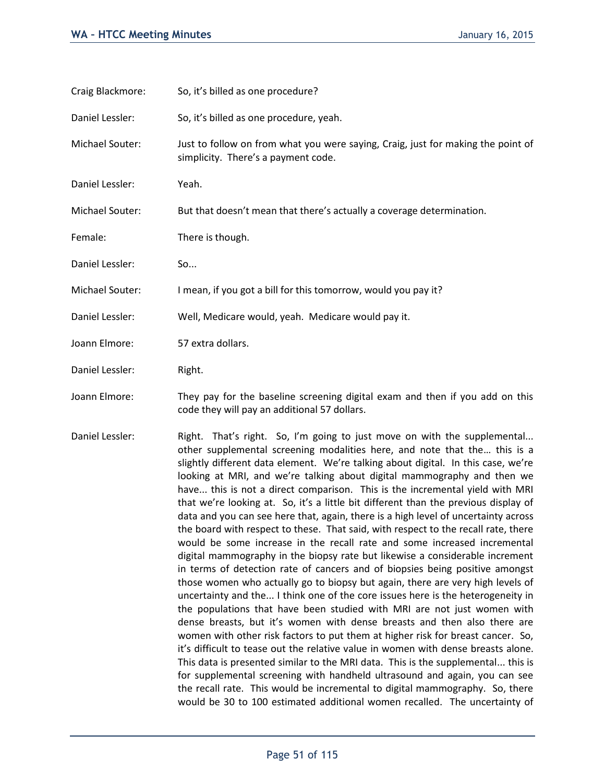| Craig Blackmore: | So, it's billed as one procedure?                                                                                            |  |
|------------------|------------------------------------------------------------------------------------------------------------------------------|--|
| Daniel Lessler:  | So, it's billed as one procedure, yeah.                                                                                      |  |
| Michael Souter:  | Just to follow on from what you were saying, Craig, just for making the point of<br>simplicity. There's a payment code.      |  |
| Daniel Lessler:  | Yeah.                                                                                                                        |  |
| Michael Souter:  | But that doesn't mean that there's actually a coverage determination.                                                        |  |
| Female:          | There is though.                                                                                                             |  |
| Daniel Lessler:  | So                                                                                                                           |  |
| Michael Souter:  | I mean, if you got a bill for this tomorrow, would you pay it?                                                               |  |
| Daniel Lessler:  | Well, Medicare would, yeah. Medicare would pay it.                                                                           |  |
| Joann Elmore:    | 57 extra dollars.                                                                                                            |  |
| Daniel Lessler:  | Right.                                                                                                                       |  |
| Joann Elmore:    | They pay for the baseline screening digital exam and then if you add on this<br>code they will pay an additional 57 dollars. |  |

Daniel Lessler: Right. That's right. So, I'm going to just move on with the supplemental... other supplemental screening modalities here, and note that the… this is a slightly different data element. We're talking about digital. In this case, we're looking at MRI, and we're talking about digital mammography and then we have... this is not a direct comparison. This is the incremental yield with MRI that we're looking at. So, it's a little bit different than the previous display of data and you can see here that, again, there is a high level of uncertainty across the board with respect to these. That said, with respect to the recall rate, there would be some increase in the recall rate and some increased incremental digital mammography in the biopsy rate but likewise a considerable increment in terms of detection rate of cancers and of biopsies being positive amongst those women who actually go to biopsy but again, there are very high levels of uncertainty and the... I think one of the core issues here is the heterogeneity in the populations that have been studied with MRI are not just women with dense breasts, but it's women with dense breasts and then also there are women with other risk factors to put them at higher risk for breast cancer. So, it's difficult to tease out the relative value in women with dense breasts alone. This data is presented similar to the MRI data. This is the supplemental... this is for supplemental screening with handheld ultrasound and again, you can see the recall rate. This would be incremental to digital mammography. So, there would be 30 to 100 estimated additional women recalled. The uncertainty of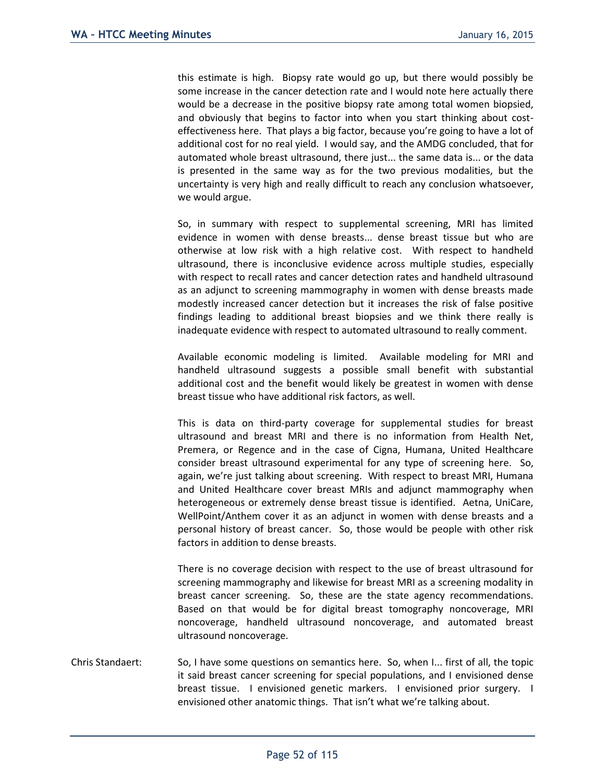this estimate is high. Biopsy rate would go up, but there would possibly be some increase in the cancer detection rate and I would note here actually there would be a decrease in the positive biopsy rate among total women biopsied, and obviously that begins to factor into when you start thinking about costeffectiveness here. That plays a big factor, because you're going to have a lot of additional cost for no real yield. I would say, and the AMDG concluded, that for automated whole breast ultrasound, there just... the same data is... or the data is presented in the same way as for the two previous modalities, but the uncertainty is very high and really difficult to reach any conclusion whatsoever, we would argue.

So, in summary with respect to supplemental screening, MRI has limited evidence in women with dense breasts... dense breast tissue but who are otherwise at low risk with a high relative cost. With respect to handheld ultrasound, there is inconclusive evidence across multiple studies, especially with respect to recall rates and cancer detection rates and handheld ultrasound as an adjunct to screening mammography in women with dense breasts made modestly increased cancer detection but it increases the risk of false positive findings leading to additional breast biopsies and we think there really is inadequate evidence with respect to automated ultrasound to really comment.

Available economic modeling is limited. Available modeling for MRI and handheld ultrasound suggests a possible small benefit with substantial additional cost and the benefit would likely be greatest in women with dense breast tissue who have additional risk factors, as well.

This is data on third-party coverage for supplemental studies for breast ultrasound and breast MRI and there is no information from Health Net, Premera, or Regence and in the case of Cigna, Humana, United Healthcare consider breast ultrasound experimental for any type of screening here. So, again, we're just talking about screening. With respect to breast MRI, Humana and United Healthcare cover breast MRIs and adjunct mammography when heterogeneous or extremely dense breast tissue is identified. Aetna, UniCare, WellPoint/Anthem cover it as an adjunct in women with dense breasts and a personal history of breast cancer. So, those would be people with other risk factors in addition to dense breasts.

There is no coverage decision with respect to the use of breast ultrasound for screening mammography and likewise for breast MRI as a screening modality in breast cancer screening. So, these are the state agency recommendations. Based on that would be for digital breast tomography noncoverage, MRI noncoverage, handheld ultrasound noncoverage, and automated breast ultrasound noncoverage.

Chris Standaert: So, I have some questions on semantics here. So, when I... first of all, the topic it said breast cancer screening for special populations, and I envisioned dense breast tissue. I envisioned genetic markers. I envisioned prior surgery. I envisioned other anatomic things. That isn't what we're talking about.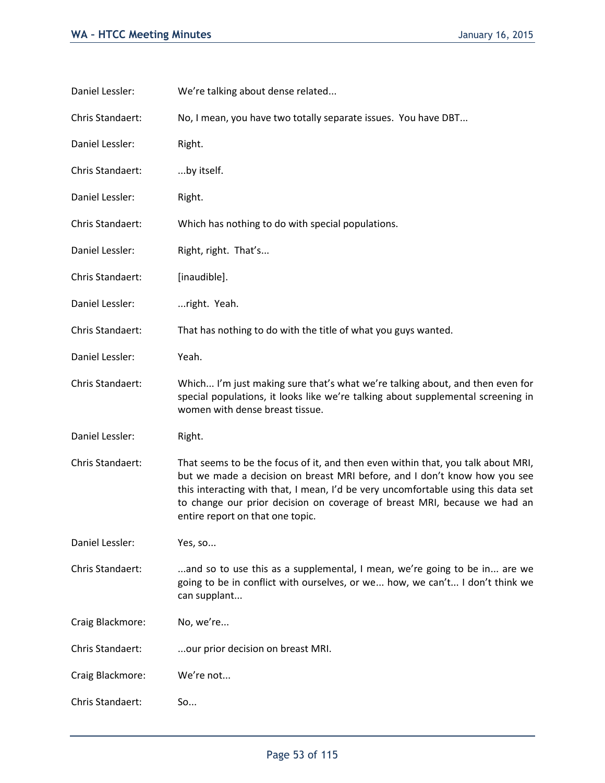| Daniel Lessler:  | We're talking about dense related                                                                                                                                                                                                                                                                                                                                   |  |
|------------------|---------------------------------------------------------------------------------------------------------------------------------------------------------------------------------------------------------------------------------------------------------------------------------------------------------------------------------------------------------------------|--|
| Chris Standaert: | No, I mean, you have two totally separate issues. You have DBT                                                                                                                                                                                                                                                                                                      |  |
| Daniel Lessler:  | Right.                                                                                                                                                                                                                                                                                                                                                              |  |
| Chris Standaert: | by itself.                                                                                                                                                                                                                                                                                                                                                          |  |
| Daniel Lessler:  | Right.                                                                                                                                                                                                                                                                                                                                                              |  |
| Chris Standaert: | Which has nothing to do with special populations.                                                                                                                                                                                                                                                                                                                   |  |
| Daniel Lessler:  | Right, right. That's                                                                                                                                                                                                                                                                                                                                                |  |
| Chris Standaert: | [inaudible].                                                                                                                                                                                                                                                                                                                                                        |  |
| Daniel Lessler:  | right. Yeah.                                                                                                                                                                                                                                                                                                                                                        |  |
| Chris Standaert: | That has nothing to do with the title of what you guys wanted.                                                                                                                                                                                                                                                                                                      |  |
| Daniel Lessler:  | Yeah.                                                                                                                                                                                                                                                                                                                                                               |  |
| Chris Standaert: | Which I'm just making sure that's what we're talking about, and then even for<br>special populations, it looks like we're talking about supplemental screening in<br>women with dense breast tissue.                                                                                                                                                                |  |
| Daniel Lessler:  | Right.                                                                                                                                                                                                                                                                                                                                                              |  |
| Chris Standaert: | That seems to be the focus of it, and then even within that, you talk about MRI,<br>but we made a decision on breast MRI before, and I don't know how you see<br>this interacting with that, I mean, I'd be very uncomfortable using this data set<br>to change our prior decision on coverage of breast MRI, because we had an<br>entire report on that one topic. |  |
| Daniel Lessler:  | Yes, so                                                                                                                                                                                                                                                                                                                                                             |  |
| Chris Standaert: | and so to use this as a supplemental, I mean, we're going to be in are we<br>going to be in conflict with ourselves, or we how, we can't I don't think we<br>can supplant                                                                                                                                                                                           |  |
| Craig Blackmore: | No, we're                                                                                                                                                                                                                                                                                                                                                           |  |
| Chris Standaert: | our prior decision on breast MRI.                                                                                                                                                                                                                                                                                                                                   |  |
| Craig Blackmore: | We're not                                                                                                                                                                                                                                                                                                                                                           |  |
| Chris Standaert: | So                                                                                                                                                                                                                                                                                                                                                                  |  |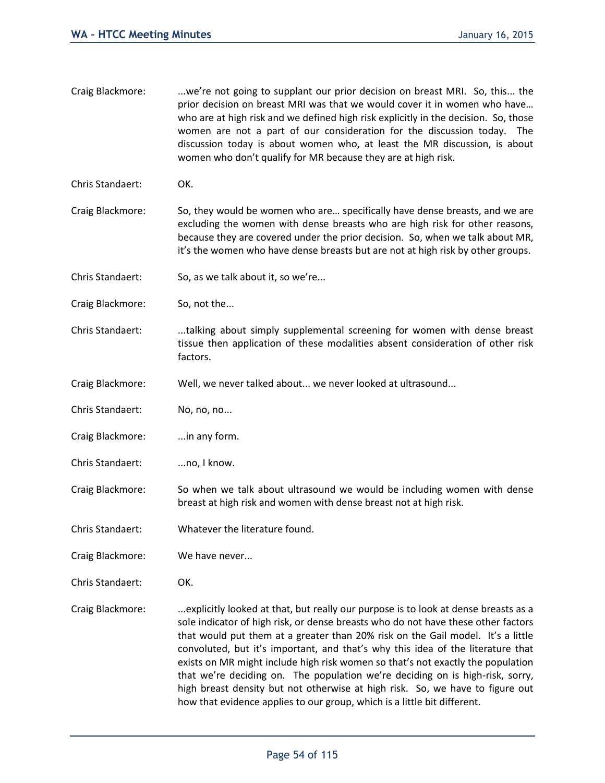- Craig Blackmore: ...we're not going to supplant our prior decision on breast MRI. So, this... the prior decision on breast MRI was that we would cover it in women who have… who are at high risk and we defined high risk explicitly in the decision. So, those women are not a part of our consideration for the discussion today. The discussion today is about women who, at least the MR discussion, is about women who don't qualify for MR because they are at high risk.
- Chris Standaert: OK.
- Craig Blackmore: So, they would be women who are… specifically have dense breasts, and we are excluding the women with dense breasts who are high risk for other reasons, because they are covered under the prior decision. So, when we talk about MR, it's the women who have dense breasts but are not at high risk by other groups.
- Chris Standaert: So, as we talk about it, so we're...
- Craig Blackmore: So, not the...
- Chris Standaert: ...talking about simply supplemental screening for women with dense breast tissue then application of these modalities absent consideration of other risk factors.
- Craig Blackmore: Well, we never talked about... we never looked at ultrasound...
- Chris Standaert: No, no, no...
- Craig Blackmore: ...in any form.
- Chris Standaert: ...no, I know.
- Craig Blackmore: So when we talk about ultrasound we would be including women with dense breast at high risk and women with dense breast not at high risk.
- Chris Standaert: Whatever the literature found.
- Craig Blackmore: We have never...
- Chris Standaert: OK.
- Craig Blackmore: ...explicitly looked at that, but really our purpose is to look at dense breasts as a sole indicator of high risk, or dense breasts who do not have these other factors that would put them at a greater than 20% risk on the Gail model. It's a little convoluted, but it's important, and that's why this idea of the literature that exists on MR might include high risk women so that's not exactly the population that we're deciding on. The population we're deciding on is high-risk, sorry, high breast density but not otherwise at high risk. So, we have to figure out how that evidence applies to our group, which is a little bit different.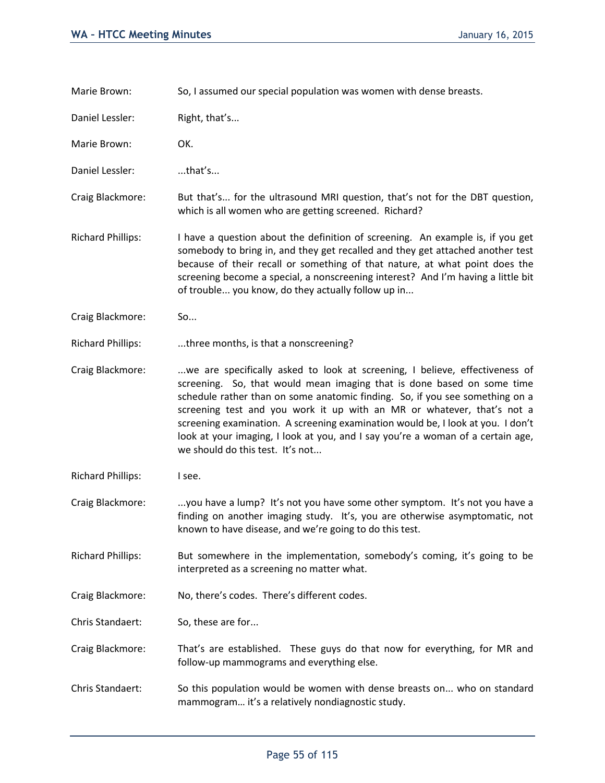Marie Brown: So, I assumed our special population was women with dense breasts.

Daniel Lessler: Right, that's...

Marie Brown: OK.

Daniel Lessler: ....that's...

Craig Blackmore: But that's... for the ultrasound MRI question, that's not for the DBT question, which is all women who are getting screened. Richard?

- Richard Phillips: I have a question about the definition of screening. An example is, if you get somebody to bring in, and they get recalled and they get attached another test because of their recall or something of that nature, at what point does the screening become a special, a nonscreening interest? And I'm having a little bit of trouble... you know, do they actually follow up in...
- Craig Blackmore: So...
- Richard Phillips: ...three months, is that a nonscreening?

Craig Blackmore: ...we are specifically asked to look at screening, I believe, effectiveness of screening. So, that would mean imaging that is done based on some time schedule rather than on some anatomic finding. So, if you see something on a screening test and you work it up with an MR or whatever, that's not a screening examination. A screening examination would be, I look at you. I don't look at your imaging, I look at you, and I say you're a woman of a certain age, we should do this test. It's not...

- Richard Phillips: I see.
- Craig Blackmore: ...you have a lump? It's not you have some other symptom. It's not you have a finding on another imaging study. It's, you are otherwise asymptomatic, not known to have disease, and we're going to do this test.
- Richard Phillips: But somewhere in the implementation, somebody's coming, it's going to be interpreted as a screening no matter what.
- Craig Blackmore: No, there's codes. There's different codes.

Chris Standaert: So, these are for...

- Craig Blackmore: That's are established. These guys do that now for everything, for MR and follow-up mammograms and everything else.
- Chris Standaert: So this population would be women with dense breasts on... who on standard mammogram… it's a relatively nondiagnostic study.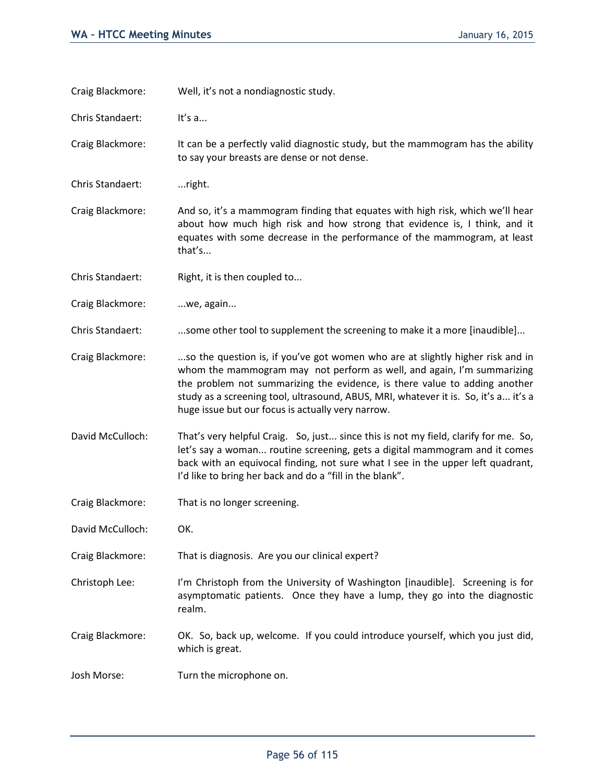| Craig Blackmore: | Well, it's not a nondiagnostic study.                                                                                                                                                                                                                                                                                                                                              |
|------------------|------------------------------------------------------------------------------------------------------------------------------------------------------------------------------------------------------------------------------------------------------------------------------------------------------------------------------------------------------------------------------------|
| Chris Standaert: | It's $a$                                                                                                                                                                                                                                                                                                                                                                           |
| Craig Blackmore: | It can be a perfectly valid diagnostic study, but the mammogram has the ability<br>to say your breasts are dense or not dense.                                                                                                                                                                                                                                                     |
| Chris Standaert: | right.                                                                                                                                                                                                                                                                                                                                                                             |
| Craig Blackmore: | And so, it's a mammogram finding that equates with high risk, which we'll hear<br>about how much high risk and how strong that evidence is, I think, and it<br>equates with some decrease in the performance of the mammogram, at least<br>that's                                                                                                                                  |
| Chris Standaert: | Right, it is then coupled to                                                                                                                                                                                                                                                                                                                                                       |
| Craig Blackmore: | we, again                                                                                                                                                                                                                                                                                                                                                                          |
| Chris Standaert: | some other tool to supplement the screening to make it a more [inaudible]                                                                                                                                                                                                                                                                                                          |
| Craig Blackmore: | so the question is, if you've got women who are at slightly higher risk and in<br>whom the mammogram may not perform as well, and again, I'm summarizing<br>the problem not summarizing the evidence, is there value to adding another<br>study as a screening tool, ultrasound, ABUS, MRI, whatever it is. So, it's a it's a<br>huge issue but our focus is actually very narrow. |
| David McCulloch: | That's very helpful Craig. So, just since this is not my field, clarify for me. So,<br>let's say a woman routine screening, gets a digital mammogram and it comes<br>back with an equivocal finding, not sure what I see in the upper left quadrant,<br>I'd like to bring her back and do a "fill in the blank".                                                                   |
| Craig Blackmore: | That is no longer screening.                                                                                                                                                                                                                                                                                                                                                       |
| David McCulloch: | OK.                                                                                                                                                                                                                                                                                                                                                                                |
| Craig Blackmore: | That is diagnosis. Are you our clinical expert?                                                                                                                                                                                                                                                                                                                                    |
| Christoph Lee:   | I'm Christoph from the University of Washington [inaudible]. Screening is for<br>asymptomatic patients. Once they have a lump, they go into the diagnostic<br>realm.                                                                                                                                                                                                               |
| Craig Blackmore: | OK. So, back up, welcome. If you could introduce yourself, which you just did,<br>which is great.                                                                                                                                                                                                                                                                                  |
| Josh Morse:      | Turn the microphone on.                                                                                                                                                                                                                                                                                                                                                            |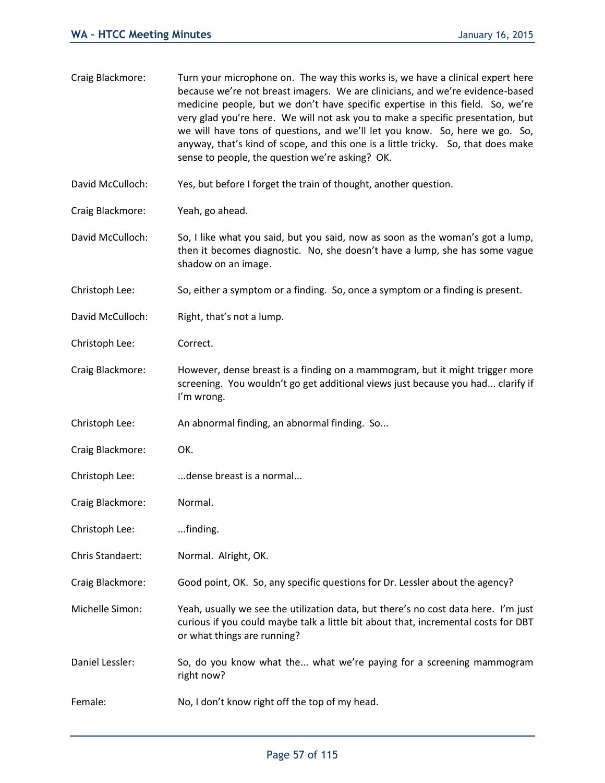| Craig Blackmore: | Turn your microphone on. The way this works is, we have a clinical expert here<br>because we're not breast imagers. We are clinicians, and we're evidence-based<br>medicine people, but we don't have specific expertise in this field. So, we're<br>very glad you're here. We will not ask you to make a specific presentation, but<br>we will have tons of questions, and we'll let you know. So, here we go. So,<br>anyway, that's kind of scope, and this one is a little tricky. So, that does make<br>sense to people, the question we're asking? OK. |  |
|------------------|-------------------------------------------------------------------------------------------------------------------------------------------------------------------------------------------------------------------------------------------------------------------------------------------------------------------------------------------------------------------------------------------------------------------------------------------------------------------------------------------------------------------------------------------------------------|--|
| David McCulloch: | Yes, but before I forget the train of thought, another question.                                                                                                                                                                                                                                                                                                                                                                                                                                                                                            |  |
| Craig Blackmore: | Yeah, go ahead.                                                                                                                                                                                                                                                                                                                                                                                                                                                                                                                                             |  |
| David McCulloch: | So, I like what you said, but you said, now as soon as the woman's got a lump,<br>then it becomes diagnostic. No, she doesn't have a lump, she has some vague<br>shadow on an image.                                                                                                                                                                                                                                                                                                                                                                        |  |
| Christoph Lee:   | So, either a symptom or a finding. So, once a symptom or a finding is present.                                                                                                                                                                                                                                                                                                                                                                                                                                                                              |  |
| David McCulloch: | Right, that's not a lump.                                                                                                                                                                                                                                                                                                                                                                                                                                                                                                                                   |  |
| Christoph Lee:   | Correct.                                                                                                                                                                                                                                                                                                                                                                                                                                                                                                                                                    |  |
| Craig Blackmore: | However, dense breast is a finding on a mammogram, but it might trigger more<br>screening. You wouldn't go get additional views just because you had clarify if<br>I'm wrong.                                                                                                                                                                                                                                                                                                                                                                               |  |
| Christoph Lee:   | An abnormal finding, an abnormal finding. So                                                                                                                                                                                                                                                                                                                                                                                                                                                                                                                |  |
| Craig Blackmore: | OK.                                                                                                                                                                                                                                                                                                                                                                                                                                                                                                                                                         |  |
| Christoph Lee:   | dense breast is a normal                                                                                                                                                                                                                                                                                                                                                                                                                                                                                                                                    |  |
| Craig Blackmore: | Normal.                                                                                                                                                                                                                                                                                                                                                                                                                                                                                                                                                     |  |
| Christoph Lee:   | finding.                                                                                                                                                                                                                                                                                                                                                                                                                                                                                                                                                    |  |
| Chris Standaert: | Normal. Alright, OK.                                                                                                                                                                                                                                                                                                                                                                                                                                                                                                                                        |  |
| Craig Blackmore: | Good point, OK. So, any specific questions for Dr. Lessler about the agency?                                                                                                                                                                                                                                                                                                                                                                                                                                                                                |  |
| Michelle Simon:  | Yeah, usually we see the utilization data, but there's no cost data here. I'm just<br>curious if you could maybe talk a little bit about that, incremental costs for DBT<br>or what things are running?                                                                                                                                                                                                                                                                                                                                                     |  |
| Daniel Lessler:  | So, do you know what the what we're paying for a screening mammogram<br>right now?                                                                                                                                                                                                                                                                                                                                                                                                                                                                          |  |
| Female:          | No, I don't know right off the top of my head.                                                                                                                                                                                                                                                                                                                                                                                                                                                                                                              |  |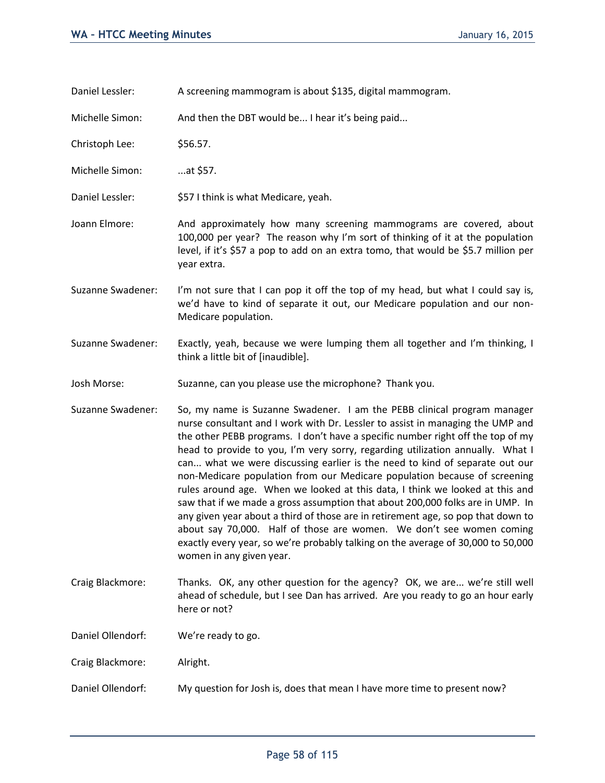Daniel Lessler: A screening mammogram is about \$135, digital mammogram.

Michelle Simon: And then the DBT would be... I hear it's being paid...

Christoph Lee: \$56.57.

Michelle Simon: ...at \$57.

- Daniel Lessler:  $$571$  think is what Medicare, yeah.
- Joann Elmore: And approximately how many screening mammograms are covered, about 100,000 per year? The reason why I'm sort of thinking of it at the population level, if it's \$57 a pop to add on an extra tomo, that would be \$5.7 million per year extra.
- Suzanne Swadener: I'm not sure that I can pop it off the top of my head, but what I could say is, we'd have to kind of separate it out, our Medicare population and our non-Medicare population.
- Suzanne Swadener: Exactly, yeah, because we were lumping them all together and I'm thinking, I think a little bit of [inaudible].
- Josh Morse: Suzanne, can you please use the microphone? Thank you.
- Suzanne Swadener: So, my name is Suzanne Swadener. I am the PEBB clinical program manager nurse consultant and I work with Dr. Lessler to assist in managing the UMP and the other PEBB programs. I don't have a specific number right off the top of my head to provide to you, I'm very sorry, regarding utilization annually. What I can... what we were discussing earlier is the need to kind of separate out our non-Medicare population from our Medicare population because of screening rules around age. When we looked at this data, I think we looked at this and saw that if we made a gross assumption that about 200,000 folks are in UMP. In any given year about a third of those are in retirement age, so pop that down to about say 70,000. Half of those are women. We don't see women coming exactly every year, so we're probably talking on the average of 30,000 to 50,000 women in any given year.
- Craig Blackmore: Thanks. OK, any other question for the agency? OK, we are... we're still well ahead of schedule, but I see Dan has arrived. Are you ready to go an hour early here or not?

Daniel Ollendorf: We're ready to go.

- Craig Blackmore: Alright.
- Daniel Ollendorf: My question for Josh is, does that mean I have more time to present now?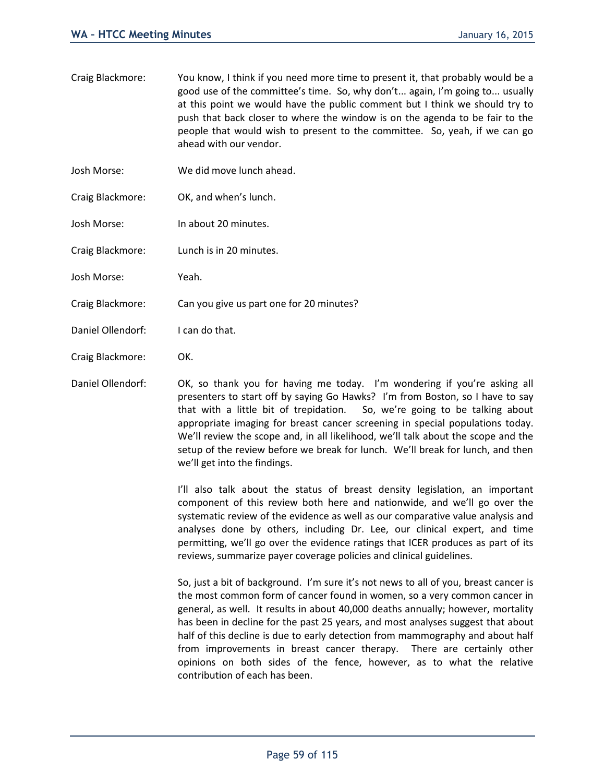- Craig Blackmore: You know, I think if you need more time to present it, that probably would be a good use of the committee's time. So, why don't... again, I'm going to... usually at this point we would have the public comment but I think we should try to push that back closer to where the window is on the agenda to be fair to the people that would wish to present to the committee. So, yeah, if we can go ahead with our vendor.
- Josh Morse: We did move lunch ahead.
- Craig Blackmore: OK, and when's lunch.
- Josh Morse: In about 20 minutes.
- Craig Blackmore: Lunch is in 20 minutes.
- Josh Morse: Yeah.
- Craig Blackmore: Can you give us part one for 20 minutes?
- Daniel Ollendorf: I can do that.
- Craig Blackmore: OK.

Daniel Ollendorf: OK, so thank you for having me today. I'm wondering if you're asking all presenters to start off by saying Go Hawks? I'm from Boston, so I have to say that with a little bit of trepidation. So, we're going to be talking about appropriate imaging for breast cancer screening in special populations today. We'll review the scope and, in all likelihood, we'll talk about the scope and the setup of the review before we break for lunch. We'll break for lunch, and then we'll get into the findings.

> I'll also talk about the status of breast density legislation, an important component of this review both here and nationwide, and we'll go over the systematic review of the evidence as well as our comparative value analysis and analyses done by others, including Dr. Lee, our clinical expert, and time permitting, we'll go over the evidence ratings that ICER produces as part of its reviews, summarize payer coverage policies and clinical guidelines.

> So, just a bit of background. I'm sure it's not news to all of you, breast cancer is the most common form of cancer found in women, so a very common cancer in general, as well. It results in about 40,000 deaths annually; however, mortality has been in decline for the past 25 years, and most analyses suggest that about half of this decline is due to early detection from mammography and about half from improvements in breast cancer therapy. There are certainly other opinions on both sides of the fence, however, as to what the relative contribution of each has been.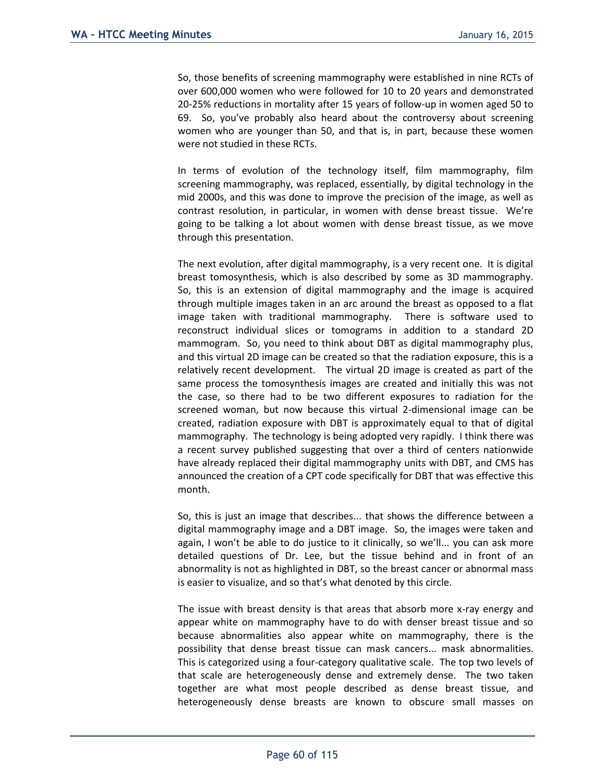So, those benefits of screening mammography were established in nine RCTs of over 600,000 women who were followed for 10 to 20 years and demonstrated 20-25% reductions in mortality after 15 years of follow-up in women aged 50 to 69. So, you've probably also heard about the controversy about screening women who are younger than 50, and that is, in part, because these women were not studied in these RCTs.

In terms of evolution of the technology itself, film mammography, film screening mammography, was replaced, essentially, by digital technology in the mid 2000s, and this was done to improve the precision of the image, as well as contrast resolution, in particular, in women with dense breast tissue. We're going to be talking a lot about women with dense breast tissue, as we move through this presentation.

The next evolution, after digital mammography, is a very recent one. It is digital breast tomosynthesis, which is also described by some as 3D mammography. So, this is an extension of digital mammography and the image is acquired through multiple images taken in an arc around the breast as opposed to a flat image taken with traditional mammography. There is software used to reconstruct individual slices or tomograms in addition to a standard 2D mammogram. So, you need to think about DBT as digital mammography plus, and this virtual 2D image can be created so that the radiation exposure, this is a relatively recent development. The virtual 2D image is created as part of the same process the tomosynthesis images are created and initially this was not the case, so there had to be two different exposures to radiation for the screened woman, but now because this virtual 2-dimensional image can be created, radiation exposure with DBT is approximately equal to that of digital mammography. The technology is being adopted very rapidly. I think there was a recent survey published suggesting that over a third of centers nationwide have already replaced their digital mammography units with DBT, and CMS has announced the creation of a CPT code specifically for DBT that was effective this month.

So, this is just an image that describes... that shows the difference between a digital mammography image and a DBT image. So, the images were taken and again, I won't be able to do justice to it clinically, so we'll... you can ask more detailed questions of Dr. Lee, but the tissue behind and in front of an abnormality is not as highlighted in DBT, so the breast cancer or abnormal mass is easier to visualize, and so that's what denoted by this circle.

The issue with breast density is that areas that absorb more x-ray energy and appear white on mammography have to do with denser breast tissue and so because abnormalities also appear white on mammography, there is the possibility that dense breast tissue can mask cancers... mask abnormalities. This is categorized using a four-category qualitative scale. The top two levels of that scale are heterogeneously dense and extremely dense. The two taken together are what most people described as dense breast tissue, and heterogeneously dense breasts are known to obscure small masses on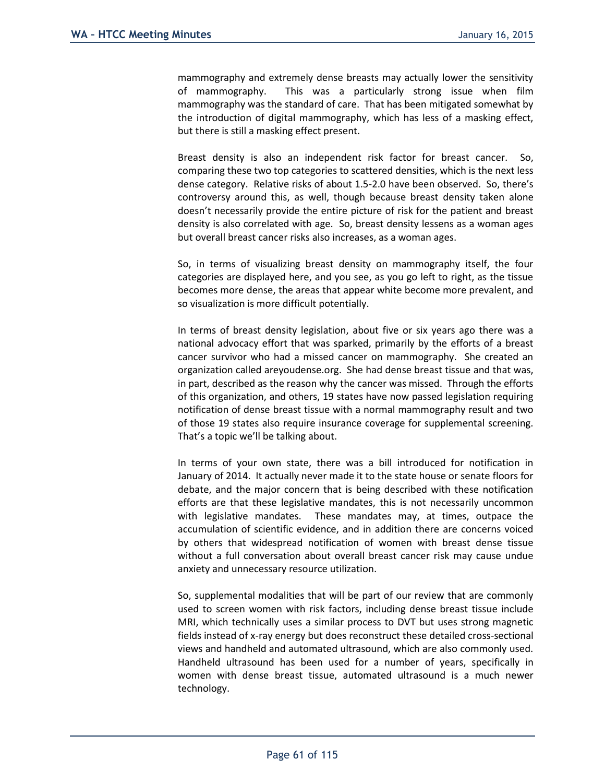mammography and extremely dense breasts may actually lower the sensitivity of mammography. This was a particularly strong issue when film mammography was the standard of care. That has been mitigated somewhat by the introduction of digital mammography, which has less of a masking effect, but there is still a masking effect present.

Breast density is also an independent risk factor for breast cancer. So, comparing these two top categories to scattered densities, which is the next less dense category. Relative risks of about 1.5-2.0 have been observed. So, there's controversy around this, as well, though because breast density taken alone doesn't necessarily provide the entire picture of risk for the patient and breast density is also correlated with age. So, breast density lessens as a woman ages but overall breast cancer risks also increases, as a woman ages.

So, in terms of visualizing breast density on mammography itself, the four categories are displayed here, and you see, as you go left to right, as the tissue becomes more dense, the areas that appear white become more prevalent, and so visualization is more difficult potentially.

In terms of breast density legislation, about five or six years ago there was a national advocacy effort that was sparked, primarily by the efforts of a breast cancer survivor who had a missed cancer on mammography. She created an organization called areyoudense.org. She had dense breast tissue and that was, in part, described as the reason why the cancer was missed. Through the efforts of this organization, and others, 19 states have now passed legislation requiring notification of dense breast tissue with a normal mammography result and two of those 19 states also require insurance coverage for supplemental screening. That's a topic we'll be talking about.

In terms of your own state, there was a bill introduced for notification in January of 2014. It actually never made it to the state house or senate floors for debate, and the major concern that is being described with these notification efforts are that these legislative mandates, this is not necessarily uncommon with legislative mandates. These mandates may, at times, outpace the accumulation of scientific evidence, and in addition there are concerns voiced by others that widespread notification of women with breast dense tissue without a full conversation about overall breast cancer risk may cause undue anxiety and unnecessary resource utilization.

So, supplemental modalities that will be part of our review that are commonly used to screen women with risk factors, including dense breast tissue include MRI, which technically uses a similar process to DVT but uses strong magnetic fields instead of x-ray energy but does reconstruct these detailed cross-sectional views and handheld and automated ultrasound, which are also commonly used. Handheld ultrasound has been used for a number of years, specifically in women with dense breast tissue, automated ultrasound is a much newer technology.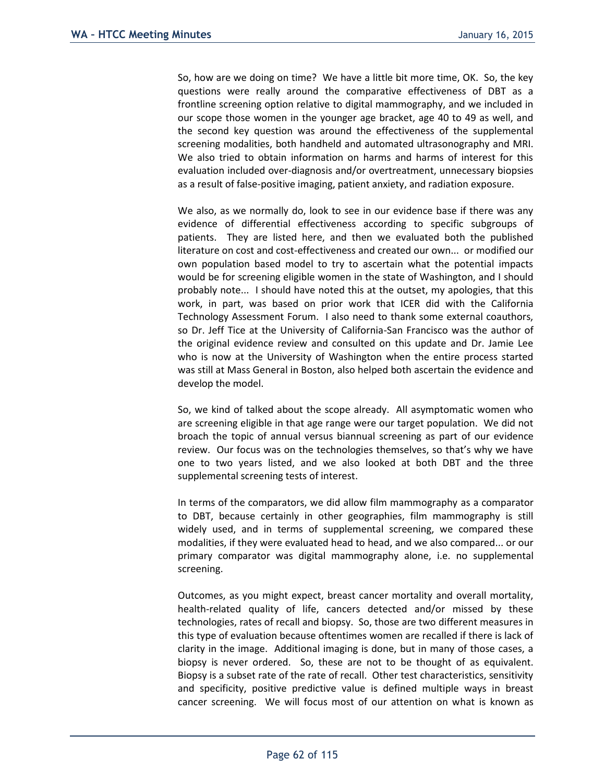So, how are we doing on time? We have a little bit more time, OK. So, the key questions were really around the comparative effectiveness of DBT as a frontline screening option relative to digital mammography, and we included in our scope those women in the younger age bracket, age 40 to 49 as well, and the second key question was around the effectiveness of the supplemental screening modalities, both handheld and automated ultrasonography and MRI. We also tried to obtain information on harms and harms of interest for this evaluation included over-diagnosis and/or overtreatment, unnecessary biopsies as a result of false-positive imaging, patient anxiety, and radiation exposure.

We also, as we normally do, look to see in our evidence base if there was any evidence of differential effectiveness according to specific subgroups of patients. They are listed here, and then we evaluated both the published literature on cost and cost-effectiveness and created our own... or modified our own population based model to try to ascertain what the potential impacts would be for screening eligible women in the state of Washington, and I should probably note... I should have noted this at the outset, my apologies, that this work, in part, was based on prior work that ICER did with the California Technology Assessment Forum. I also need to thank some external coauthors, so Dr. Jeff Tice at the University of California-San Francisco was the author of the original evidence review and consulted on this update and Dr. Jamie Lee who is now at the University of Washington when the entire process started was still at Mass General in Boston, also helped both ascertain the evidence and develop the model.

So, we kind of talked about the scope already. All asymptomatic women who are screening eligible in that age range were our target population. We did not broach the topic of annual versus biannual screening as part of our evidence review. Our focus was on the technologies themselves, so that's why we have one to two years listed, and we also looked at both DBT and the three supplemental screening tests of interest.

In terms of the comparators, we did allow film mammography as a comparator to DBT, because certainly in other geographies, film mammography is still widely used, and in terms of supplemental screening, we compared these modalities, if they were evaluated head to head, and we also compared... or our primary comparator was digital mammography alone, i.e. no supplemental screening.

Outcomes, as you might expect, breast cancer mortality and overall mortality, health-related quality of life, cancers detected and/or missed by these technologies, rates of recall and biopsy. So, those are two different measures in this type of evaluation because oftentimes women are recalled if there is lack of clarity in the image. Additional imaging is done, but in many of those cases, a biopsy is never ordered. So, these are not to be thought of as equivalent. Biopsy is a subset rate of the rate of recall. Other test characteristics, sensitivity and specificity, positive predictive value is defined multiple ways in breast cancer screening. We will focus most of our attention on what is known as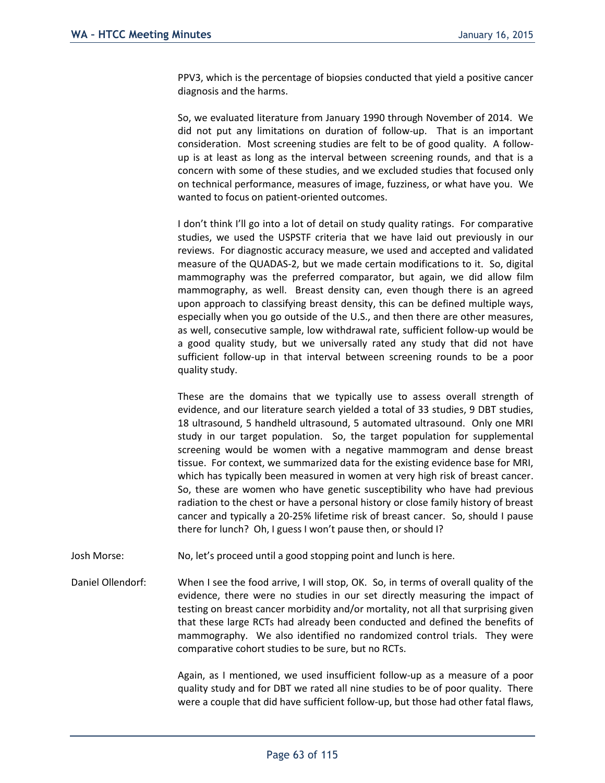PPV3, which is the percentage of biopsies conducted that yield a positive cancer diagnosis and the harms.

So, we evaluated literature from January 1990 through November of 2014. We did not put any limitations on duration of follow-up. That is an important consideration. Most screening studies are felt to be of good quality. A followup is at least as long as the interval between screening rounds, and that is a concern with some of these studies, and we excluded studies that focused only on technical performance, measures of image, fuzziness, or what have you. We wanted to focus on patient-oriented outcomes.

I don't think I'll go into a lot of detail on study quality ratings. For comparative studies, we used the USPSTF criteria that we have laid out previously in our reviews. For diagnostic accuracy measure, we used and accepted and validated measure of the QUADAS-2, but we made certain modifications to it. So, digital mammography was the preferred comparator, but again, we did allow film mammography, as well. Breast density can, even though there is an agreed upon approach to classifying breast density, this can be defined multiple ways, especially when you go outside of the U.S., and then there are other measures, as well, consecutive sample, low withdrawal rate, sufficient follow-up would be a good quality study, but we universally rated any study that did not have sufficient follow-up in that interval between screening rounds to be a poor quality study.

These are the domains that we typically use to assess overall strength of evidence, and our literature search yielded a total of 33 studies, 9 DBT studies, 18 ultrasound, 5 handheld ultrasound, 5 automated ultrasound. Only one MRI study in our target population. So, the target population for supplemental screening would be women with a negative mammogram and dense breast tissue. For context, we summarized data for the existing evidence base for MRI, which has typically been measured in women at very high risk of breast cancer. So, these are women who have genetic susceptibility who have had previous radiation to the chest or have a personal history or close family history of breast cancer and typically a 20-25% lifetime risk of breast cancer. So, should I pause there for lunch? Oh, I guess I won't pause then, or should I?

Josh Morse: No, let's proceed until a good stopping point and lunch is here.

Daniel Ollendorf: When I see the food arrive, I will stop, OK. So, in terms of overall quality of the evidence, there were no studies in our set directly measuring the impact of testing on breast cancer morbidity and/or mortality, not all that surprising given that these large RCTs had already been conducted and defined the benefits of mammography. We also identified no randomized control trials. They were comparative cohort studies to be sure, but no RCTs.

> Again, as I mentioned, we used insufficient follow-up as a measure of a poor quality study and for DBT we rated all nine studies to be of poor quality. There were a couple that did have sufficient follow-up, but those had other fatal flaws,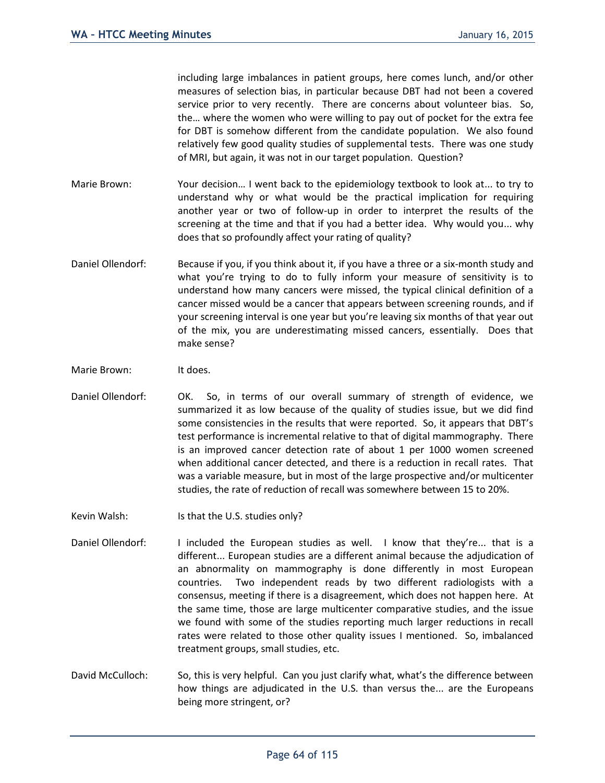including large imbalances in patient groups, here comes lunch, and/or other measures of selection bias, in particular because DBT had not been a covered service prior to very recently. There are concerns about volunteer bias. So, the… where the women who were willing to pay out of pocket for the extra fee for DBT is somehow different from the candidate population. We also found relatively few good quality studies of supplemental tests. There was one study of MRI, but again, it was not in our target population. Question?

- Marie Brown: Your decision... I went back to the epidemiology textbook to look at... to try to understand why or what would be the practical implication for requiring another year or two of follow-up in order to interpret the results of the screening at the time and that if you had a better idea. Why would you... why does that so profoundly affect your rating of quality?
- Daniel Ollendorf: Because if you, if you think about it, if you have a three or a six-month study and what you're trying to do to fully inform your measure of sensitivity is to understand how many cancers were missed, the typical clinical definition of a cancer missed would be a cancer that appears between screening rounds, and if your screening interval is one year but you're leaving six months of that year out of the mix, you are underestimating missed cancers, essentially. Does that make sense?
- Marie Brown: It does.
- Daniel Ollendorf: OK. So, in terms of our overall summary of strength of evidence, we summarized it as low because of the quality of studies issue, but we did find some consistencies in the results that were reported. So, it appears that DBT's test performance is incremental relative to that of digital mammography. There is an improved cancer detection rate of about 1 per 1000 women screened when additional cancer detected, and there is a reduction in recall rates. That was a variable measure, but in most of the large prospective and/or multicenter studies, the rate of reduction of recall was somewhere between 15 to 20%.
- Kevin Walsh: Is that the U.S. studies only?
- Daniel Ollendorf: I included the European studies as well. I know that they're... that is a different... European studies are a different animal because the adjudication of an abnormality on mammography is done differently in most European countries. Two independent reads by two different radiologists with a consensus, meeting if there is a disagreement, which does not happen here. At the same time, those are large multicenter comparative studies, and the issue we found with some of the studies reporting much larger reductions in recall rates were related to those other quality issues I mentioned. So, imbalanced treatment groups, small studies, etc.
- David McCulloch: So, this is very helpful. Can you just clarify what, what's the difference between how things are adjudicated in the U.S. than versus the... are the Europeans being more stringent, or?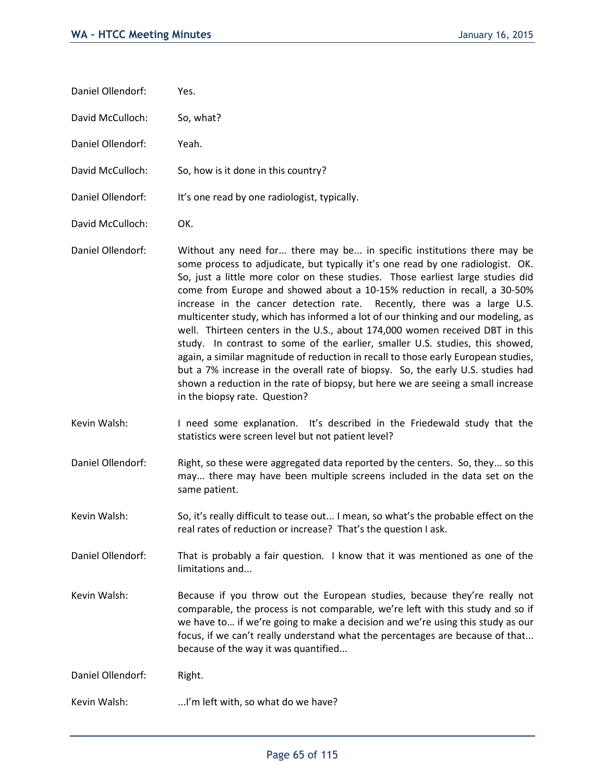| Daniel Ollendorf: | Yes. |
|-------------------|------|
|-------------------|------|

David McCulloch: So, what?

Daniel Ollendorf: Yeah.

David McCulloch: So, how is it done in this country?

Daniel Ollendorf: It's one read by one radiologist, typically.

David McCulloch: OK.

- Daniel Ollendorf: Without any need for... there may be... in specific institutions there may be some process to adjudicate, but typically it's one read by one radiologist. OK. So, just a little more color on these studies. Those earliest large studies did come from Europe and showed about a 10-15% reduction in recall, a 30-50% increase in the cancer detection rate. Recently, there was a large U.S. multicenter study, which has informed a lot of our thinking and our modeling, as well. Thirteen centers in the U.S., about 174,000 women received DBT in this study. In contrast to some of the earlier, smaller U.S. studies, this showed, again, a similar magnitude of reduction in recall to those early European studies, but a 7% increase in the overall rate of biopsy. So, the early U.S. studies had shown a reduction in the rate of biopsy, but here we are seeing a small increase in the biopsy rate. Question?
- Kevin Walsh: I need some explanation. It's described in the Friedewald study that the statistics were screen level but not patient level?
- Daniel Ollendorf: Right, so these were aggregated data reported by the centers. So, they... so this may... there may have been multiple screens included in the data set on the same patient.
- Kevin Walsh: So, it's really difficult to tease out... I mean, so what's the probable effect on the real rates of reduction or increase? That's the question I ask.

Daniel Ollendorf: That is probably a fair question. I know that it was mentioned as one of the limitations and...

Kevin Walsh: Because if you throw out the European studies, because they're really not comparable, the process is not comparable, we're left with this study and so if we have to… if we're going to make a decision and we're using this study as our focus, if we can't really understand what the percentages are because of that... because of the way it was quantified...

Daniel Ollendorf: Right.

Kevin Walsh: ...I'm left with, so what do we have?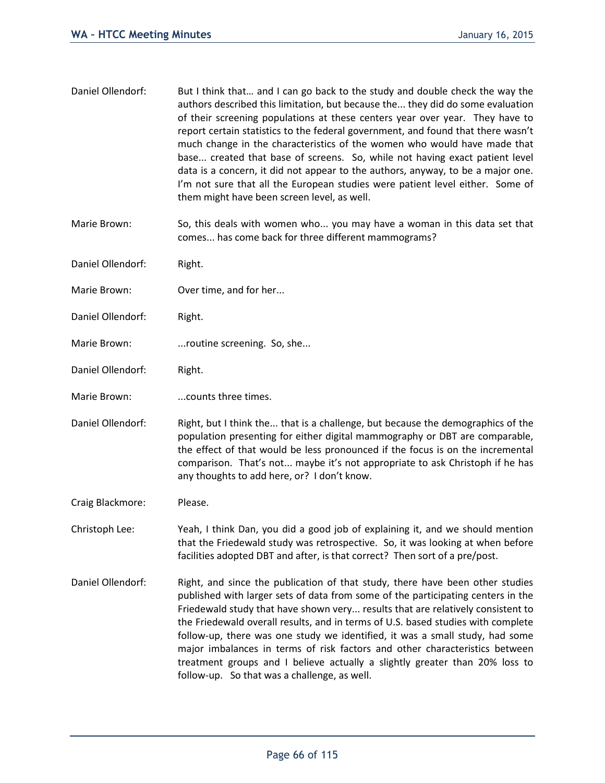- Daniel Ollendorf: But I think that... and I can go back to the study and double check the way the authors described this limitation, but because the... they did do some evaluation of their screening populations at these centers year over year. They have to report certain statistics to the federal government, and found that there wasn't much change in the characteristics of the women who would have made that base... created that base of screens. So, while not having exact patient level data is a concern, it did not appear to the authors, anyway, to be a major one. I'm not sure that all the European studies were patient level either. Some of them might have been screen level, as well.
- Marie Brown: So, this deals with women who... you may have a woman in this data set that comes... has come back for three different mammograms?
- Daniel Ollendorf: Right.
- Marie Brown: Over time, and for her...
- Daniel Ollendorf: Right.
- Marie Brown: ...routine screening. So, she...
- Daniel Ollendorf: Right.
- Marie Brown: ...counts three times.
- Daniel Ollendorf: Right, but I think the... that is a challenge, but because the demographics of the population presenting for either digital mammography or DBT are comparable, the effect of that would be less pronounced if the focus is on the incremental comparison. That's not... maybe it's not appropriate to ask Christoph if he has any thoughts to add here, or? I don't know.
- Craig Blackmore: Please.
- Christoph Lee: Yeah, I think Dan, you did a good job of explaining it, and we should mention that the Friedewald study was retrospective. So, it was looking at when before facilities adopted DBT and after, is that correct? Then sort of a pre/post.
- Daniel Ollendorf: Right, and since the publication of that study, there have been other studies published with larger sets of data from some of the participating centers in the Friedewald study that have shown very... results that are relatively consistent to the Friedewald overall results, and in terms of U.S. based studies with complete follow-up, there was one study we identified, it was a small study, had some major imbalances in terms of risk factors and other characteristics between treatment groups and I believe actually a slightly greater than 20% loss to follow-up. So that was a challenge, as well.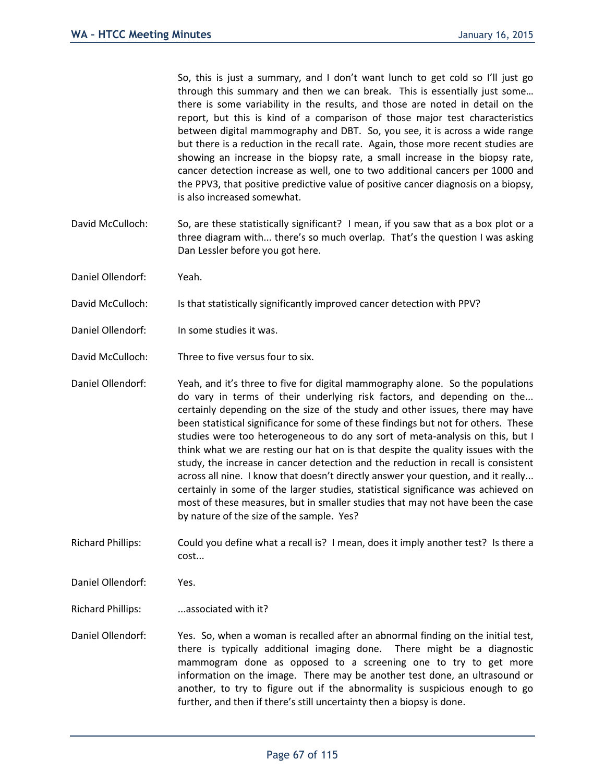So, this is just a summary, and I don't want lunch to get cold so I'll just go through this summary and then we can break. This is essentially just some… there is some variability in the results, and those are noted in detail on the report, but this is kind of a comparison of those major test characteristics between digital mammography and DBT. So, you see, it is across a wide range but there is a reduction in the recall rate. Again, those more recent studies are showing an increase in the biopsy rate, a small increase in the biopsy rate, cancer detection increase as well, one to two additional cancers per 1000 and the PPV3, that positive predictive value of positive cancer diagnosis on a biopsy, is also increased somewhat.

- David McCulloch: So, are these statistically significant? I mean, if you saw that as a box plot or a three diagram with... there's so much overlap. That's the question I was asking Dan Lessler before you got here.
- Daniel Ollendorf: Yeah.
- David McCulloch: Is that statistically significantly improved cancer detection with PPV?
- Daniel Ollendorf: In some studies it was.
- David McCulloch: Three to five versus four to six.
- Daniel Ollendorf: Yeah, and it's three to five for digital mammography alone. So the populations do vary in terms of their underlying risk factors, and depending on the... certainly depending on the size of the study and other issues, there may have been statistical significance for some of these findings but not for others. These studies were too heterogeneous to do any sort of meta-analysis on this, but I think what we are resting our hat on is that despite the quality issues with the study, the increase in cancer detection and the reduction in recall is consistent across all nine. I know that doesn't directly answer your question, and it really... certainly in some of the larger studies, statistical significance was achieved on most of these measures, but in smaller studies that may not have been the case by nature of the size of the sample. Yes?

Richard Phillips: Could you define what a recall is? I mean, does it imply another test? Is there a cost...

Daniel Ollendorf: Yes.

Richard Phillips: ...associated with it?

Daniel Ollendorf: Yes. So, when a woman is recalled after an abnormal finding on the initial test, there is typically additional imaging done. There might be a diagnostic mammogram done as opposed to a screening one to try to get more information on the image. There may be another test done, an ultrasound or another, to try to figure out if the abnormality is suspicious enough to go further, and then if there's still uncertainty then a biopsy is done.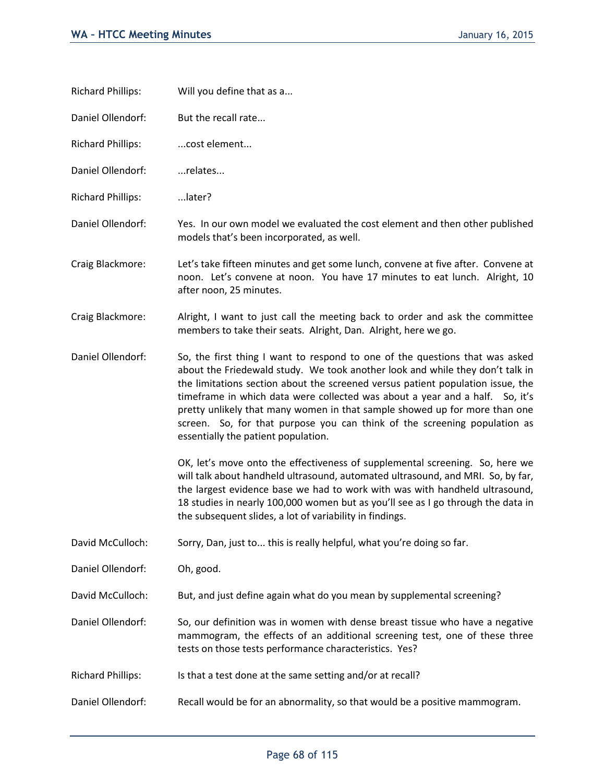- Richard Phillips: Will you define that as a...
- Daniel Ollendorf: But the recall rate...
- Richard Phillips: ....cost element...
- Daniel Ollendorf: ...relates...
- Richard Phillips: ...later?
- Daniel Ollendorf: Yes. In our own model we evaluated the cost element and then other published models that's been incorporated, as well.
- Craig Blackmore: Let's take fifteen minutes and get some lunch, convene at five after. Convene at noon. Let's convene at noon. You have 17 minutes to eat lunch. Alright, 10 after noon, 25 minutes.
- Craig Blackmore: Alright, I want to just call the meeting back to order and ask the committee members to take their seats. Alright, Dan. Alright, here we go.
- Daniel Ollendorf: So, the first thing I want to respond to one of the questions that was asked about the Friedewald study. We took another look and while they don't talk in the limitations section about the screened versus patient population issue, the timeframe in which data were collected was about a year and a half. So, it's pretty unlikely that many women in that sample showed up for more than one screen. So, for that purpose you can think of the screening population as essentially the patient population.

OK, let's move onto the effectiveness of supplemental screening. So, here we will talk about handheld ultrasound, automated ultrasound, and MRI. So, by far, the largest evidence base we had to work with was with handheld ultrasound, 18 studies in nearly 100,000 women but as you'll see as I go through the data in the subsequent slides, a lot of variability in findings.

David McCulloch: Sorry, Dan, just to... this is really helpful, what you're doing so far.

Daniel Ollendorf: Oh, good.

David McCulloch: But, and just define again what do you mean by supplemental screening?

Daniel Ollendorf: So, our definition was in women with dense breast tissue who have a negative mammogram, the effects of an additional screening test, one of these three tests on those tests performance characteristics. Yes?

- Richard Phillips: Is that a test done at the same setting and/or at recall?
- Daniel Ollendorf: Recall would be for an abnormality, so that would be a positive mammogram.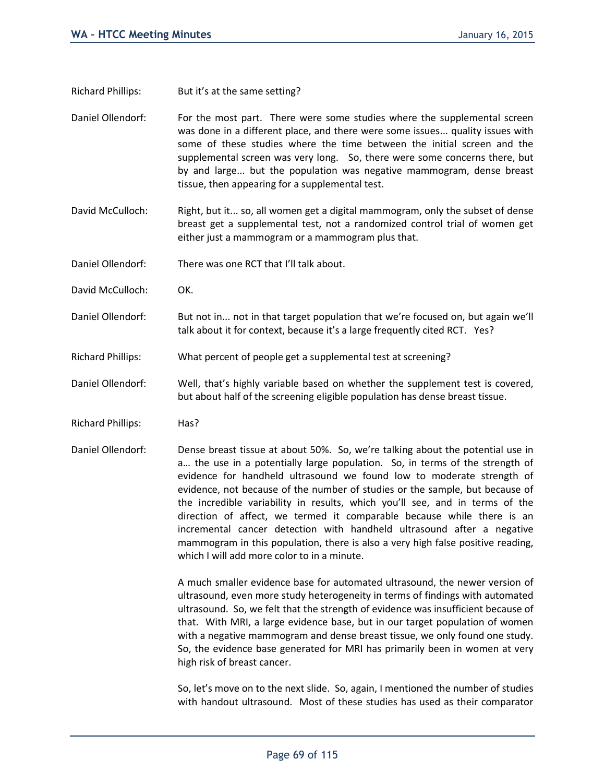Richard Phillips: But it's at the same setting?

Daniel Ollendorf: For the most part. There were some studies where the supplemental screen was done in a different place, and there were some issues... quality issues with some of these studies where the time between the initial screen and the supplemental screen was very long. So, there were some concerns there, but by and large... but the population was negative mammogram, dense breast tissue, then appearing for a supplemental test.

- David McCulloch: Right, but it... so, all women get a digital mammogram, only the subset of dense breast get a supplemental test, not a randomized control trial of women get either just a mammogram or a mammogram plus that.
- Daniel Ollendorf: There was one RCT that I'll talk about.
- David McCulloch: OK.
- Daniel Ollendorf: But not in... not in that target population that we're focused on, but again we'll talk about it for context, because it's a large frequently cited RCT. Yes?
- Richard Phillips: What percent of people get a supplemental test at screening?
- Daniel Ollendorf: Well, that's highly variable based on whether the supplement test is covered, but about half of the screening eligible population has dense breast tissue.
- Richard Phillips: Has?
- Daniel Ollendorf: Dense breast tissue at about 50%. So, we're talking about the potential use in a… the use in a potentially large population. So, in terms of the strength of evidence for handheld ultrasound we found low to moderate strength of evidence, not because of the number of studies or the sample, but because of the incredible variability in results, which you'll see, and in terms of the direction of affect, we termed it comparable because while there is an incremental cancer detection with handheld ultrasound after a negative mammogram in this population, there is also a very high false positive reading, which I will add more color to in a minute.

A much smaller evidence base for automated ultrasound, the newer version of ultrasound, even more study heterogeneity in terms of findings with automated ultrasound. So, we felt that the strength of evidence was insufficient because of that. With MRI, a large evidence base, but in our target population of women with a negative mammogram and dense breast tissue, we only found one study. So, the evidence base generated for MRI has primarily been in women at very high risk of breast cancer.

So, let's move on to the next slide. So, again, I mentioned the number of studies with handout ultrasound. Most of these studies has used as their comparator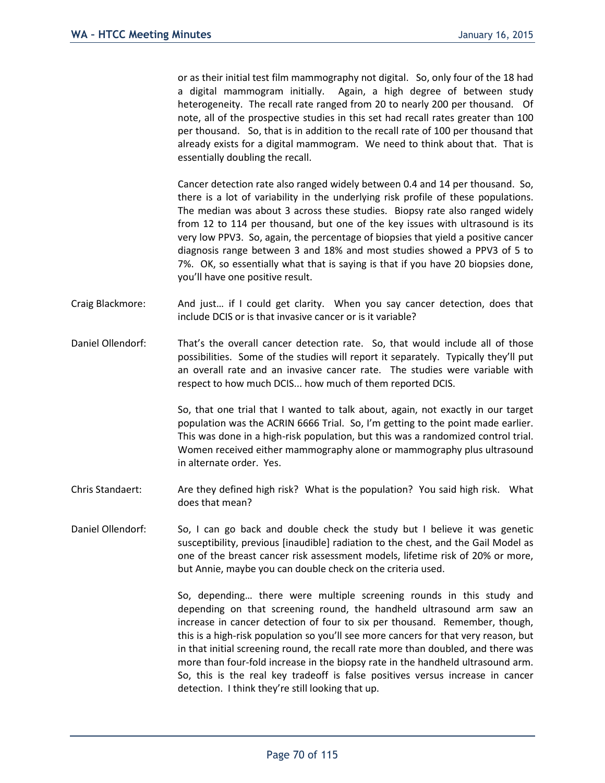or as their initial test film mammography not digital. So, only four of the 18 had a digital mammogram initially. Again, a high degree of between study heterogeneity. The recall rate ranged from 20 to nearly 200 per thousand. Of note, all of the prospective studies in this set had recall rates greater than 100 per thousand. So, that is in addition to the recall rate of 100 per thousand that already exists for a digital mammogram. We need to think about that. That is essentially doubling the recall.

Cancer detection rate also ranged widely between 0.4 and 14 per thousand. So, there is a lot of variability in the underlying risk profile of these populations. The median was about 3 across these studies. Biopsy rate also ranged widely from 12 to 114 per thousand, but one of the key issues with ultrasound is its very low PPV3. So, again, the percentage of biopsies that yield a positive cancer diagnosis range between 3 and 18% and most studies showed a PPV3 of 5 to 7%. OK, so essentially what that is saying is that if you have 20 biopsies done, you'll have one positive result.

- Craig Blackmore: And just… if I could get clarity. When you say cancer detection, does that include DCIS or is that invasive cancer or is it variable?
- Daniel Ollendorf: That's the overall cancer detection rate. So, that would include all of those possibilities. Some of the studies will report it separately. Typically they'll put an overall rate and an invasive cancer rate. The studies were variable with respect to how much DCIS... how much of them reported DCIS.

So, that one trial that I wanted to talk about, again, not exactly in our target population was the ACRIN 6666 Trial. So, I'm getting to the point made earlier. This was done in a high-risk population, but this was a randomized control trial. Women received either mammography alone or mammography plus ultrasound in alternate order. Yes.

- Chris Standaert: Are they defined high risk? What is the population? You said high risk. What does that mean?
- Daniel Ollendorf: So, I can go back and double check the study but I believe it was genetic susceptibility, previous [inaudible] radiation to the chest, and the Gail Model as one of the breast cancer risk assessment models, lifetime risk of 20% or more, but Annie, maybe you can double check on the criteria used.

So, depending… there were multiple screening rounds in this study and depending on that screening round, the handheld ultrasound arm saw an increase in cancer detection of four to six per thousand. Remember, though, this is a high-risk population so you'll see more cancers for that very reason, but in that initial screening round, the recall rate more than doubled, and there was more than four-fold increase in the biopsy rate in the handheld ultrasound arm. So, this is the real key tradeoff is false positives versus increase in cancer detection. I think they're still looking that up.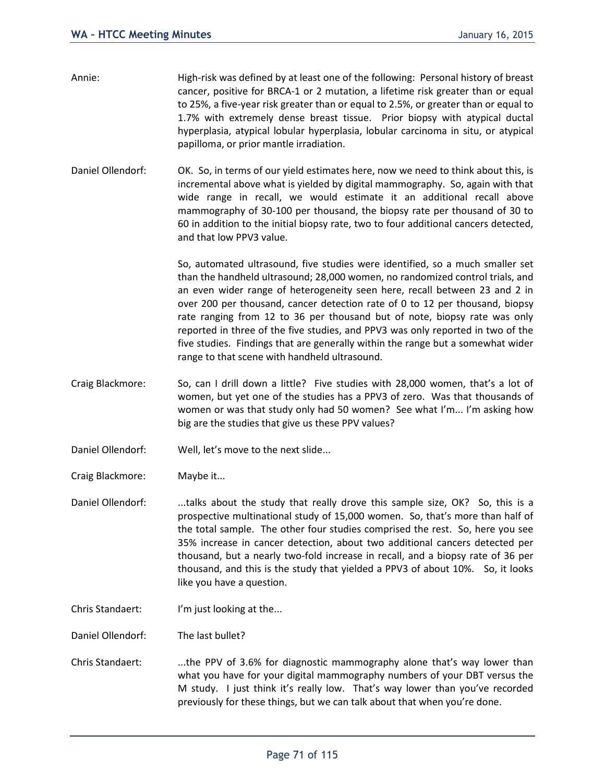- Annie: High-risk was defined by at least one of the following: Personal history of breast cancer, positive for BRCA-1 or 2 mutation, a lifetime risk greater than or equal to 25%, a five-year risk greater than or equal to 2.5%, or greater than or equal to 1.7% with extremely dense breast tissue. Prior biopsy with atypical ductal hyperplasia, atypical lobular hyperplasia, lobular carcinoma in situ, or atypical papilloma, or prior mantle irradiation.
- Daniel Ollendorf: OK. So, in terms of our yield estimates here, now we need to think about this, is incremental above what is yielded by digital mammography. So, again with that wide range in recall, we would estimate it an additional recall above mammography of 30-100 per thousand, the biopsy rate per thousand of 30 to 60 in addition to the initial biopsy rate, two to four additional cancers detected, and that low PPV3 value.

So, automated ultrasound, five studies were identified, so a much smaller set than the handheld ultrasound; 28,000 women, no randomized control trials, and an even wider range of heterogeneity seen here, recall between 23 and 2 in over 200 per thousand, cancer detection rate of 0 to 12 per thousand, biopsy rate ranging from 12 to 36 per thousand but of note, biopsy rate was only reported in three of the five studies, and PPV3 was only reported in two of the five studies. Findings that are generally within the range but a somewhat wider range to that scene with handheld ultrasound.

- Craig Blackmore: So, can I drill down a little? Five studies with 28,000 women, that's a lot of women, but yet one of the studies has a PPV3 of zero. Was that thousands of women or was that study only had 50 women? See what I'm... I'm asking how big are the studies that give us these PPV values?
- Daniel Ollendorf: Well, let's move to the next slide...
- Craig Blackmore: Maybe it...

Daniel Ollendorf: ...talks about the study that really drove this sample size, OK? So, this is a prospective multinational study of 15,000 women. So, that's more than half of the total sample. The other four studies comprised the rest. So, here you see 35% increase in cancer detection, about two additional cancers detected per thousand, but a nearly two-fold increase in recall, and a biopsy rate of 36 per thousand, and this is the study that yielded a PPV3 of about 10%. So, it looks like you have a question.

Chris Standaert: I'm just looking at the...

Daniel Ollendorf: The last bullet?

Chris Standaert: ...the PPV of 3.6% for diagnostic mammography alone that's way lower than what you have for your digital mammography numbers of your DBT versus the M study. I just think it's really low. That's way lower than you've recorded previously for these things, but we can talk about that when you're done.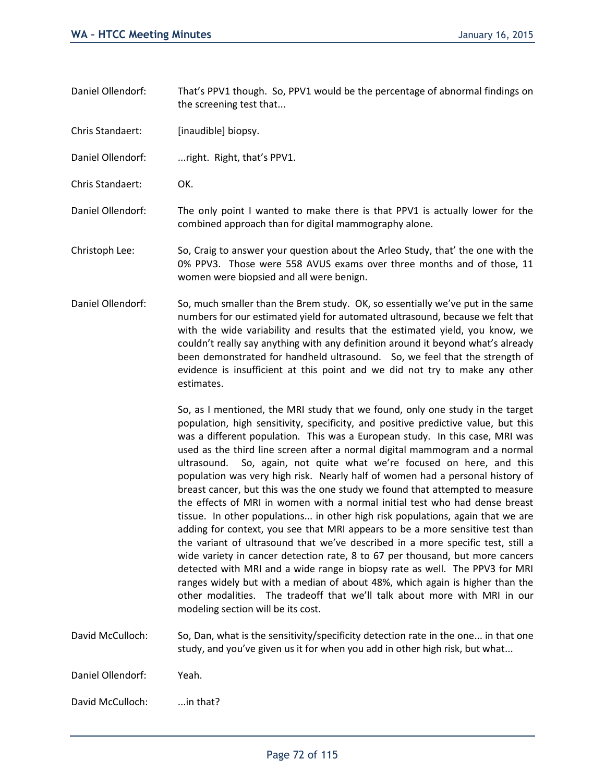Daniel Ollendorf: That's PPV1 though. So, PPV1 would be the percentage of abnormal findings on the screening test that...

Chris Standaert: [inaudible] biopsy.

Daniel Ollendorf: ...right. Right, that's PPV1.

Chris Standaert: OK.

Daniel Ollendorf: The only point I wanted to make there is that PPV1 is actually lower for the combined approach than for digital mammography alone.

Christoph Lee: So, Craig to answer your question about the Arleo Study, that' the one with the 0% PPV3. Those were 558 AVUS exams over three months and of those, 11 women were biopsied and all were benign.

Daniel Ollendorf: So, much smaller than the Brem study. OK, so essentially we've put in the same numbers for our estimated yield for automated ultrasound, because we felt that with the wide variability and results that the estimated yield, you know, we couldn't really say anything with any definition around it beyond what's already been demonstrated for handheld ultrasound. So, we feel that the strength of evidence is insufficient at this point and we did not try to make any other estimates.

> So, as I mentioned, the MRI study that we found, only one study in the target population, high sensitivity, specificity, and positive predictive value, but this was a different population. This was a European study. In this case, MRI was used as the third line screen after a normal digital mammogram and a normal ultrasound. So, again, not quite what we're focused on here, and this population was very high risk. Nearly half of women had a personal history of breast cancer, but this was the one study we found that attempted to measure the effects of MRI in women with a normal initial test who had dense breast tissue. In other populations... in other high risk populations, again that we are adding for context, you see that MRI appears to be a more sensitive test than the variant of ultrasound that we've described in a more specific test, still a wide variety in cancer detection rate, 8 to 67 per thousand, but more cancers detected with MRI and a wide range in biopsy rate as well. The PPV3 for MRI ranges widely but with a median of about 48%, which again is higher than the other modalities. The tradeoff that we'll talk about more with MRI in our modeling section will be its cost.

David McCulloch: So, Dan, what is the sensitivity/specificity detection rate in the one... in that one study, and you've given us it for when you add in other high risk, but what...

Daniel Ollendorf: Yeah.

David McCulloch: ...in that?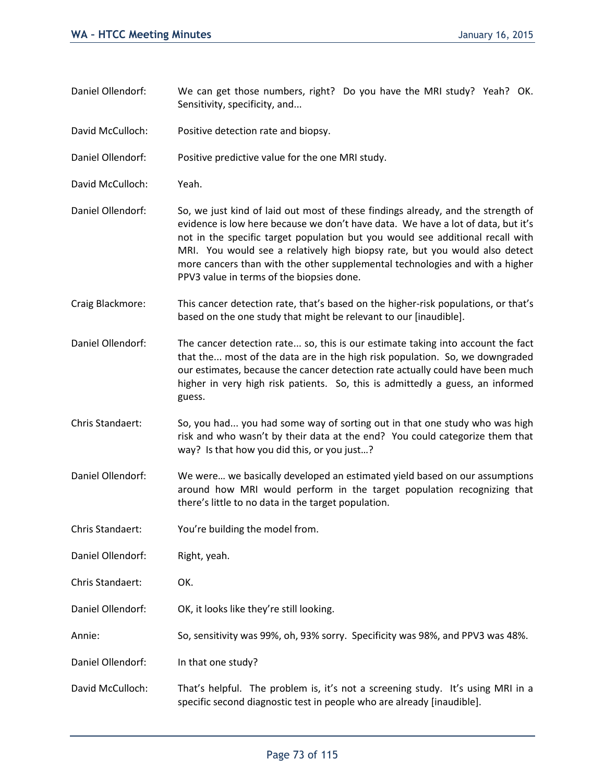- Daniel Ollendorf: We can get those numbers, right? Do you have the MRI study? Yeah? OK. Sensitivity, specificity, and...
- David McCulloch: Positive detection rate and biopsy.

Daniel Ollendorf: Positive predictive value for the one MRI study.

- David McCulloch: Yeah.
- Daniel Ollendorf: So, we just kind of laid out most of these findings already, and the strength of evidence is low here because we don't have data. We have a lot of data, but it's not in the specific target population but you would see additional recall with MRI. You would see a relatively high biopsy rate, but you would also detect more cancers than with the other supplemental technologies and with a higher PPV3 value in terms of the biopsies done.
- Craig Blackmore: This cancer detection rate, that's based on the higher-risk populations, or that's based on the one study that might be relevant to our [inaudible].
- Daniel Ollendorf: The cancer detection rate... so, this is our estimate taking into account the fact that the... most of the data are in the high risk population. So, we downgraded our estimates, because the cancer detection rate actually could have been much higher in very high risk patients. So, this is admittedly a guess, an informed guess.
- Chris Standaert: So, you had... you had some way of sorting out in that one study who was high risk and who wasn't by their data at the end? You could categorize them that way? Is that how you did this, or you just…?
- Daniel Ollendorf: We were… we basically developed an estimated yield based on our assumptions around how MRI would perform in the target population recognizing that there's little to no data in the target population.
- Chris Standaert: You're building the model from.
- Daniel Ollendorf: Right, yeah.
- Chris Standaert: OK.
- Daniel Ollendorf: OK, it looks like they're still looking.
- Annie: So, sensitivity was 99%, oh, 93% sorry. Specificity was 98%, and PPV3 was 48%.
- Daniel Ollendorf: In that one study?
- David McCulloch: That's helpful. The problem is, it's not a screening study. It's using MRI in a specific second diagnostic test in people who are already [inaudible].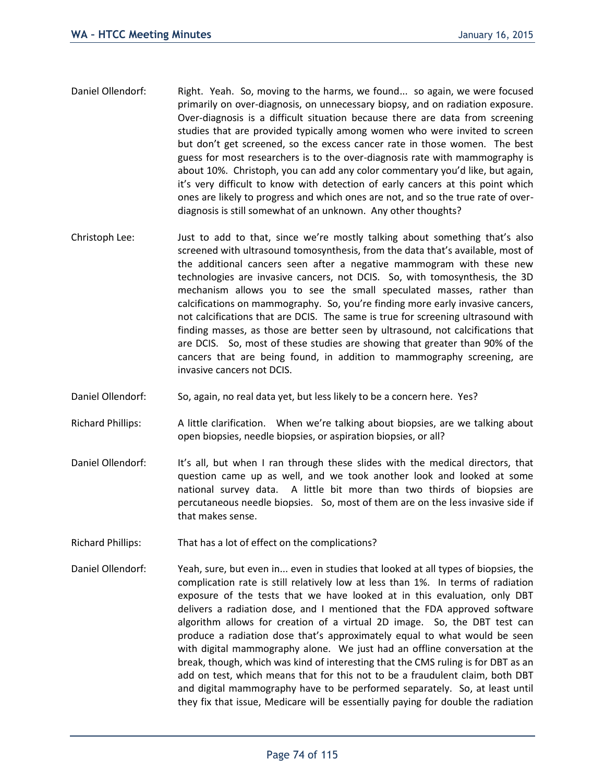- Daniel Ollendorf: Right. Yeah. So, moving to the harms, we found... so again, we were focused primarily on over-diagnosis, on unnecessary biopsy, and on radiation exposure. Over-diagnosis is a difficult situation because there are data from screening studies that are provided typically among women who were invited to screen but don't get screened, so the excess cancer rate in those women. The best guess for most researchers is to the over-diagnosis rate with mammography is about 10%. Christoph, you can add any color commentary you'd like, but again, it's very difficult to know with detection of early cancers at this point which ones are likely to progress and which ones are not, and so the true rate of overdiagnosis is still somewhat of an unknown. Any other thoughts?
- Christoph Lee: Just to add to that, since we're mostly talking about something that's also screened with ultrasound tomosynthesis, from the data that's available, most of the additional cancers seen after a negative mammogram with these new technologies are invasive cancers, not DCIS. So, with tomosynthesis, the 3D mechanism allows you to see the small speculated masses, rather than calcifications on mammography. So, you're finding more early invasive cancers, not calcifications that are DCIS. The same is true for screening ultrasound with finding masses, as those are better seen by ultrasound, not calcifications that are DCIS. So, most of these studies are showing that greater than 90% of the cancers that are being found, in addition to mammography screening, are invasive cancers not DCIS.
- Daniel Ollendorf: So, again, no real data yet, but less likely to be a concern here. Yes?
- Richard Phillips: A little clarification. When we're talking about biopsies, are we talking about open biopsies, needle biopsies, or aspiration biopsies, or all?
- Daniel Ollendorf: It's all, but when I ran through these slides with the medical directors, that question came up as well, and we took another look and looked at some national survey data. A little bit more than two thirds of biopsies are percutaneous needle biopsies. So, most of them are on the less invasive side if that makes sense.
- Richard Phillips: That has a lot of effect on the complications?
- Daniel Ollendorf: Yeah, sure, but even in... even in studies that looked at all types of biopsies, the complication rate is still relatively low at less than 1%. In terms of radiation exposure of the tests that we have looked at in this evaluation, only DBT delivers a radiation dose, and I mentioned that the FDA approved software algorithm allows for creation of a virtual 2D image. So, the DBT test can produce a radiation dose that's approximately equal to what would be seen with digital mammography alone. We just had an offline conversation at the break, though, which was kind of interesting that the CMS ruling is for DBT as an add on test, which means that for this not to be a fraudulent claim, both DBT and digital mammography have to be performed separately. So, at least until they fix that issue, Medicare will be essentially paying for double the radiation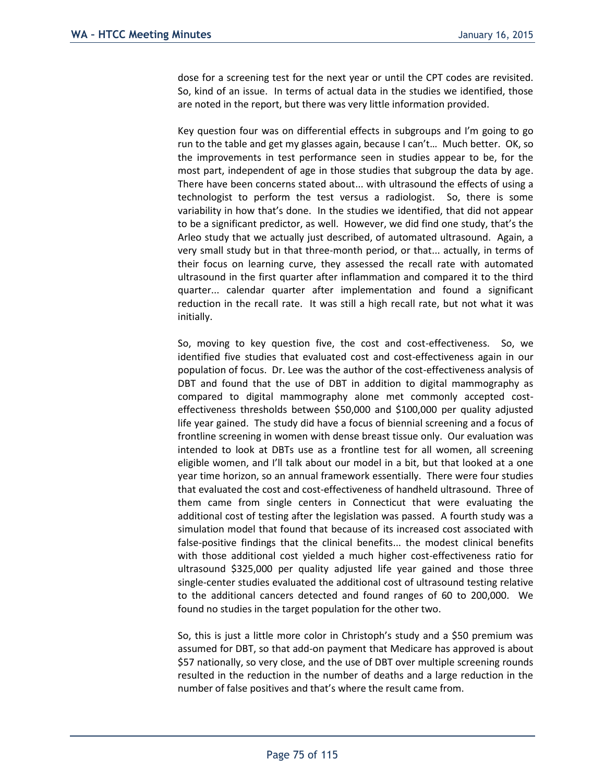dose for a screening test for the next year or until the CPT codes are revisited. So, kind of an issue. In terms of actual data in the studies we identified, those are noted in the report, but there was very little information provided.

Key question four was on differential effects in subgroups and I'm going to go run to the table and get my glasses again, because I can't… Much better. OK, so the improvements in test performance seen in studies appear to be, for the most part, independent of age in those studies that subgroup the data by age. There have been concerns stated about... with ultrasound the effects of using a technologist to perform the test versus a radiologist. So, there is some variability in how that's done. In the studies we identified, that did not appear to be a significant predictor, as well. However, we did find one study, that's the Arleo study that we actually just described, of automated ultrasound. Again, a very small study but in that three-month period, or that... actually, in terms of their focus on learning curve, they assessed the recall rate with automated ultrasound in the first quarter after inflammation and compared it to the third quarter... calendar quarter after implementation and found a significant reduction in the recall rate. It was still a high recall rate, but not what it was initially.

So, moving to key question five, the cost and cost-effectiveness. So, we identified five studies that evaluated cost and cost-effectiveness again in our population of focus. Dr. Lee was the author of the cost-effectiveness analysis of DBT and found that the use of DBT in addition to digital mammography as compared to digital mammography alone met commonly accepted costeffectiveness thresholds between \$50,000 and \$100,000 per quality adjusted life year gained. The study did have a focus of biennial screening and a focus of frontline screening in women with dense breast tissue only. Our evaluation was intended to look at DBTs use as a frontline test for all women, all screening eligible women, and I'll talk about our model in a bit, but that looked at a one year time horizon, so an annual framework essentially. There were four studies that evaluated the cost and cost-effectiveness of handheld ultrasound. Three of them came from single centers in Connecticut that were evaluating the additional cost of testing after the legislation was passed. A fourth study was a simulation model that found that because of its increased cost associated with false-positive findings that the clinical benefits... the modest clinical benefits with those additional cost yielded a much higher cost-effectiveness ratio for ultrasound \$325,000 per quality adjusted life year gained and those three single-center studies evaluated the additional cost of ultrasound testing relative to the additional cancers detected and found ranges of 60 to 200,000. We found no studies in the target population for the other two.

So, this is just a little more color in Christoph's study and a \$50 premium was assumed for DBT, so that add-on payment that Medicare has approved is about \$57 nationally, so very close, and the use of DBT over multiple screening rounds resulted in the reduction in the number of deaths and a large reduction in the number of false positives and that's where the result came from.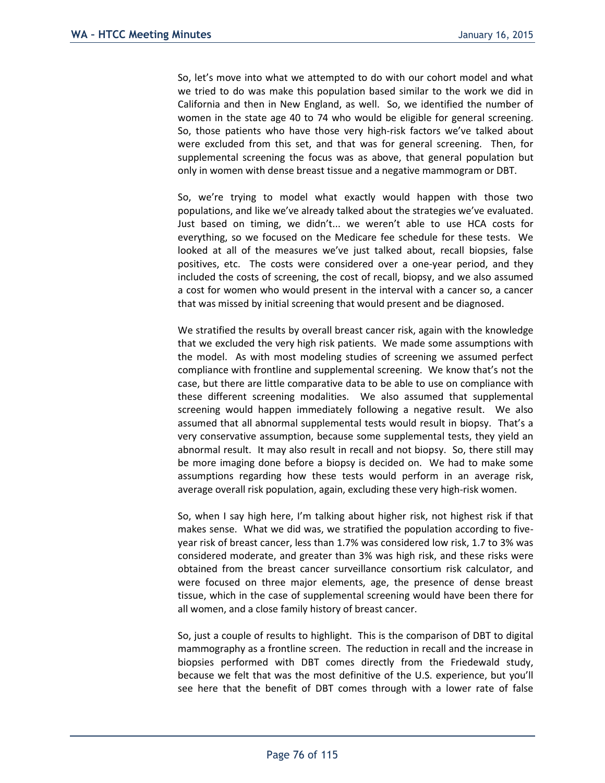So, let's move into what we attempted to do with our cohort model and what we tried to do was make this population based similar to the work we did in California and then in New England, as well. So, we identified the number of women in the state age 40 to 74 who would be eligible for general screening. So, those patients who have those very high-risk factors we've talked about were excluded from this set, and that was for general screening. Then, for supplemental screening the focus was as above, that general population but only in women with dense breast tissue and a negative mammogram or DBT.

So, we're trying to model what exactly would happen with those two populations, and like we've already talked about the strategies we've evaluated. Just based on timing, we didn't... we weren't able to use HCA costs for everything, so we focused on the Medicare fee schedule for these tests. We looked at all of the measures we've just talked about, recall biopsies, false positives, etc. The costs were considered over a one-year period, and they included the costs of screening, the cost of recall, biopsy, and we also assumed a cost for women who would present in the interval with a cancer so, a cancer that was missed by initial screening that would present and be diagnosed.

We stratified the results by overall breast cancer risk, again with the knowledge that we excluded the very high risk patients. We made some assumptions with the model. As with most modeling studies of screening we assumed perfect compliance with frontline and supplemental screening. We know that's not the case, but there are little comparative data to be able to use on compliance with these different screening modalities. We also assumed that supplemental screening would happen immediately following a negative result. We also assumed that all abnormal supplemental tests would result in biopsy. That's a very conservative assumption, because some supplemental tests, they yield an abnormal result. It may also result in recall and not biopsy. So, there still may be more imaging done before a biopsy is decided on. We had to make some assumptions regarding how these tests would perform in an average risk, average overall risk population, again, excluding these very high-risk women.

So, when I say high here, I'm talking about higher risk, not highest risk if that makes sense. What we did was, we stratified the population according to fiveyear risk of breast cancer, less than 1.7% was considered low risk, 1.7 to 3% was considered moderate, and greater than 3% was high risk, and these risks were obtained from the breast cancer surveillance consortium risk calculator, and were focused on three major elements, age, the presence of dense breast tissue, which in the case of supplemental screening would have been there for all women, and a close family history of breast cancer.

So, just a couple of results to highlight. This is the comparison of DBT to digital mammography as a frontline screen. The reduction in recall and the increase in biopsies performed with DBT comes directly from the Friedewald study, because we felt that was the most definitive of the U.S. experience, but you'll see here that the benefit of DBT comes through with a lower rate of false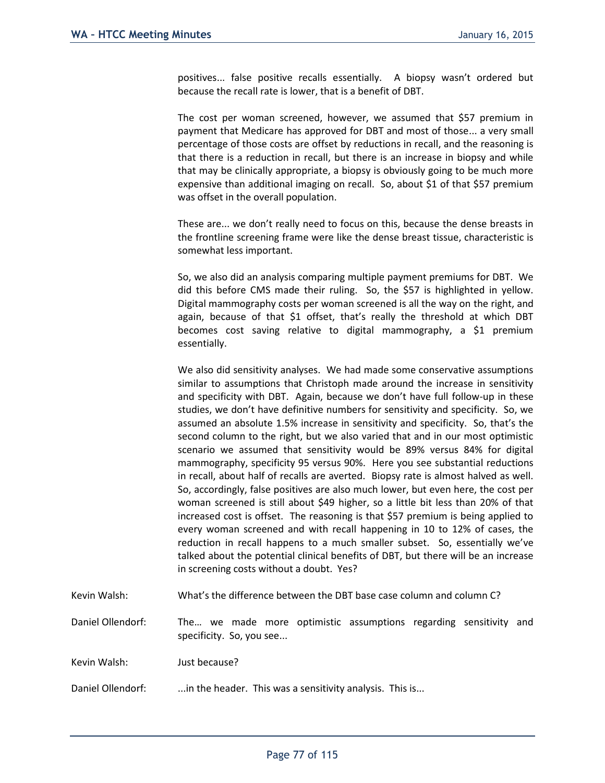positives... false positive recalls essentially. A biopsy wasn't ordered but because the recall rate is lower, that is a benefit of DBT.

The cost per woman screened, however, we assumed that \$57 premium in payment that Medicare has approved for DBT and most of those... a very small percentage of those costs are offset by reductions in recall, and the reasoning is that there is a reduction in recall, but there is an increase in biopsy and while that may be clinically appropriate, a biopsy is obviously going to be much more expensive than additional imaging on recall. So, about \$1 of that \$57 premium was offset in the overall population.

These are... we don't really need to focus on this, because the dense breasts in the frontline screening frame were like the dense breast tissue, characteristic is somewhat less important.

So, we also did an analysis comparing multiple payment premiums for DBT. We did this before CMS made their ruling. So, the \$57 is highlighted in yellow. Digital mammography costs per woman screened is all the way on the right, and again, because of that \$1 offset, that's really the threshold at which DBT becomes cost saving relative to digital mammography, a \$1 premium essentially.

We also did sensitivity analyses. We had made some conservative assumptions similar to assumptions that Christoph made around the increase in sensitivity and specificity with DBT. Again, because we don't have full follow-up in these studies, we don't have definitive numbers for sensitivity and specificity. So, we assumed an absolute 1.5% increase in sensitivity and specificity. So, that's the second column to the right, but we also varied that and in our most optimistic scenario we assumed that sensitivity would be 89% versus 84% for digital mammography, specificity 95 versus 90%. Here you see substantial reductions in recall, about half of recalls are averted. Biopsy rate is almost halved as well. So, accordingly, false positives are also much lower, but even here, the cost per woman screened is still about \$49 higher, so a little bit less than 20% of that increased cost is offset. The reasoning is that \$57 premium is being applied to every woman screened and with recall happening in 10 to 12% of cases, the reduction in recall happens to a much smaller subset. So, essentially we've talked about the potential clinical benefits of DBT, but there will be an increase in screening costs without a doubt. Yes?

Kevin Walsh: What's the difference between the DBT base case column and column C?

Daniel Ollendorf: The… we made more optimistic assumptions regarding sensitivity and specificity. So, you see...

Kevin Walsh: Just because?

Daniel Ollendorf: ...in the header. This was a sensitivity analysis. This is...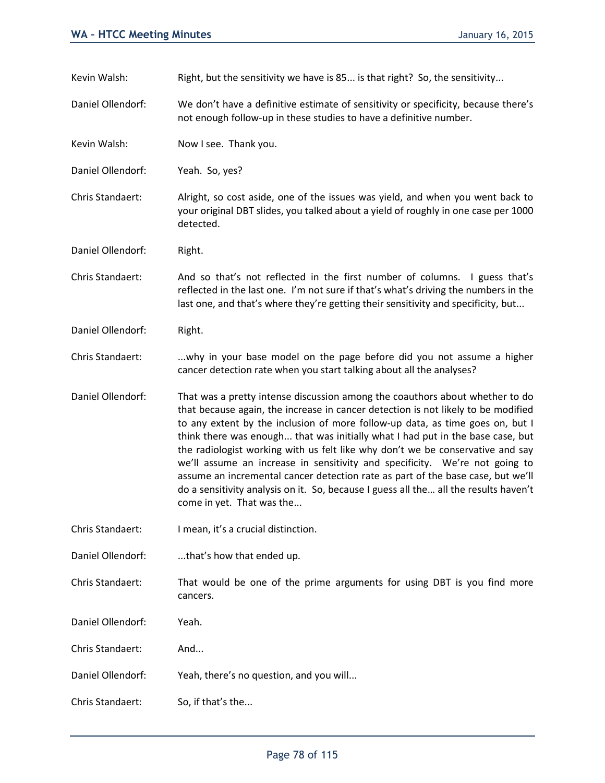Kevin Walsh: Right, but the sensitivity we have is 85... is that right? So, the sensitivity...

Daniel Ollendorf: We don't have a definitive estimate of sensitivity or specificity, because there's not enough follow-up in these studies to have a definitive number.

Kevin Walsh: Now I see. Thank you.

Daniel Ollendorf: Yeah. So, yes?

Chris Standaert: Alright, so cost aside, one of the issues was yield, and when you went back to your original DBT slides, you talked about a yield of roughly in one case per 1000 detected.

Daniel Ollendorf: Right.

Chris Standaert: And so that's not reflected in the first number of columns. I guess that's reflected in the last one. I'm not sure if that's what's driving the numbers in the last one, and that's where they're getting their sensitivity and specificity, but...

Daniel Ollendorf: Right.

Chris Standaert: . ...why in your base model on the page before did you not assume a higher cancer detection rate when you start talking about all the analyses?

Daniel Ollendorf: That was a pretty intense discussion among the coauthors about whether to do that because again, the increase in cancer detection is not likely to be modified to any extent by the inclusion of more follow-up data, as time goes on, but I think there was enough... that was initially what I had put in the base case, but the radiologist working with us felt like why don't we be conservative and say we'll assume an increase in sensitivity and specificity. We're not going to assume an incremental cancer detection rate as part of the base case, but we'll do a sensitivity analysis on it. So, because I guess all the… all the results haven't come in yet. That was the...

Chris Standaert: I mean, it's a crucial distinction.

Daniel Ollendorf: ....that's how that ended up.

Chris Standaert: That would be one of the prime arguments for using DBT is you find more cancers.

Daniel Ollendorf: Yeah.

Chris Standaert: And...

Daniel Ollendorf: Yeah, there's no question, and you will...

Chris Standaert: So, if that's the...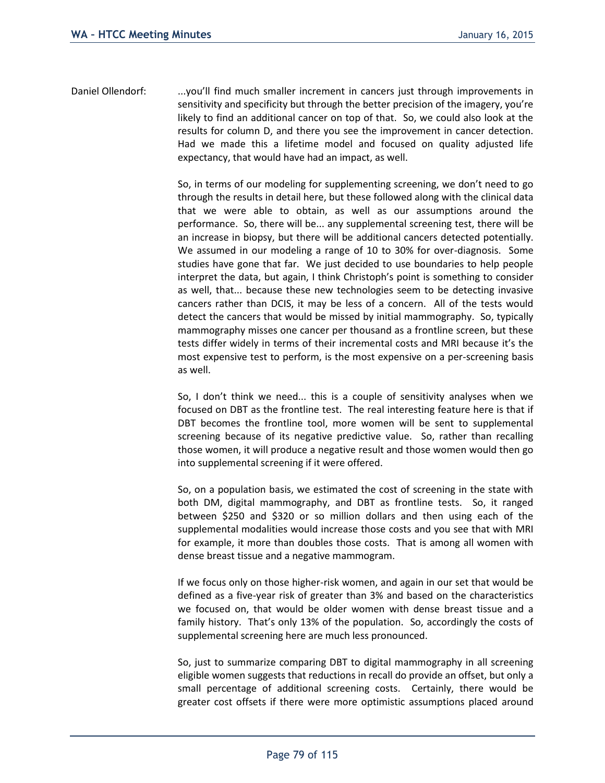Daniel Ollendorf: ...you'll find much smaller increment in cancers just through improvements in sensitivity and specificity but through the better precision of the imagery, you're likely to find an additional cancer on top of that. So, we could also look at the results for column D, and there you see the improvement in cancer detection. Had we made this a lifetime model and focused on quality adjusted life expectancy, that would have had an impact, as well.

> So, in terms of our modeling for supplementing screening, we don't need to go through the results in detail here, but these followed along with the clinical data that we were able to obtain, as well as our assumptions around the performance. So, there will be... any supplemental screening test, there will be an increase in biopsy, but there will be additional cancers detected potentially. We assumed in our modeling a range of 10 to 30% for over-diagnosis. Some studies have gone that far. We just decided to use boundaries to help people interpret the data, but again, I think Christoph's point is something to consider as well, that... because these new technologies seem to be detecting invasive cancers rather than DCIS, it may be less of a concern. All of the tests would detect the cancers that would be missed by initial mammography. So, typically mammography misses one cancer per thousand as a frontline screen, but these tests differ widely in terms of their incremental costs and MRI because it's the most expensive test to perform, is the most expensive on a per-screening basis as well.

> So, I don't think we need... this is a couple of sensitivity analyses when we focused on DBT as the frontline test. The real interesting feature here is that if DBT becomes the frontline tool, more women will be sent to supplemental screening because of its negative predictive value. So, rather than recalling those women, it will produce a negative result and those women would then go into supplemental screening if it were offered.

> So, on a population basis, we estimated the cost of screening in the state with both DM, digital mammography, and DBT as frontline tests. So, it ranged between \$250 and \$320 or so million dollars and then using each of the supplemental modalities would increase those costs and you see that with MRI for example, it more than doubles those costs. That is among all women with dense breast tissue and a negative mammogram.

> If we focus only on those higher-risk women, and again in our set that would be defined as a five-year risk of greater than 3% and based on the characteristics we focused on, that would be older women with dense breast tissue and a family history. That's only 13% of the population. So, accordingly the costs of supplemental screening here are much less pronounced.

> So, just to summarize comparing DBT to digital mammography in all screening eligible women suggests that reductions in recall do provide an offset, but only a small percentage of additional screening costs. Certainly, there would be greater cost offsets if there were more optimistic assumptions placed around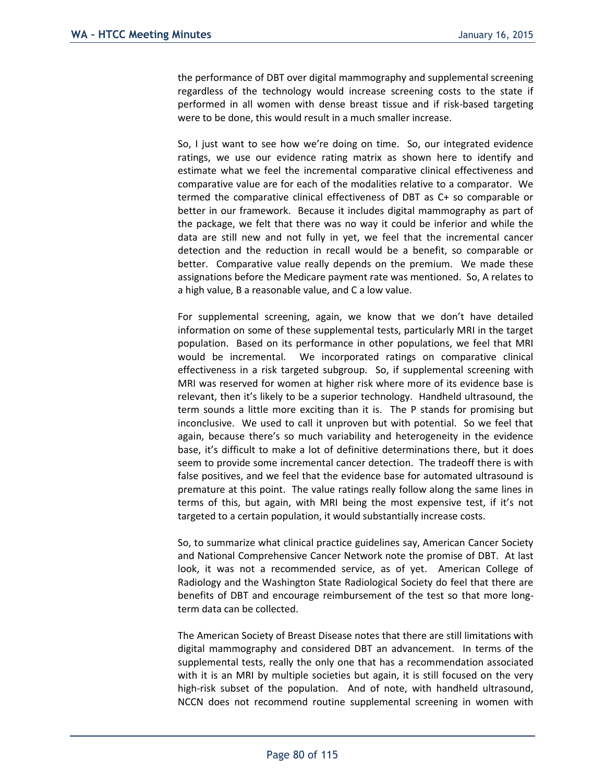the performance of DBT over digital mammography and supplemental screening regardless of the technology would increase screening costs to the state if performed in all women with dense breast tissue and if risk-based targeting were to be done, this would result in a much smaller increase.

So, I just want to see how we're doing on time. So, our integrated evidence ratings, we use our evidence rating matrix as shown here to identify and estimate what we feel the incremental comparative clinical effectiveness and comparative value are for each of the modalities relative to a comparator. We termed the comparative clinical effectiveness of DBT as C+ so comparable or better in our framework. Because it includes digital mammography as part of the package, we felt that there was no way it could be inferior and while the data are still new and not fully in yet, we feel that the incremental cancer detection and the reduction in recall would be a benefit, so comparable or better. Comparative value really depends on the premium. We made these assignations before the Medicare payment rate was mentioned. So, A relates to a high value, B a reasonable value, and C a low value.

For supplemental screening, again, we know that we don't have detailed information on some of these supplemental tests, particularly MRI in the target population. Based on its performance in other populations, we feel that MRI would be incremental. We incorporated ratings on comparative clinical effectiveness in a risk targeted subgroup. So, if supplemental screening with MRI was reserved for women at higher risk where more of its evidence base is relevant, then it's likely to be a superior technology. Handheld ultrasound, the term sounds a little more exciting than it is. The P stands for promising but inconclusive. We used to call it unproven but with potential. So we feel that again, because there's so much variability and heterogeneity in the evidence base, it's difficult to make a lot of definitive determinations there, but it does seem to provide some incremental cancer detection. The tradeoff there is with false positives, and we feel that the evidence base for automated ultrasound is premature at this point. The value ratings really follow along the same lines in terms of this, but again, with MRI being the most expensive test, if it's not targeted to a certain population, it would substantially increase costs.

So, to summarize what clinical practice guidelines say, American Cancer Society and National Comprehensive Cancer Network note the promise of DBT. At last look, it was not a recommended service, as of yet. American College of Radiology and the Washington State Radiological Society do feel that there are benefits of DBT and encourage reimbursement of the test so that more longterm data can be collected.

The American Society of Breast Disease notes that there are still limitations with digital mammography and considered DBT an advancement. In terms of the supplemental tests, really the only one that has a recommendation associated with it is an MRI by multiple societies but again, it is still focused on the very high-risk subset of the population. And of note, with handheld ultrasound, NCCN does not recommend routine supplemental screening in women with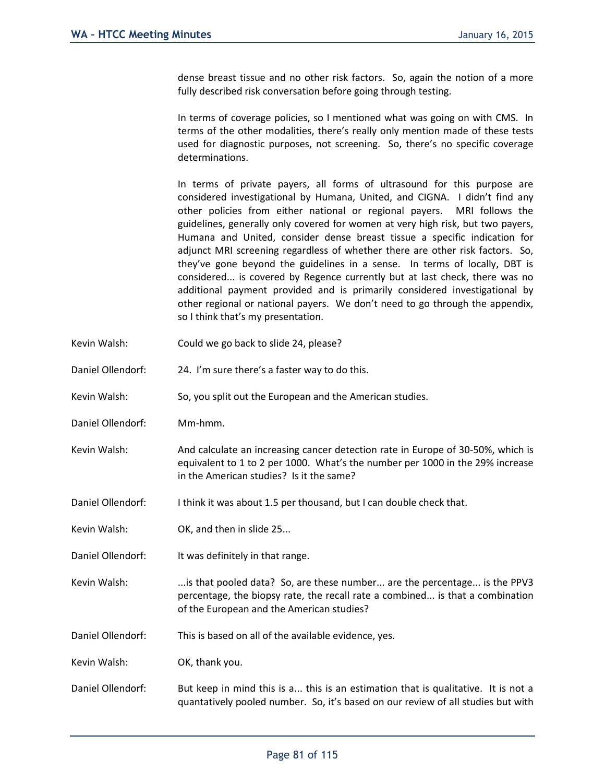dense breast tissue and no other risk factors. So, again the notion of a more fully described risk conversation before going through testing.

In terms of coverage policies, so I mentioned what was going on with CMS. In terms of the other modalities, there's really only mention made of these tests used for diagnostic purposes, not screening. So, there's no specific coverage determinations.

In terms of private payers, all forms of ultrasound for this purpose are considered investigational by Humana, United, and CIGNA. I didn't find any other policies from either national or regional payers. MRI follows the guidelines, generally only covered for women at very high risk, but two payers, Humana and United, consider dense breast tissue a specific indication for adjunct MRI screening regardless of whether there are other risk factors. So, they've gone beyond the guidelines in a sense. In terms of locally, DBT is considered... is covered by Regence currently but at last check, there was no additional payment provided and is primarily considered investigational by other regional or national payers. We don't need to go through the appendix, so I think that's my presentation.

- Kevin Walsh: Could we go back to slide 24, please?
- Daniel Ollendorf: 24. I'm sure there's a faster way to do this.
- Kevin Walsh: So, you split out the European and the American studies.
- Daniel Ollendorf: Mm-hmm.
- Kevin Walsh: And calculate an increasing cancer detection rate in Europe of 30-50%, which is equivalent to 1 to 2 per 1000. What's the number per 1000 in the 29% increase in the American studies? Is it the same?
- Daniel Ollendorf: I think it was about 1.5 per thousand, but I can double check that.
- Kevin Walsh: **OK, and then in slide 25...**
- Daniel Ollendorf: It was definitely in that range.
- Kevin Walsh: ....is that pooled data? So, are these number... are the percentage... is the PPV3 percentage, the biopsy rate, the recall rate a combined... is that a combination of the European and the American studies?
- Daniel Ollendorf: This is based on all of the available evidence, yes.

Kevin Walsh: OK, thank you.

Daniel Ollendorf: But keep in mind this is a... this is an estimation that is qualitative. It is not a quantatively pooled number. So, it's based on our review of all studies but with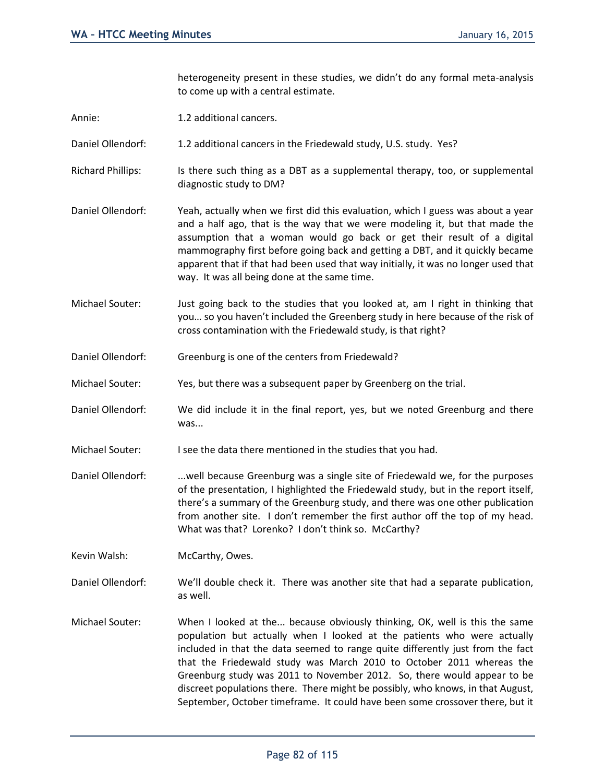heterogeneity present in these studies, we didn't do any formal meta-analysis to come up with a central estimate.

- Annie: 1.2 additional cancers.
- Daniel Ollendorf: 1.2 additional cancers in the Friedewald study, U.S. study. Yes?
- Richard Phillips: Is there such thing as a DBT as a supplemental therapy, too, or supplemental diagnostic study to DM?
- Daniel Ollendorf: Yeah, actually when we first did this evaluation, which I guess was about a year and a half ago, that is the way that we were modeling it, but that made the assumption that a woman would go back or get their result of a digital mammography first before going back and getting a DBT, and it quickly became apparent that if that had been used that way initially, it was no longer used that way. It was all being done at the same time.
- Michael Souter: Just going back to the studies that you looked at, am I right in thinking that you… so you haven't included the Greenberg study in here because of the risk of cross contamination with the Friedewald study, is that right?
- Daniel Ollendorf: Greenburg is one of the centers from Friedewald?
- Michael Souter: Yes, but there was a subsequent paper by Greenberg on the trial.
- Daniel Ollendorf: We did include it in the final report, yes, but we noted Greenburg and there was...
- Michael Souter: I see the data there mentioned in the studies that you had.
- Daniel Ollendorf: . ...well because Greenburg was a single site of Friedewald we, for the purposes of the presentation, I highlighted the Friedewald study, but in the report itself, there's a summary of the Greenburg study, and there was one other publication from another site. I don't remember the first author off the top of my head. What was that? Lorenko? I don't think so. McCarthy?
- Kevin Walsh: McCarthy, Owes.
- Daniel Ollendorf: We'll double check it. There was another site that had a separate publication, as well.
- Michael Souter: When I looked at the... because obviously thinking, OK, well is this the same population but actually when I looked at the patients who were actually included in that the data seemed to range quite differently just from the fact that the Friedewald study was March 2010 to October 2011 whereas the Greenburg study was 2011 to November 2012. So, there would appear to be discreet populations there. There might be possibly, who knows, in that August, September, October timeframe. It could have been some crossover there, but it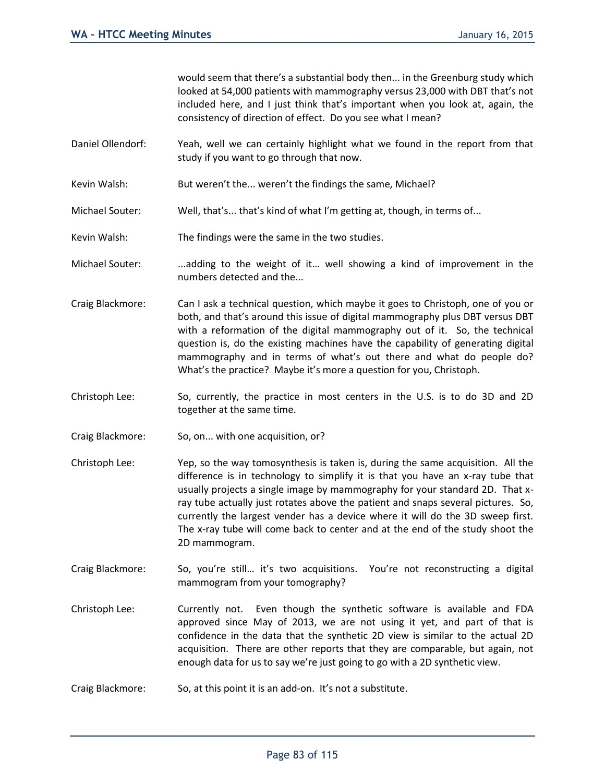would seem that there's a substantial body then... in the Greenburg study which looked at 54,000 patients with mammography versus 23,000 with DBT that's not included here, and I just think that's important when you look at, again, the consistency of direction of effect. Do you see what I mean?

- Daniel Ollendorf: Yeah, well we can certainly highlight what we found in the report from that study if you want to go through that now.
- Kevin Walsh: But weren't the... weren't the findings the same, Michael?
- Michael Souter: Well, that's... that's kind of what I'm getting at, though, in terms of...
- Kevin Walsh: The findings were the same in the two studies.
- Michael Souter: ...adding to the weight of it... well showing a kind of improvement in the numbers detected and the...
- Craig Blackmore: Can I ask a technical question, which maybe it goes to Christoph, one of you or both, and that's around this issue of digital mammography plus DBT versus DBT with a reformation of the digital mammography out of it. So, the technical question is, do the existing machines have the capability of generating digital mammography and in terms of what's out there and what do people do? What's the practice? Maybe it's more a question for you, Christoph.
- Christoph Lee: So, currently, the practice in most centers in the U.S. is to do 3D and 2D together at the same time.
- Craig Blackmore: So, on... with one acquisition, or?
- Christoph Lee: Yep, so the way tomosynthesis is taken is, during the same acquisition. All the difference is in technology to simplify it is that you have an x-ray tube that usually projects a single image by mammography for your standard 2D. That xray tube actually just rotates above the patient and snaps several pictures. So, currently the largest vender has a device where it will do the 3D sweep first. The x-ray tube will come back to center and at the end of the study shoot the 2D mammogram.
- Craig Blackmore: So, you're still… it's two acquisitions. You're not reconstructing a digital mammogram from your tomography?
- Christoph Lee: Currently not. Even though the synthetic software is available and FDA approved since May of 2013, we are not using it yet, and part of that is confidence in the data that the synthetic 2D view is similar to the actual 2D acquisition. There are other reports that they are comparable, but again, not enough data for us to say we're just going to go with a 2D synthetic view.
- Craig Blackmore: So, at this point it is an add-on. It's not a substitute.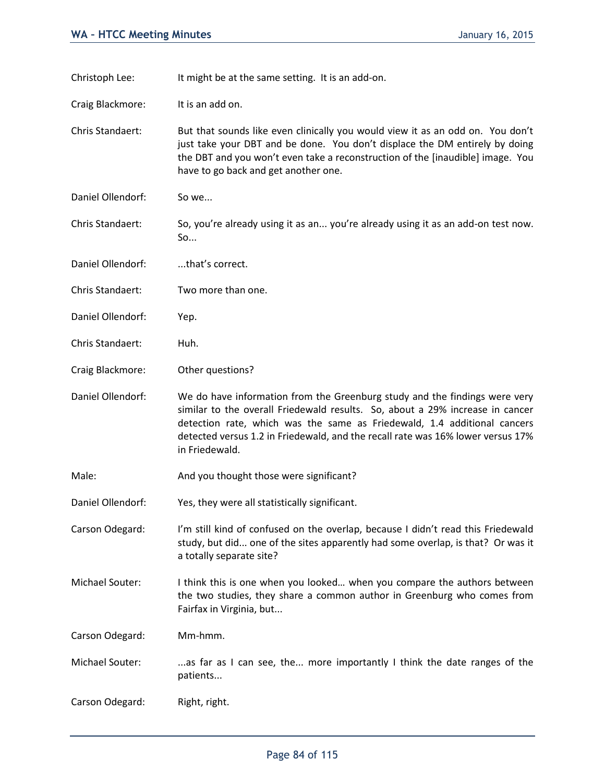Christoph Lee: It might be at the same setting. It is an add-on. Craig Blackmore: It is an add on. Chris Standaert: But that sounds like even clinically you would view it as an odd on. You don't just take your DBT and be done. You don't displace the DM entirely by doing the DBT and you won't even take a reconstruction of the [inaudible] image. You have to go back and get another one. Daniel Ollendorf: So we... Chris Standaert: So, you're already using it as an... you're already using it as an add-on test now. So... Daniel Ollendorf: ....that's correct. Chris Standaert: Two more than one. Daniel Ollendorf: Yep. Chris Standaert: Huh. Craig Blackmore: Other questions? Daniel Ollendorf: We do have information from the Greenburg study and the findings were very similar to the overall Friedewald results. So, about a 29% increase in cancer detection rate, which was the same as Friedewald, 1.4 additional cancers detected versus 1.2 in Friedewald, and the recall rate was 16% lower versus 17% in Friedewald. Male: Male: And you thought those were significant? Daniel Ollendorf: Yes, they were all statistically significant. Carson Odegard: I'm still kind of confused on the overlap, because I didn't read this Friedewald study, but did... one of the sites apparently had some overlap, is that? Or was it a totally separate site? Michael Souter: I think this is one when you looked… when you compare the authors between the two studies, they share a common author in Greenburg who comes from Fairfax in Virginia, but... Carson Odegard: Mm-hmm. Michael Souter: ...as far as I can see, the... more importantly I think the date ranges of the patients... Carson Odegard: Right, right.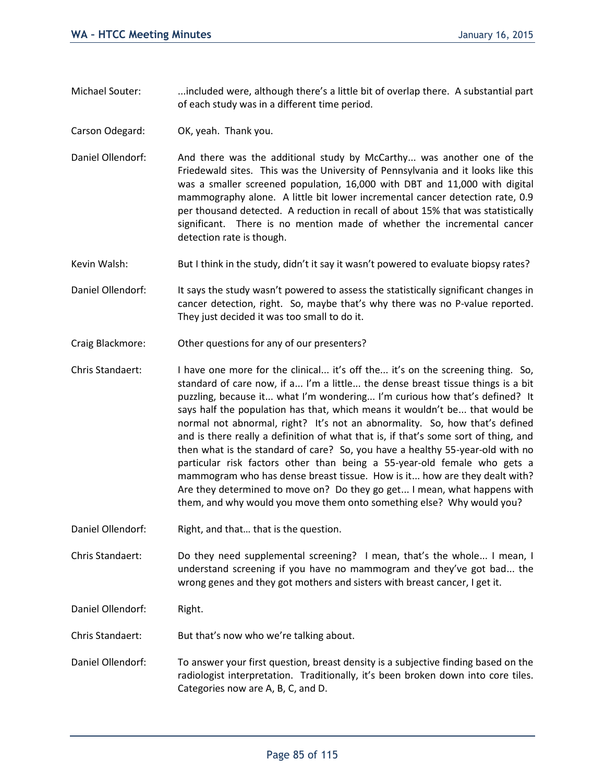- Michael Souter: ....included were, although there's a little bit of overlap there. A substantial part of each study was in a different time period.
- Carson Odegard: OK, yeah. Thank you.
- Daniel Ollendorf: And there was the additional study by McCarthy... was another one of the Friedewald sites. This was the University of Pennsylvania and it looks like this was a smaller screened population, 16,000 with DBT and 11,000 with digital mammography alone. A little bit lower incremental cancer detection rate, 0.9 per thousand detected. A reduction in recall of about 15% that was statistically significant. There is no mention made of whether the incremental cancer detection rate is though.
- Kevin Walsh: But I think in the study, didn't it say it wasn't powered to evaluate biopsy rates?
- Daniel Ollendorf: It says the study wasn't powered to assess the statistically significant changes in cancer detection, right. So, maybe that's why there was no P-value reported. They just decided it was too small to do it.
- Craig Blackmore: Other questions for any of our presenters?
- Chris Standaert: I have one more for the clinical... it's off the... it's on the screening thing. So, standard of care now, if a... I'm a little... the dense breast tissue things is a bit puzzling, because it... what I'm wondering... I'm curious how that's defined? It says half the population has that, which means it wouldn't be... that would be normal not abnormal, right? It's not an abnormality. So, how that's defined and is there really a definition of what that is, if that's some sort of thing, and then what is the standard of care? So, you have a healthy 55-year-old with no particular risk factors other than being a 55-year-old female who gets a mammogram who has dense breast tissue. How is it... how are they dealt with? Are they determined to move on? Do they go get... I mean, what happens with them, and why would you move them onto something else? Why would you?
- Daniel Ollendorf: Right, and that... that is the question.

Chris Standaert: Do they need supplemental screening? I mean, that's the whole... I mean, I understand screening if you have no mammogram and they've got bad... the wrong genes and they got mothers and sisters with breast cancer, I get it.

Daniel Ollendorf: Right.

Chris Standaert: But that's now who we're talking about.

Daniel Ollendorf: To answer your first question, breast density is a subjective finding based on the radiologist interpretation. Traditionally, it's been broken down into core tiles. Categories now are A, B, C, and D.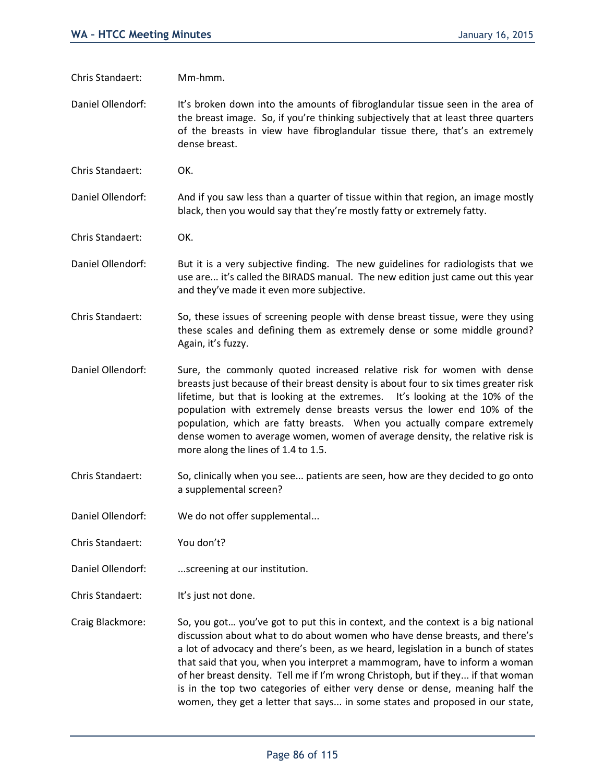Chris Standaert: Mm-hmm.

Daniel Ollendorf: It's broken down into the amounts of fibroglandular tissue seen in the area of the breast image. So, if you're thinking subjectively that at least three quarters of the breasts in view have fibroglandular tissue there, that's an extremely dense breast.

Chris Standaert: OK.

Daniel Ollendorf: And if you saw less than a quarter of tissue within that region, an image mostly black, then you would say that they're mostly fatty or extremely fatty.

Chris Standaert: OK.

Daniel Ollendorf: But it is a very subjective finding. The new guidelines for radiologists that we use are... it's called the BIRADS manual. The new edition just came out this year and they've made it even more subjective.

Chris Standaert: So, these issues of screening people with dense breast tissue, were they using these scales and defining them as extremely dense or some middle ground? Again, it's fuzzy.

Daniel Ollendorf: Sure, the commonly quoted increased relative risk for women with dense breasts just because of their breast density is about four to six times greater risk lifetime, but that is looking at the extremes. It's looking at the 10% of the population with extremely dense breasts versus the lower end 10% of the population, which are fatty breasts. When you actually compare extremely dense women to average women, women of average density, the relative risk is more along the lines of 1.4 to 1.5.

- Chris Standaert: So, clinically when you see... patients are seen, how are they decided to go onto a supplemental screen?
- Daniel Ollendorf: We do not offer supplemental...
- Chris Standaert: You don't?
- Daniel Ollendorf: ...screening at our institution.
- Chris Standaert: It's just not done.
- Craig Blackmore: So, you got… you've got to put this in context, and the context is a big national discussion about what to do about women who have dense breasts, and there's a lot of advocacy and there's been, as we heard, legislation in a bunch of states that said that you, when you interpret a mammogram, have to inform a woman of her breast density. Tell me if I'm wrong Christoph, but if they... if that woman is in the top two categories of either very dense or dense, meaning half the women, they get a letter that says... in some states and proposed in our state,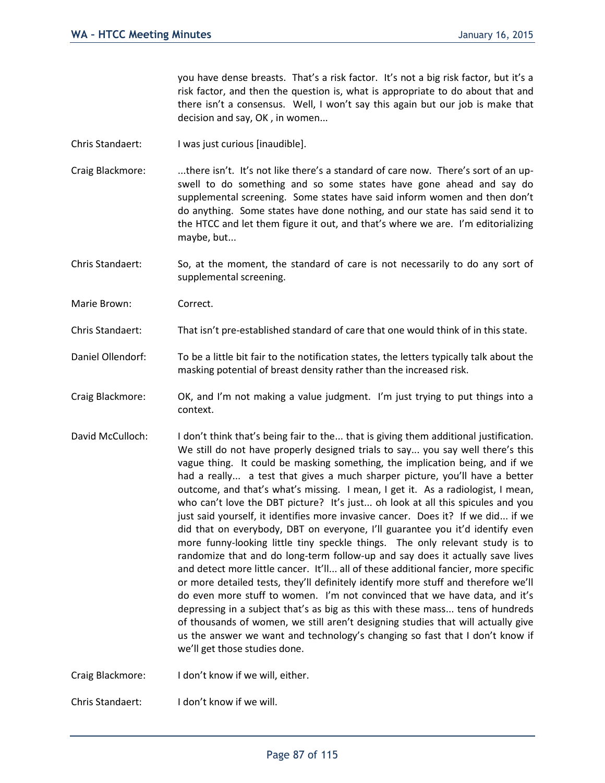you have dense breasts. That's a risk factor. It's not a big risk factor, but it's a risk factor, and then the question is, what is appropriate to do about that and there isn't a consensus. Well, I won't say this again but our job is make that decision and say, OK , in women...

- Chris Standaert: I was just curious [inaudible].
- Craig Blackmore: ...there isn't. It's not like there's a standard of care now. There's sort of an upswell to do something and so some states have gone ahead and say do supplemental screening. Some states have said inform women and then don't do anything. Some states have done nothing, and our state has said send it to the HTCC and let them figure it out, and that's where we are. I'm editorializing maybe, but...
- Chris Standaert: So, at the moment, the standard of care is not necessarily to do any sort of supplemental screening.
- Marie Brown: Correct.
- Chris Standaert: That isn't pre-established standard of care that one would think of in this state.
- Daniel Ollendorf: To be a little bit fair to the notification states, the letters typically talk about the masking potential of breast density rather than the increased risk.
- Craig Blackmore: OK, and I'm not making a value judgment. I'm just trying to put things into a context.
- David McCulloch: I don't think that's being fair to the... that is giving them additional justification. We still do not have properly designed trials to say... you say well there's this vague thing. It could be masking something, the implication being, and if we had a really... a test that gives a much sharper picture, you'll have a better outcome, and that's what's missing. I mean, I get it. As a radiologist, I mean, who can't love the DBT picture? It's just... oh look at all this spicules and you just said yourself, it identifies more invasive cancer. Does it? If we did... if we did that on everybody, DBT on everyone, I'll guarantee you it'd identify even more funny-looking little tiny speckle things. The only relevant study is to randomize that and do long-term follow-up and say does it actually save lives and detect more little cancer. It'll... all of these additional fancier, more specific or more detailed tests, they'll definitely identify more stuff and therefore we'll do even more stuff to women. I'm not convinced that we have data, and it's depressing in a subject that's as big as this with these mass... tens of hundreds of thousands of women, we still aren't designing studies that will actually give us the answer we want and technology's changing so fast that I don't know if we'll get those studies done.
- Craig Blackmore: I don't know if we will, either.

Chris Standaert: I don't know if we will.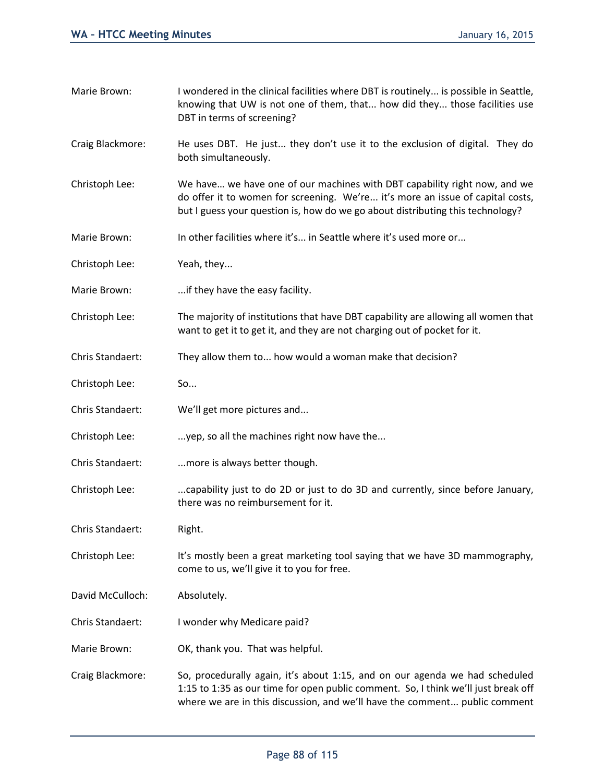| Marie Brown:     | I wondered in the clinical facilities where DBT is routinely is possible in Seattle,<br>knowing that UW is not one of them, that how did they those facilities use<br>DBT in terms of screening?                                                |
|------------------|-------------------------------------------------------------------------------------------------------------------------------------------------------------------------------------------------------------------------------------------------|
| Craig Blackmore: | He uses DBT. He just they don't use it to the exclusion of digital. They do<br>both simultaneously.                                                                                                                                             |
| Christoph Lee:   | We have we have one of our machines with DBT capability right now, and we<br>do offer it to women for screening. We're it's more an issue of capital costs,<br>but I guess your question is, how do we go about distributing this technology?   |
| Marie Brown:     | In other facilities where it's in Seattle where it's used more or                                                                                                                                                                               |
| Christoph Lee:   | Yeah, they                                                                                                                                                                                                                                      |
| Marie Brown:     | if they have the easy facility.                                                                                                                                                                                                                 |
| Christoph Lee:   | The majority of institutions that have DBT capability are allowing all women that<br>want to get it to get it, and they are not charging out of pocket for it.                                                                                  |
| Chris Standaert: | They allow them to how would a woman make that decision?                                                                                                                                                                                        |
| Christoph Lee:   | So                                                                                                                                                                                                                                              |
| Chris Standaert: | We'll get more pictures and                                                                                                                                                                                                                     |
| Christoph Lee:   | yep, so all the machines right now have the                                                                                                                                                                                                     |
| Chris Standaert: | more is always better though.                                                                                                                                                                                                                   |
| Christoph Lee:   | capability just to do 2D or just to do 3D and currently, since before January,<br>there was no reimbursement for it.                                                                                                                            |
| Chris Standaert: | Right.                                                                                                                                                                                                                                          |
| Christoph Lee:   | It's mostly been a great marketing tool saying that we have 3D mammography,<br>come to us, we'll give it to you for free.                                                                                                                       |
| David McCulloch: | Absolutely.                                                                                                                                                                                                                                     |
| Chris Standaert: | I wonder why Medicare paid?                                                                                                                                                                                                                     |
| Marie Brown:     | OK, thank you. That was helpful.                                                                                                                                                                                                                |
| Craig Blackmore: | So, procedurally again, it's about 1:15, and on our agenda we had scheduled<br>1:15 to 1:35 as our time for open public comment. So, I think we'll just break off<br>where we are in this discussion, and we'll have the comment public comment |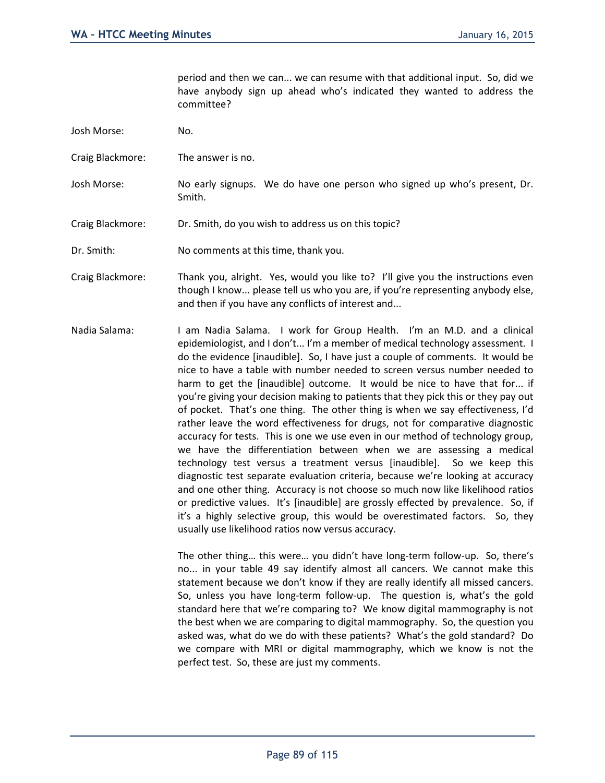period and then we can... we can resume with that additional input. So, did we have anybody sign up ahead who's indicated they wanted to address the committee?

- Josh Morse: No.
- Craig Blackmore: The answer is no.
- Josh Morse: No early signups. We do have one person who signed up who's present, Dr. Smith.
- Craig Blackmore: Dr. Smith, do you wish to address us on this topic?
- Dr. Smith: No comments at this time, thank you.
- Craig Blackmore: Thank you, alright. Yes, would you like to? I'll give you the instructions even though I know... please tell us who you are, if you're representing anybody else, and then if you have any conflicts of interest and...
- Nadia Salama: I am Nadia Salama. I work for Group Health. I'm an M.D. and a clinical epidemiologist, and I don't... I'm a member of medical technology assessment. I do the evidence [inaudible]. So, I have just a couple of comments. It would be nice to have a table with number needed to screen versus number needed to harm to get the [inaudible] outcome. It would be nice to have that for... if you're giving your decision making to patients that they pick this or they pay out of pocket. That's one thing. The other thing is when we say effectiveness, I'd rather leave the word effectiveness for drugs, not for comparative diagnostic accuracy for tests. This is one we use even in our method of technology group, we have the differentiation between when we are assessing a medical technology test versus a treatment versus [inaudible]. So we keep this diagnostic test separate evaluation criteria, because we're looking at accuracy and one other thing. Accuracy is not choose so much now like likelihood ratios or predictive values. It's [inaudible] are grossly effected by prevalence. So, if it's a highly selective group, this would be overestimated factors. So, they usually use likelihood ratios now versus accuracy.

The other thing… this were… you didn't have long-term follow-up. So, there's no... in your table 49 say identify almost all cancers. We cannot make this statement because we don't know if they are really identify all missed cancers. So, unless you have long-term follow-up. The question is, what's the gold standard here that we're comparing to? We know digital mammography is not the best when we are comparing to digital mammography. So, the question you asked was, what do we do with these patients? What's the gold standard? Do we compare with MRI or digital mammography, which we know is not the perfect test. So, these are just my comments.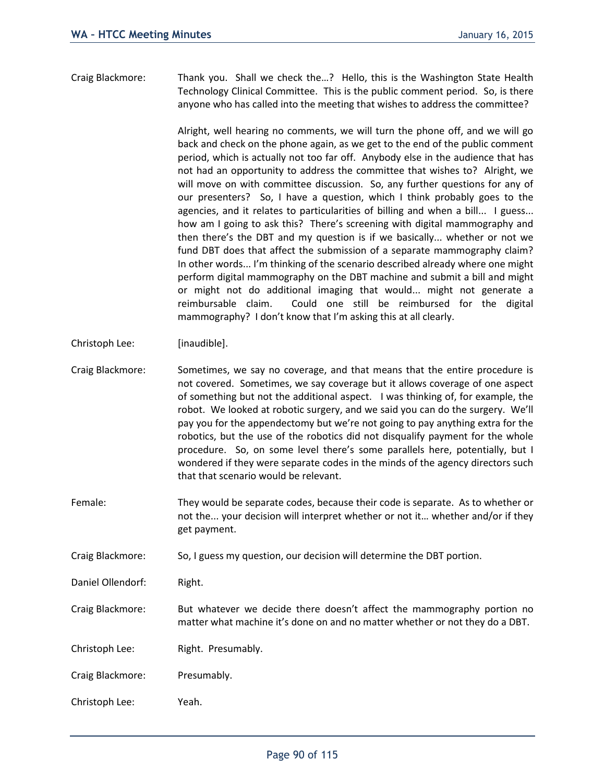Craig Blackmore: Thank you. Shall we check the…? Hello, this is the Washington State Health Technology Clinical Committee. This is the public comment period. So, is there anyone who has called into the meeting that wishes to address the committee?

> Alright, well hearing no comments, we will turn the phone off, and we will go back and check on the phone again, as we get to the end of the public comment period, which is actually not too far off. Anybody else in the audience that has not had an opportunity to address the committee that wishes to? Alright, we will move on with committee discussion. So, any further questions for any of our presenters? So, I have a question, which I think probably goes to the agencies, and it relates to particularities of billing and when a bill... I guess... how am I going to ask this? There's screening with digital mammography and then there's the DBT and my question is if we basically... whether or not we fund DBT does that affect the submission of a separate mammography claim? In other words... I'm thinking of the scenario described already where one might perform digital mammography on the DBT machine and submit a bill and might or might not do additional imaging that would... might not generate a reimbursable claim. Could one still be reimbursed for the digital mammography? I don't know that I'm asking this at all clearly.

- Christoph Lee: [inaudible].
- Craig Blackmore: Sometimes, we say no coverage, and that means that the entire procedure is not covered. Sometimes, we say coverage but it allows coverage of one aspect of something but not the additional aspect. I was thinking of, for example, the robot. We looked at robotic surgery, and we said you can do the surgery. We'll pay you for the appendectomy but we're not going to pay anything extra for the robotics, but the use of the robotics did not disqualify payment for the whole procedure. So, on some level there's some parallels here, potentially, but I wondered if they were separate codes in the minds of the agency directors such that that scenario would be relevant.
- Female: They would be separate codes, because their code is separate. As to whether or not the... your decision will interpret whether or not it… whether and/or if they get payment.
- Craig Blackmore: So, I guess my question, our decision will determine the DBT portion.
- Daniel Ollendorf: Right.
- Craig Blackmore: But whatever we decide there doesn't affect the mammography portion no matter what machine it's done on and no matter whether or not they do a DBT.

Christoph Lee: Right. Presumably.

Craig Blackmore: Presumably.

Christoph Lee: Yeah.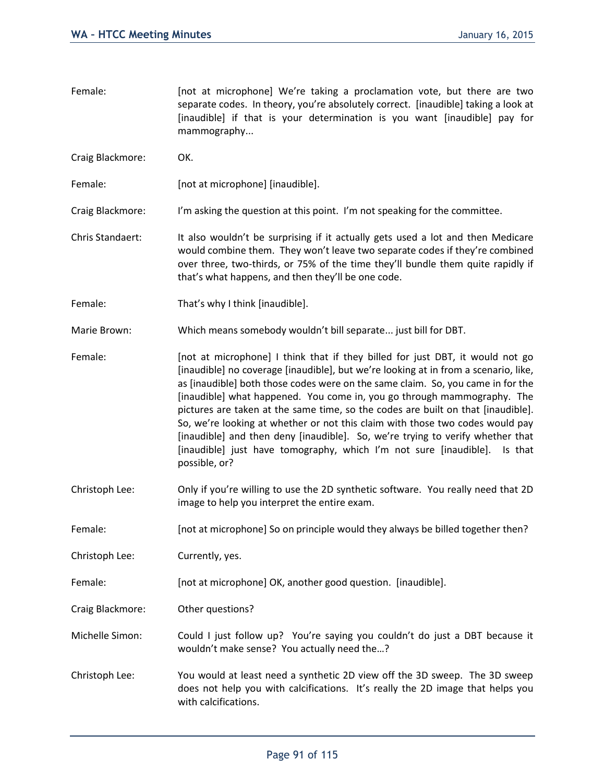- Female: [not at microphone] We're taking a proclamation vote, but there are two separate codes. In theory, you're absolutely correct. [inaudible] taking a look at [inaudible] if that is your determination is you want [inaudible] pay for mammography...
- Craig Blackmore: OK.

Female: [not at microphone] [inaudible].

Craig Blackmore: I'm asking the question at this point. I'm not speaking for the committee.

- Chris Standaert: It also wouldn't be surprising if it actually gets used a lot and then Medicare would combine them. They won't leave two separate codes if they're combined over three, two-thirds, or 75% of the time they'll bundle them quite rapidly if that's what happens, and then they'll be one code.
- Female: That's why I think [inaudible].

Marie Brown: Which means somebody wouldn't bill separate... just bill for DBT.

- Female: [not at microphone] I think that if they billed for just DBT, it would not go [inaudible] no coverage [inaudible], but we're looking at in from a scenario, like, as [inaudible] both those codes were on the same claim. So, you came in for the [inaudible] what happened. You come in, you go through mammography. The pictures are taken at the same time, so the codes are built on that [inaudible]. So, we're looking at whether or not this claim with those two codes would pay [inaudible] and then deny [inaudible]. So, we're trying to verify whether that [inaudible] just have tomography, which I'm not sure [inaudible]. Is that possible, or?
- Christoph Lee: Only if you're willing to use the 2D synthetic software. You really need that 2D image to help you interpret the entire exam.
- Female: [not at microphone] So on principle would they always be billed together then?

Christoph Lee: Currently, yes.

Female: [not at microphone] OK, another good question. [inaudible].

Craig Blackmore: Other questions?

Michelle Simon: Could I just follow up? You're saying you couldn't do just a DBT because it wouldn't make sense? You actually need the…?

Christoph Lee: You would at least need a synthetic 2D view off the 3D sweep. The 3D sweep does not help you with calcifications. It's really the 2D image that helps you with calcifications.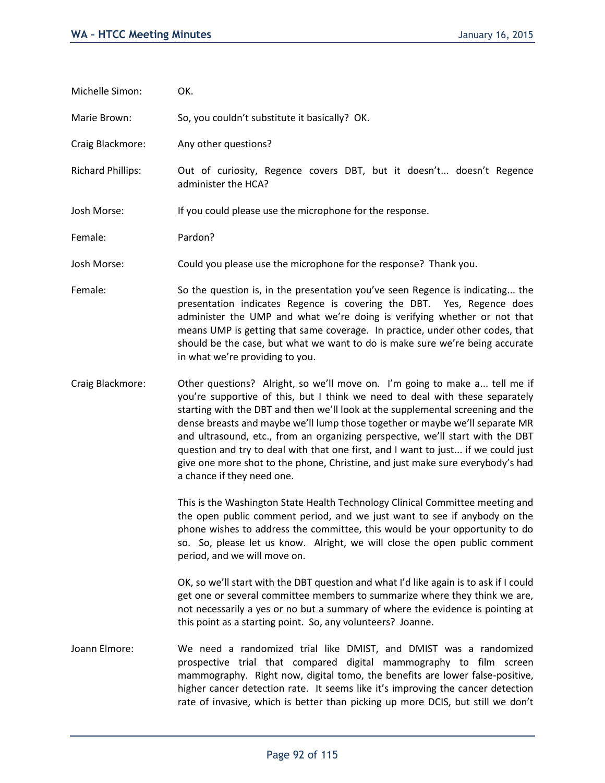| Michelle Simon:          | OK.                                                                                                                                                                                                                                                                                                                                                                                                                                                                                                                                                                                                                  |
|--------------------------|----------------------------------------------------------------------------------------------------------------------------------------------------------------------------------------------------------------------------------------------------------------------------------------------------------------------------------------------------------------------------------------------------------------------------------------------------------------------------------------------------------------------------------------------------------------------------------------------------------------------|
| Marie Brown:             | So, you couldn't substitute it basically? OK.                                                                                                                                                                                                                                                                                                                                                                                                                                                                                                                                                                        |
| Craig Blackmore:         | Any other questions?                                                                                                                                                                                                                                                                                                                                                                                                                                                                                                                                                                                                 |
| <b>Richard Phillips:</b> | Out of curiosity, Regence covers DBT, but it doesn't doesn't Regence<br>administer the HCA?                                                                                                                                                                                                                                                                                                                                                                                                                                                                                                                          |
| Josh Morse:              | If you could please use the microphone for the response.                                                                                                                                                                                                                                                                                                                                                                                                                                                                                                                                                             |
| Female:                  | Pardon?                                                                                                                                                                                                                                                                                                                                                                                                                                                                                                                                                                                                              |
| Josh Morse:              | Could you please use the microphone for the response? Thank you.                                                                                                                                                                                                                                                                                                                                                                                                                                                                                                                                                     |
| Female:                  | So the question is, in the presentation you've seen Regence is indicating the<br>presentation indicates Regence is covering the DBT. Yes, Regence does<br>administer the UMP and what we're doing is verifying whether or not that<br>means UMP is getting that same coverage. In practice, under other codes, that<br>should be the case, but what we want to do is make sure we're being accurate<br>in what we're providing to you.                                                                                                                                                                               |
| Craig Blackmore:         | Other questions? Alright, so we'll move on. I'm going to make a tell me if<br>you're supportive of this, but I think we need to deal with these separately<br>starting with the DBT and then we'll look at the supplemental screening and the<br>dense breasts and maybe we'll lump those together or maybe we'll separate MR<br>and ultrasound, etc., from an organizing perspective, we'll start with the DBT<br>question and try to deal with that one first, and I want to just if we could just<br>give one more shot to the phone, Christine, and just make sure everybody's had<br>a chance if they need one. |
|                          | This is the Washington State Health Technology Clinical Committee meeting and<br>the open public comment period, and we just want to see if anybody on the<br>phone wishes to address the committee, this would be your opportunity to do<br>so. So, please let us know. Alright, we will close the open public comment<br>period, and we will move on.                                                                                                                                                                                                                                                              |
|                          | OK, so we'll start with the DBT question and what I'd like again is to ask if I could<br>get one or several committee members to summarize where they think we are,<br>not necessarily a yes or no but a summary of where the evidence is pointing at<br>this point as a starting point. So, any volunteers? Joanne.                                                                                                                                                                                                                                                                                                 |
| Joann Elmore:            | We need a randomized trial like DMIST, and DMIST was a randomized<br>prospective trial that compared digital mammography to film screen<br>mammography. Right now, digital tomo, the benefits are lower false-positive,<br>higher cancer detection rate. It seems like it's improving the cancer detection<br>rate of invasive, which is better than picking up more DCIS, but still we don't                                                                                                                                                                                                                        |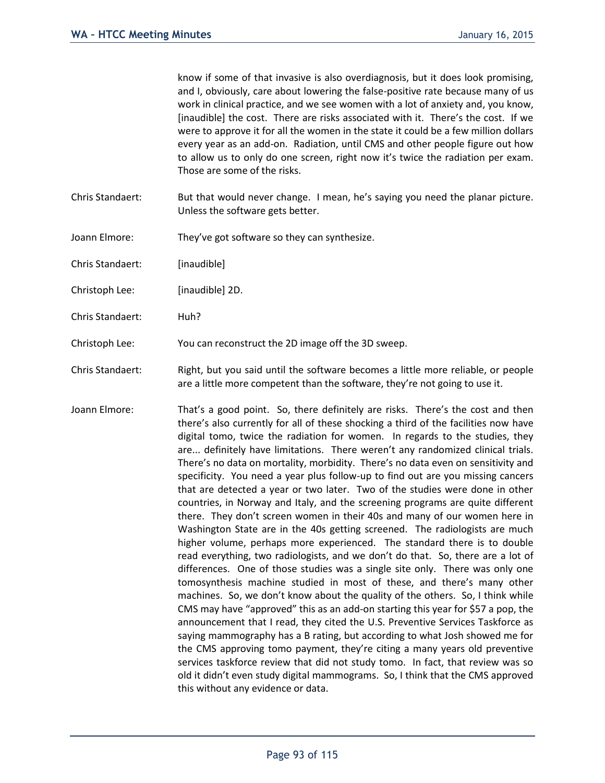know if some of that invasive is also overdiagnosis, but it does look promising, and I, obviously, care about lowering the false-positive rate because many of us work in clinical practice, and we see women with a lot of anxiety and, you know, [inaudible] the cost. There are risks associated with it. There's the cost. If we were to approve it for all the women in the state it could be a few million dollars every year as an add-on. Radiation, until CMS and other people figure out how to allow us to only do one screen, right now it's twice the radiation per exam. Those are some of the risks.

- Chris Standaert: But that would never change. I mean, he's saying you need the planar picture. Unless the software gets better.
- Joann Elmore: They've got software so they can synthesize.
- Chris Standaert: [inaudible]
- Christoph Lee: [inaudible] 2D.
- Chris Standaert: Huh?
- Christoph Lee: You can reconstruct the 2D image off the 3D sweep.
- Chris Standaert: Right, but you said until the software becomes a little more reliable, or people are a little more competent than the software, they're not going to use it.
- Joann Elmore: That's a good point. So, there definitely are risks. There's the cost and then there's also currently for all of these shocking a third of the facilities now have digital tomo, twice the radiation for women. In regards to the studies, they are... definitely have limitations. There weren't any randomized clinical trials. There's no data on mortality, morbidity. There's no data even on sensitivity and specificity. You need a year plus follow-up to find out are you missing cancers that are detected a year or two later. Two of the studies were done in other countries, in Norway and Italy, and the screening programs are quite different there. They don't screen women in their 40s and many of our women here in Washington State are in the 40s getting screened. The radiologists are much higher volume, perhaps more experienced. The standard there is to double read everything, two radiologists, and we don't do that. So, there are a lot of differences. One of those studies was a single site only. There was only one tomosynthesis machine studied in most of these, and there's many other machines. So, we don't know about the quality of the others. So, I think while CMS may have "approved" this as an add-on starting this year for \$57 a pop, the announcement that I read, they cited the U.S. Preventive Services Taskforce as saying mammography has a B rating, but according to what Josh showed me for the CMS approving tomo payment, they're citing a many years old preventive services taskforce review that did not study tomo. In fact, that review was so old it didn't even study digital mammograms. So, I think that the CMS approved this without any evidence or data.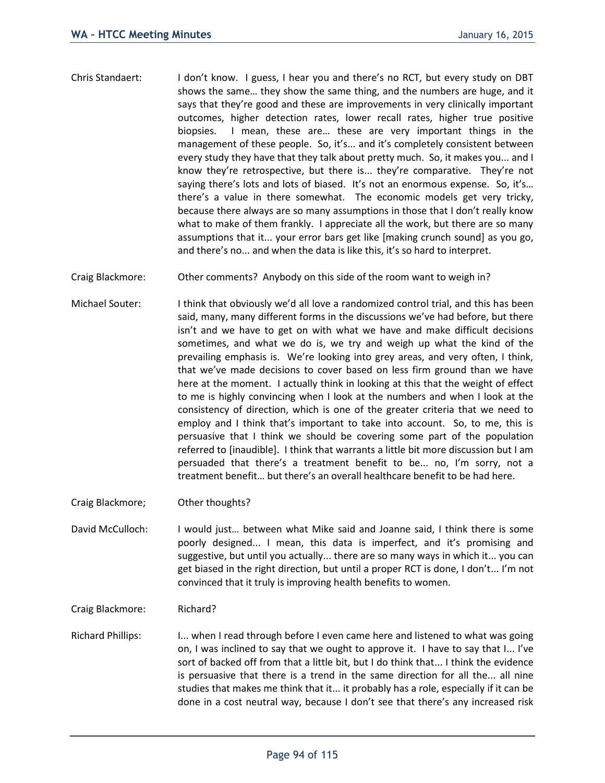- Chris Standaert: I don't know. I guess, I hear you and there's no RCT, but every study on DBT shows the same… they show the same thing, and the numbers are huge, and it says that they're good and these are improvements in very clinically important outcomes, higher detection rates, lower recall rates, higher true positive biopsies. I mean, these are… these are very important things in the management of these people. So, it's... and it's completely consistent between every study they have that they talk about pretty much. So, it makes you... and I know they're retrospective, but there is... they're comparative. They're not saying there's lots and lots of biased. It's not an enormous expense. So, it's… there's a value in there somewhat. The economic models get very tricky, because there always are so many assumptions in those that I don't really know what to make of them frankly. I appreciate all the work, but there are so many assumptions that it... your error bars get like [making crunch sound] as you go, and there's no... and when the data is like this, it's so hard to interpret.
- Craig Blackmore: Other comments? Anybody on this side of the room want to weigh in?
- Michael Souter: I think that obviously we'd all love a randomized control trial, and this has been said, many, many different forms in the discussions we've had before, but there isn't and we have to get on with what we have and make difficult decisions sometimes, and what we do is, we try and weigh up what the kind of the prevailing emphasis is. We're looking into grey areas, and very often, I think, that we've made decisions to cover based on less firm ground than we have here at the moment. I actually think in looking at this that the weight of effect to me is highly convincing when I look at the numbers and when I look at the consistency of direction, which is one of the greater criteria that we need to employ and I think that's important to take into account. So, to me, this is persuasive that I think we should be covering some part of the population referred to [inaudible]. I think that warrants a little bit more discussion but I am persuaded that there's a treatment benefit to be... no, I'm sorry, not a treatment benefit… but there's an overall healthcare benefit to be had here.
- Craig Blackmore; Other thoughts?
- David McCulloch: I would just… between what Mike said and Joanne said, I think there is some poorly designed... I mean, this data is imperfect, and it's promising and suggestive, but until you actually... there are so many ways in which it... you can get biased in the right direction, but until a proper RCT is done, I don't... I'm not convinced that it truly is improving health benefits to women.

Craig Blackmore: Richard?

Richard Phillips: I... when I read through before I even came here and listened to what was going on, I was inclined to say that we ought to approve it. I have to say that I... I've sort of backed off from that a little bit, but I do think that... I think the evidence is persuasive that there is a trend in the same direction for all the... all nine studies that makes me think that it... it probably has a role, especially if it can be done in a cost neutral way, because I don't see that there's any increased risk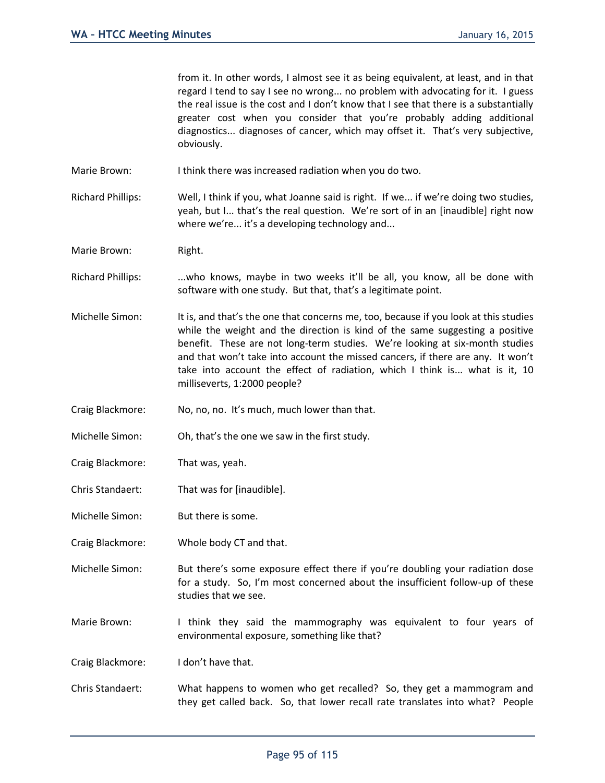from it. In other words, I almost see it as being equivalent, at least, and in that regard I tend to say I see no wrong... no problem with advocating for it. I guess the real issue is the cost and I don't know that I see that there is a substantially greater cost when you consider that you're probably adding additional diagnostics... diagnoses of cancer, which may offset it. That's very subjective, obviously.

Marie Brown: I think there was increased radiation when you do two.

Richard Phillips: Well, I think if you, what Joanne said is right. If we... if we're doing two studies, yeah, but I... that's the real question. We're sort of in an [inaudible] right now where we're... it's a developing technology and...

Marie Brown: Right.

Richard Phillips: ...who knows, maybe in two weeks it'll be all, you know, all be done with software with one study. But that, that's a legitimate point.

Michelle Simon: It is, and that's the one that concerns me, too, because if you look at this studies while the weight and the direction is kind of the same suggesting a positive benefit. These are not long-term studies. We're looking at six-month studies and that won't take into account the missed cancers, if there are any. It won't take into account the effect of radiation, which I think is... what is it, 10 milliseverts, 1:2000 people?

Craig Blackmore: No, no, no. It's much, much lower than that.

Michelle Simon: Oh, that's the one we saw in the first study.

Craig Blackmore: That was, yeah.

Chris Standaert: That was for [inaudible].

Michelle Simon: But there is some.

Craig Blackmore: Whole body CT and that.

Michelle Simon: But there's some exposure effect there if you're doubling your radiation dose for a study. So, I'm most concerned about the insufficient follow-up of these studies that we see.

Marie Brown: I think they said the mammography was equivalent to four years of environmental exposure, something like that?

Craig Blackmore: I don't have that.

Chris Standaert: What happens to women who get recalled? So, they get a mammogram and they get called back. So, that lower recall rate translates into what? People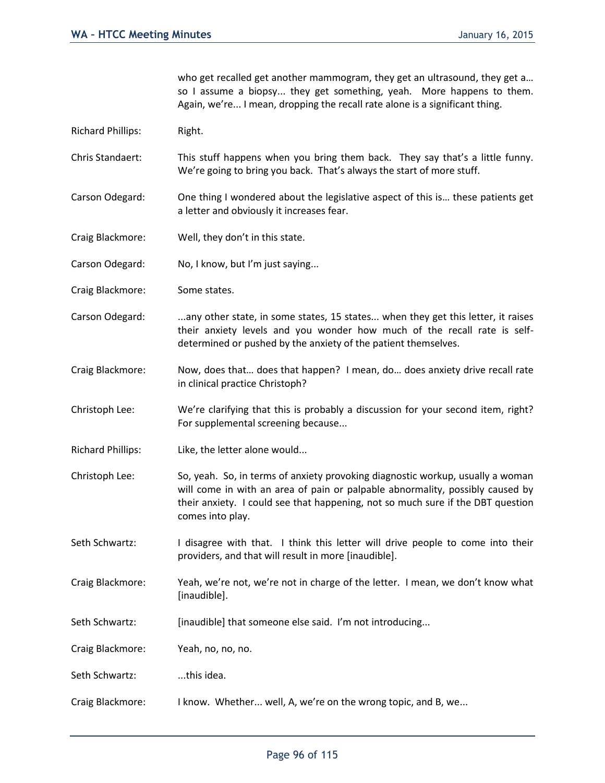who get recalled get another mammogram, they get an ultrasound, they get a... so I assume a biopsy... they get something, yeah. More happens to them. Again, we're... I mean, dropping the recall rate alone is a significant thing.

- Richard Phillips: Right.
- Chris Standaert: This stuff happens when you bring them back. They say that's a little funny. We're going to bring you back. That's always the start of more stuff.
- Carson Odegard: One thing I wondered about the legislative aspect of this is… these patients get a letter and obviously it increases fear.
- Craig Blackmore: Well, they don't in this state.
- Carson Odegard: No, I know, but I'm just saying...
- Craig Blackmore: Some states.
- Carson Odegard: ...any other state, in some states, 15 states... when they get this letter, it raises their anxiety levels and you wonder how much of the recall rate is selfdetermined or pushed by the anxiety of the patient themselves.
- Craig Blackmore: Now, does that… does that happen? I mean, do… does anxiety drive recall rate in clinical practice Christoph?
- Christoph Lee: We're clarifying that this is probably a discussion for your second item, right? For supplemental screening because...
- Richard Phillips: Like, the letter alone would...
- Christoph Lee: So, yeah. So, in terms of anxiety provoking diagnostic workup, usually a woman will come in with an area of pain or palpable abnormality, possibly caused by their anxiety. I could see that happening, not so much sure if the DBT question comes into play.
- Seth Schwartz: I disagree with that. I think this letter will drive people to come into their providers, and that will result in more [inaudible].
- Craig Blackmore: Yeah, we're not, we're not in charge of the letter. I mean, we don't know what [inaudible].
- Seth Schwartz: [inaudible] that someone else said. I'm not introducing...
- Craig Blackmore: Yeah, no, no, no.
- Seth Schwartz: ...this idea.
- Craig Blackmore: I know. Whether... well, A, we're on the wrong topic, and B, we...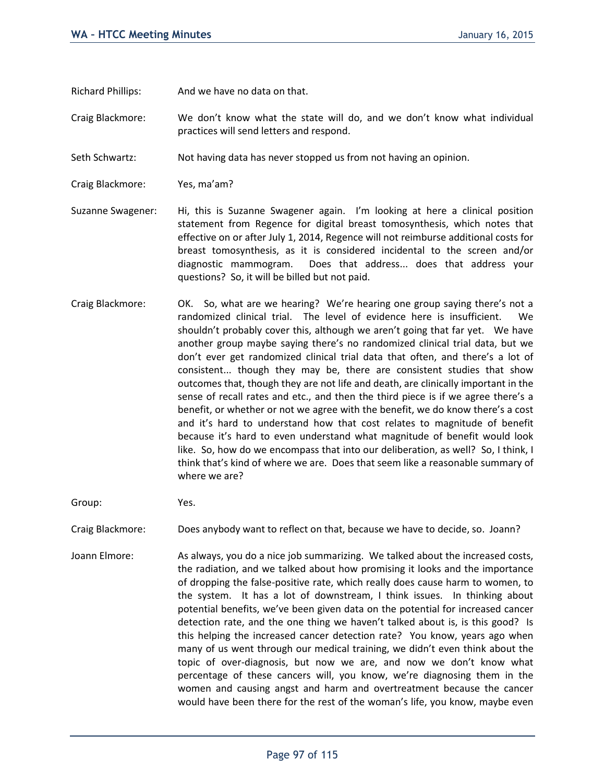Richard Phillips: And we have no data on that.

Craig Blackmore: We don't know what the state will do, and we don't know what individual practices will send letters and respond.

Seth Schwartz: Not having data has never stopped us from not having an opinion.

Craig Blackmore: Yes, ma'am?

- Suzanne Swagener: Hi, this is Suzanne Swagener again. I'm looking at here a clinical position statement from Regence for digital breast tomosynthesis, which notes that effective on or after July 1, 2014, Regence will not reimburse additional costs for breast tomosynthesis, as it is considered incidental to the screen and/or diagnostic mammogram. Does that address... does that address your questions? So, it will be billed but not paid.
- Craig Blackmore: OK. So, what are we hearing? We're hearing one group saying there's not a randomized clinical trial. The level of evidence here is insufficient. We shouldn't probably cover this, although we aren't going that far yet. We have another group maybe saying there's no randomized clinical trial data, but we don't ever get randomized clinical trial data that often, and there's a lot of consistent... though they may be, there are consistent studies that show outcomes that, though they are not life and death, are clinically important in the sense of recall rates and etc., and then the third piece is if we agree there's a benefit, or whether or not we agree with the benefit, we do know there's a cost and it's hard to understand how that cost relates to magnitude of benefit because it's hard to even understand what magnitude of benefit would look like. So, how do we encompass that into our deliberation, as well? So, I think, I think that's kind of where we are. Does that seem like a reasonable summary of where we are?

Group: Yes.

Craig Blackmore: Does anybody want to reflect on that, because we have to decide, so. Joann?

Joann Elmore: As always, you do a nice job summarizing. We talked about the increased costs, the radiation, and we talked about how promising it looks and the importance of dropping the false-positive rate, which really does cause harm to women, to the system. It has a lot of downstream, I think issues. In thinking about potential benefits, we've been given data on the potential for increased cancer detection rate, and the one thing we haven't talked about is, is this good? Is this helping the increased cancer detection rate? You know, years ago when many of us went through our medical training, we didn't even think about the topic of over-diagnosis, but now we are, and now we don't know what percentage of these cancers will, you know, we're diagnosing them in the women and causing angst and harm and overtreatment because the cancer would have been there for the rest of the woman's life, you know, maybe even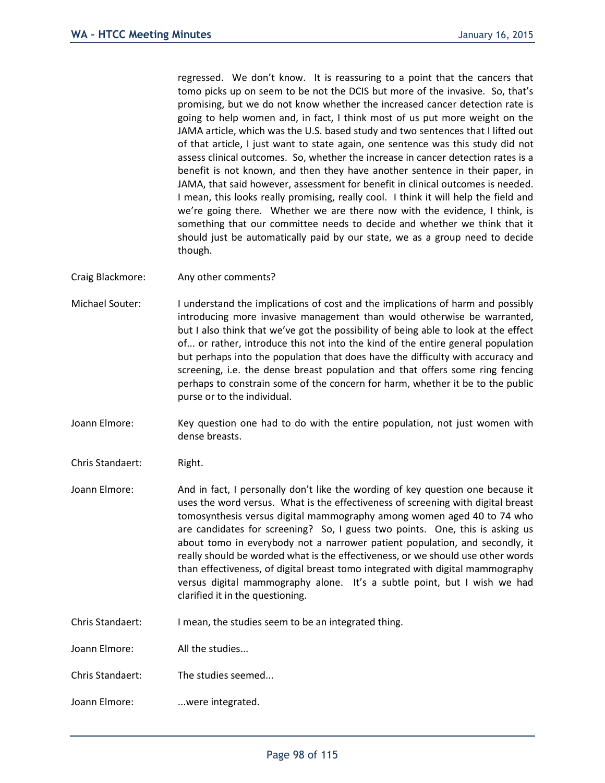regressed. We don't know. It is reassuring to a point that the cancers that tomo picks up on seem to be not the DCIS but more of the invasive. So, that's promising, but we do not know whether the increased cancer detection rate is going to help women and, in fact, I think most of us put more weight on the JAMA article, which was the U.S. based study and two sentences that I lifted out of that article, I just want to state again, one sentence was this study did not assess clinical outcomes. So, whether the increase in cancer detection rates is a benefit is not known, and then they have another sentence in their paper, in JAMA, that said however, assessment for benefit in clinical outcomes is needed. I mean, this looks really promising, really cool. I think it will help the field and we're going there. Whether we are there now with the evidence, I think, is something that our committee needs to decide and whether we think that it should just be automatically paid by our state, we as a group need to decide though.

- Craig Blackmore: Any other comments?
- Michael Souter: I understand the implications of cost and the implications of harm and possibly introducing more invasive management than would otherwise be warranted, but I also think that we've got the possibility of being able to look at the effect of... or rather, introduce this not into the kind of the entire general population but perhaps into the population that does have the difficulty with accuracy and screening, i.e. the dense breast population and that offers some ring fencing perhaps to constrain some of the concern for harm, whether it be to the public purse or to the individual.
- Joann Elmore: Key question one had to do with the entire population, not just women with dense breasts.
- Chris Standaert: Right.
- Joann Elmore: And in fact, I personally don't like the wording of key question one because it uses the word versus. What is the effectiveness of screening with digital breast tomosynthesis versus digital mammography among women aged 40 to 74 who are candidates for screening? So, I guess two points. One, this is asking us about tomo in everybody not a narrower patient population, and secondly, it really should be worded what is the effectiveness, or we should use other words than effectiveness, of digital breast tomo integrated with digital mammography versus digital mammography alone. It's a subtle point, but I wish we had clarified it in the questioning.
- Chris Standaert: I mean, the studies seem to be an integrated thing.
- Joann Elmore: All the studies...
- Chris Standaert: The studies seemed...
- Joann Elmore: ...were integrated.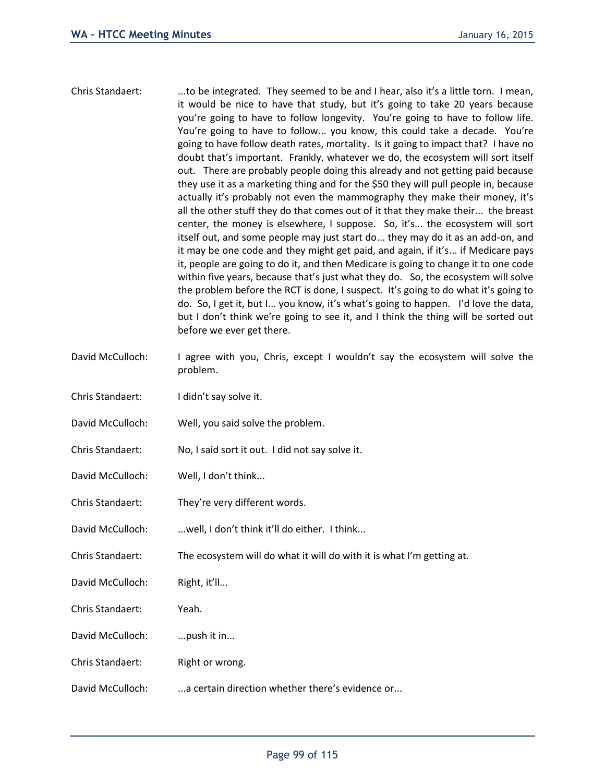- Chris Standaert: ...to be integrated. They seemed to be and I hear, also it's a little torn. I mean, it would be nice to have that study, but it's going to take 20 years because you're going to have to follow longevity. You're going to have to follow life. You're going to have to follow... you know, this could take a decade. You're going to have follow death rates, mortality. Is it going to impact that? I have no doubt that's important. Frankly, whatever we do, the ecosystem will sort itself out. There are probably people doing this already and not getting paid because they use it as a marketing thing and for the \$50 they will pull people in, because actually it's probably not even the mammography they make their money, it's all the other stuff they do that comes out of it that they make their... the breast center, the money is elsewhere, I suppose. So, it's... the ecosystem will sort itself out, and some people may just start do... they may do it as an add-on, and it may be one code and they might get paid, and again, if it's... if Medicare pays it, people are going to do it, and then Medicare is going to change it to one code within five years, because that's just what they do. So, the ecosystem will solve the problem before the RCT is done, I suspect. It's going to do what it's going to do. So, I get it, but I... you know, it's what's going to happen. I'd love the data, but I don't think we're going to see it, and I think the thing will be sorted out before we ever get there.
- David McCulloch: I agree with you, Chris, except I wouldn't say the ecosystem will solve the problem.
- Chris Standaert: I didn't say solve it.
- David McCulloch: Well, you said solve the problem.
- Chris Standaert: No, I said sort it out. I did not say solve it.
- David McCulloch: Well, I don't think...
- Chris Standaert: They're very different words.
- David McCulloch: ...well, I don't think it'll do either. I think...
- Chris Standaert: The ecosystem will do what it will do with it is what I'm getting at.
- David McCulloch: Right, it'll...
- Chris Standaert: Yeah.
- David McCulloch: ... push it in...
- Chris Standaert: Right or wrong.
- David McCulloch: ...a certain direction whether there's evidence or...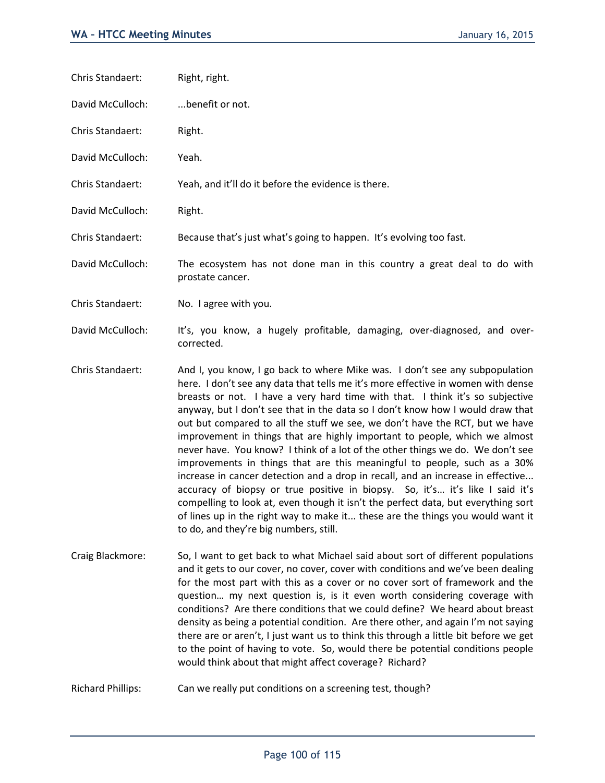Chris Standaert: Right, right.

David McCulloch: ...benefit or not.

Chris Standaert: Right.

David McCulloch: Yeah.

Chris Standaert: Yeah, and it'll do it before the evidence is there.

David McCulloch: Right.

Chris Standaert: Because that's just what's going to happen. It's evolving too fast.

David McCulloch: The ecosystem has not done man in this country a great deal to do with prostate cancer.

Chris Standaert: No. I agree with you.

David McCulloch: It's, you know, a hugely profitable, damaging, over-diagnosed, and overcorrected.

Chris Standaert: And I, you know, I go back to where Mike was. I don't see any subpopulation here. I don't see any data that tells me it's more effective in women with dense breasts or not. I have a very hard time with that. I think it's so subjective anyway, but I don't see that in the data so I don't know how I would draw that out but compared to all the stuff we see, we don't have the RCT, but we have improvement in things that are highly important to people, which we almost never have. You know? I think of a lot of the other things we do. We don't see improvements in things that are this meaningful to people, such as a 30% increase in cancer detection and a drop in recall, and an increase in effective... accuracy of biopsy or true positive in biopsy. So, it's… it's like I said it's compelling to look at, even though it isn't the perfect data, but everything sort of lines up in the right way to make it... these are the things you would want it to do, and they're big numbers, still.

Craig Blackmore: So, I want to get back to what Michael said about sort of different populations and it gets to our cover, no cover, cover with conditions and we've been dealing for the most part with this as a cover or no cover sort of framework and the question… my next question is, is it even worth considering coverage with conditions? Are there conditions that we could define? We heard about breast density as being a potential condition. Are there other, and again I'm not saying there are or aren't, I just want us to think this through a little bit before we get to the point of having to vote. So, would there be potential conditions people would think about that might affect coverage? Richard?

Richard Phillips: Can we really put conditions on a screening test, though?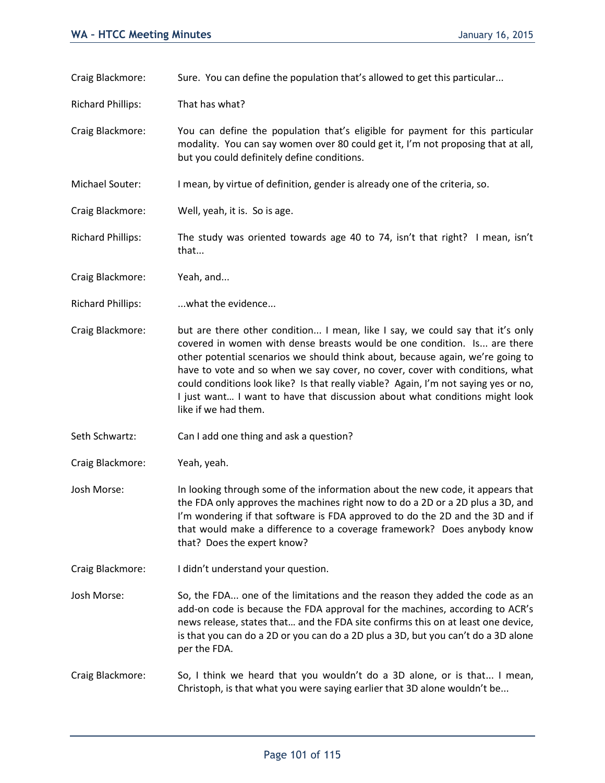Craig Blackmore: Sure. You can define the population that's allowed to get this particular...

Richard Phillips: That has what?

Craig Blackmore: You can define the population that's eligible for payment for this particular modality. You can say women over 80 could get it, I'm not proposing that at all, but you could definitely define conditions.

Michael Souter: I mean, by virtue of definition, gender is already one of the criteria, so.

Craig Blackmore: Well, yeah, it is. So is age.

Richard Phillips: The study was oriented towards age 40 to 74, isn't that right? I mean, isn't that...

Craig Blackmore: Yeah, and...

Richard Phillips: ...what the evidence...

- Craig Blackmore: but are there other condition... I mean, like I say, we could say that it's only covered in women with dense breasts would be one condition. Is... are there other potential scenarios we should think about, because again, we're going to have to vote and so when we say cover, no cover, cover with conditions, what could conditions look like? Is that really viable? Again, I'm not saying yes or no, I just want… I want to have that discussion about what conditions might look like if we had them.
- Seth Schwartz: Can I add one thing and ask a question?

Craig Blackmore: Yeah, yeah.

- Josh Morse: In looking through some of the information about the new code, it appears that the FDA only approves the machines right now to do a 2D or a 2D plus a 3D, and I'm wondering if that software is FDA approved to do the 2D and the 3D and if that would make a difference to a coverage framework? Does anybody know that? Does the expert know?
- Craig Blackmore: I didn't understand your question.
- Josh Morse: So, the FDA... one of the limitations and the reason they added the code as an add-on code is because the FDA approval for the machines, according to ACR's news release, states that… and the FDA site confirms this on at least one device, is that you can do a 2D or you can do a 2D plus a 3D, but you can't do a 3D alone per the FDA.
- Craig Blackmore: So, I think we heard that you wouldn't do a 3D alone, or is that... I mean, Christoph, is that what you were saying earlier that 3D alone wouldn't be...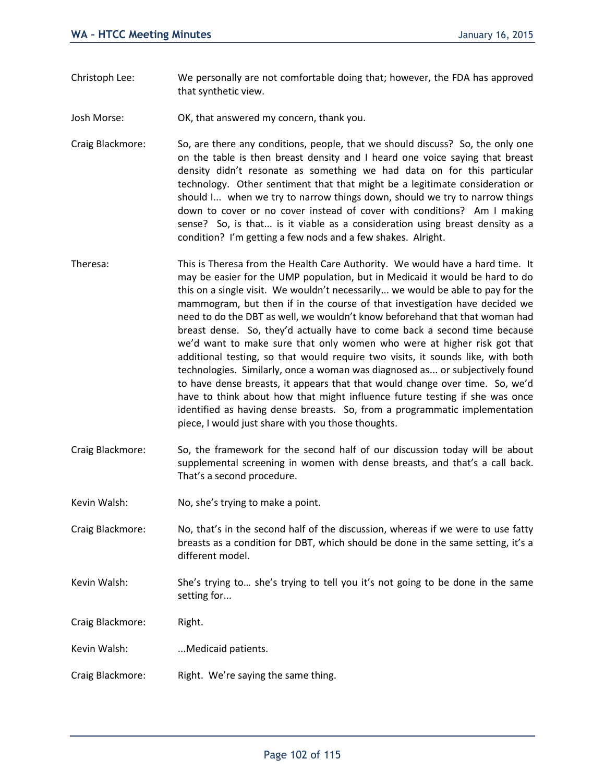- Christoph Lee: We personally are not comfortable doing that; however, the FDA has approved that synthetic view.
- Josh Morse: OK, that answered my concern, thank you.
- Craig Blackmore: So, are there any conditions, people, that we should discuss? So, the only one on the table is then breast density and I heard one voice saying that breast density didn't resonate as something we had data on for this particular technology. Other sentiment that that might be a legitimate consideration or should I... when we try to narrow things down, should we try to narrow things down to cover or no cover instead of cover with conditions? Am I making sense? So, is that... is it viable as a consideration using breast density as a condition? I'm getting a few nods and a few shakes. Alright.
- Theresa: This is Theresa from the Health Care Authority. We would have a hard time. It may be easier for the UMP population, but in Medicaid it would be hard to do this on a single visit. We wouldn't necessarily... we would be able to pay for the mammogram, but then if in the course of that investigation have decided we need to do the DBT as well, we wouldn't know beforehand that that woman had breast dense. So, they'd actually have to come back a second time because we'd want to make sure that only women who were at higher risk got that additional testing, so that would require two visits, it sounds like, with both technologies. Similarly, once a woman was diagnosed as... or subjectively found to have dense breasts, it appears that that would change over time. So, we'd have to think about how that might influence future testing if she was once identified as having dense breasts. So, from a programmatic implementation piece, I would just share with you those thoughts.
- Craig Blackmore: So, the framework for the second half of our discussion today will be about supplemental screening in women with dense breasts, and that's a call back. That's a second procedure.
- Kevin Walsh: No, she's trying to make a point.

Craig Blackmore: No, that's in the second half of the discussion, whereas if we were to use fatty breasts as a condition for DBT, which should be done in the same setting, it's a different model.

- Kevin Walsh: She's trying to… she's trying to tell you it's not going to be done in the same setting for...
- Craig Blackmore: Right.
- Kevin Walsh: ...Medicaid patients.
- Craig Blackmore: Right. We're saying the same thing.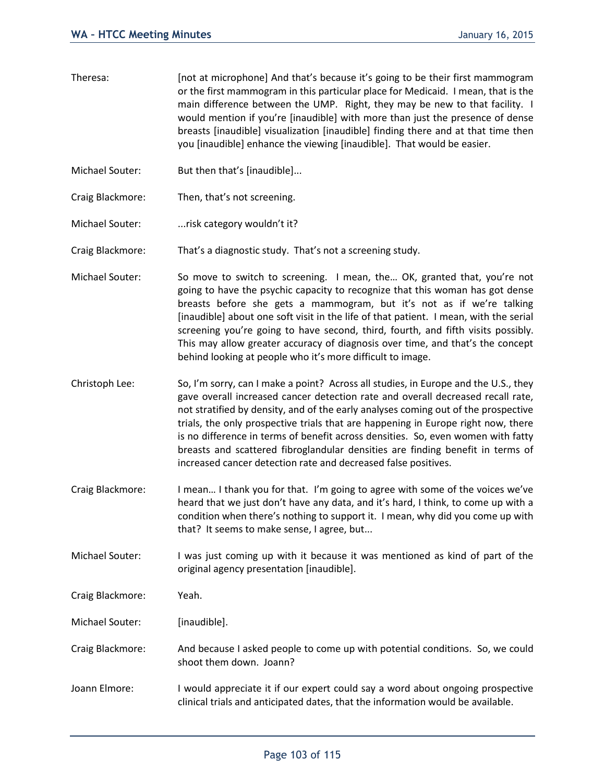- Theresa: [not at microphone] And that's because it's going to be their first mammogram or the first mammogram in this particular place for Medicaid. I mean, that is the main difference between the UMP. Right, they may be new to that facility. I would mention if you're [inaudible] with more than just the presence of dense breasts [inaudible] visualization [inaudible] finding there and at that time then you [inaudible] enhance the viewing [inaudible]. That would be easier.
- Michael Souter: But then that's [inaudible]...
- Craig Blackmore: Then, that's not screening.
- Michael Souter: ...risk category wouldn't it?

Craig Blackmore: That's a diagnostic study. That's not a screening study.

- Michael Souter: So move to switch to screening. I mean, the... OK, granted that, you're not going to have the psychic capacity to recognize that this woman has got dense breasts before she gets a mammogram, but it's not as if we're talking [inaudible] about one soft visit in the life of that patient. I mean, with the serial screening you're going to have second, third, fourth, and fifth visits possibly. This may allow greater accuracy of diagnosis over time, and that's the concept behind looking at people who it's more difficult to image.
- Christoph Lee: So, I'm sorry, can I make a point? Across all studies, in Europe and the U.S., they gave overall increased cancer detection rate and overall decreased recall rate, not stratified by density, and of the early analyses coming out of the prospective trials, the only prospective trials that are happening in Europe right now, there is no difference in terms of benefit across densities. So, even women with fatty breasts and scattered fibroglandular densities are finding benefit in terms of increased cancer detection rate and decreased false positives.
- Craig Blackmore: I mean… I thank you for that. I'm going to agree with some of the voices we've heard that we just don't have any data, and it's hard, I think, to come up with a condition when there's nothing to support it. I mean, why did you come up with that? It seems to make sense, I agree, but...
- Michael Souter: I was just coming up with it because it was mentioned as kind of part of the original agency presentation [inaudible].
- Craig Blackmore: Yeah.

Michael Souter: [inaudible].

- Craig Blackmore: And because I asked people to come up with potential conditions. So, we could shoot them down. Joann?
- Joann Elmore: I would appreciate it if our expert could say a word about ongoing prospective clinical trials and anticipated dates, that the information would be available.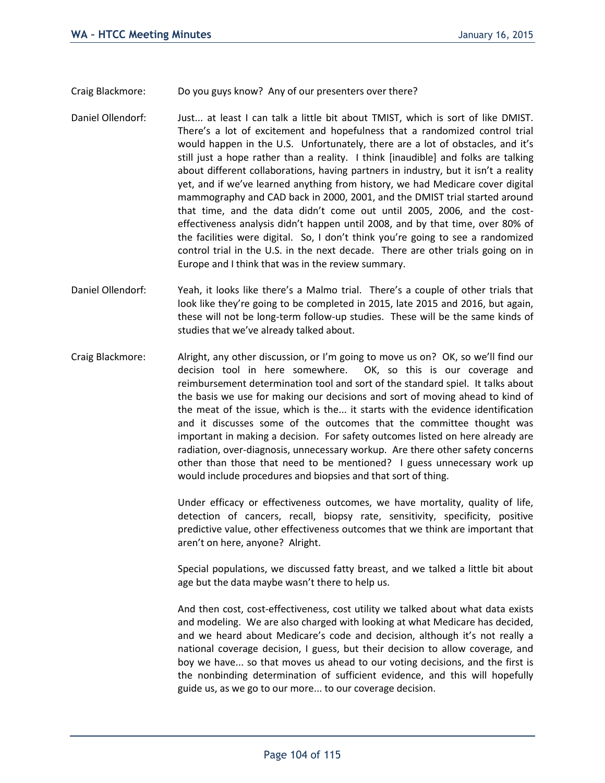Craig Blackmore: Do you guys know? Any of our presenters over there?

- Daniel Ollendorf: Just... at least I can talk a little bit about TMIST, which is sort of like DMIST. There's a lot of excitement and hopefulness that a randomized control trial would happen in the U.S. Unfortunately, there are a lot of obstacles, and it's still just a hope rather than a reality. I think [inaudible] and folks are talking about different collaborations, having partners in industry, but it isn't a reality yet, and if we've learned anything from history, we had Medicare cover digital mammography and CAD back in 2000, 2001, and the DMIST trial started around that time, and the data didn't come out until 2005, 2006, and the costeffectiveness analysis didn't happen until 2008, and by that time, over 80% of the facilities were digital. So, I don't think you're going to see a randomized control trial in the U.S. in the next decade. There are other trials going on in Europe and I think that was in the review summary.
- Daniel Ollendorf: Yeah, it looks like there's a Malmo trial. There's a couple of other trials that look like they're going to be completed in 2015, late 2015 and 2016, but again, these will not be long-term follow-up studies. These will be the same kinds of studies that we've already talked about.
- Craig Blackmore: Alright, any other discussion, or I'm going to move us on? OK, so we'll find our decision tool in here somewhere. OK, so this is our coverage and reimbursement determination tool and sort of the standard spiel. It talks about the basis we use for making our decisions and sort of moving ahead to kind of the meat of the issue, which is the... it starts with the evidence identification and it discusses some of the outcomes that the committee thought was important in making a decision. For safety outcomes listed on here already are radiation, over-diagnosis, unnecessary workup. Are there other safety concerns other than those that need to be mentioned? I guess unnecessary work up would include procedures and biopsies and that sort of thing.

Under efficacy or effectiveness outcomes, we have mortality, quality of life, detection of cancers, recall, biopsy rate, sensitivity, specificity, positive predictive value, other effectiveness outcomes that we think are important that aren't on here, anyone? Alright.

Special populations, we discussed fatty breast, and we talked a little bit about age but the data maybe wasn't there to help us.

And then cost, cost-effectiveness, cost utility we talked about what data exists and modeling. We are also charged with looking at what Medicare has decided, and we heard about Medicare's code and decision, although it's not really a national coverage decision, I guess, but their decision to allow coverage, and boy we have... so that moves us ahead to our voting decisions, and the first is the nonbinding determination of sufficient evidence, and this will hopefully guide us, as we go to our more... to our coverage decision.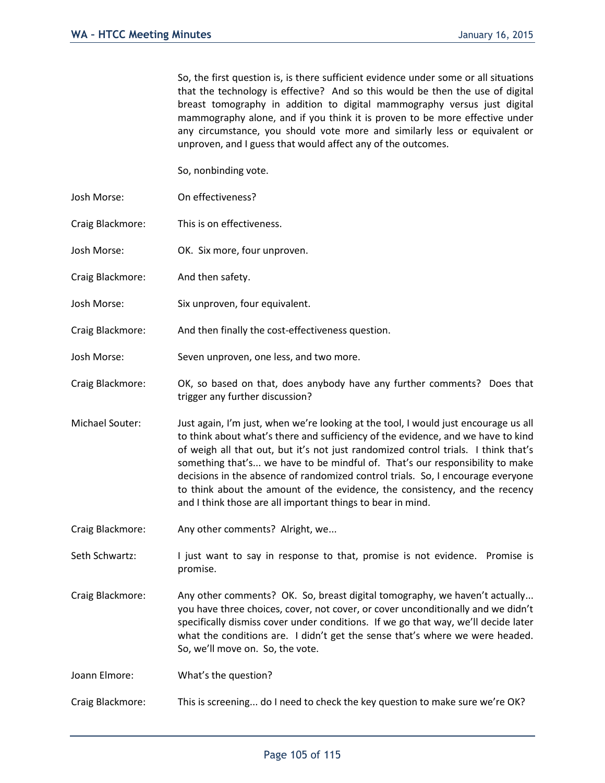So, the first question is, is there sufficient evidence under some or all situations that the technology is effective? And so this would be then the use of digital breast tomography in addition to digital mammography versus just digital mammography alone, and if you think it is proven to be more effective under any circumstance, you should vote more and similarly less or equivalent or unproven, and I guess that would affect any of the outcomes.

So, nonbinding vote.

- Josh Morse: On effectiveness?
- Craig Blackmore: This is on effectiveness.
- Josh Morse: OK. Six more, four unproven.
- Craig Blackmore: And then safety.
- Josh Morse: Six unproven, four equivalent.
- Craig Blackmore: And then finally the cost-effectiveness question.
- Josh Morse: Seven unproven, one less, and two more.
- Craig Blackmore: OK, so based on that, does anybody have any further comments? Does that trigger any further discussion?
- Michael Souter: Just again, I'm just, when we're looking at the tool, I would just encourage us all to think about what's there and sufficiency of the evidence, and we have to kind of weigh all that out, but it's not just randomized control trials. I think that's something that's... we have to be mindful of. That's our responsibility to make decisions in the absence of randomized control trials. So, I encourage everyone to think about the amount of the evidence, the consistency, and the recency and I think those are all important things to bear in mind.
- Craig Blackmore: Any other comments? Alright, we...
- Seth Schwartz: I just want to say in response to that, promise is not evidence. Promise is promise.
- Craig Blackmore: Any other comments? OK. So, breast digital tomography, we haven't actually... you have three choices, cover, not cover, or cover unconditionally and we didn't specifically dismiss cover under conditions. If we go that way, we'll decide later what the conditions are. I didn't get the sense that's where we were headed. So, we'll move on. So, the vote.
- Joann Elmore: What's the question?
- Craig Blackmore: This is screening... do I need to check the key question to make sure we're OK?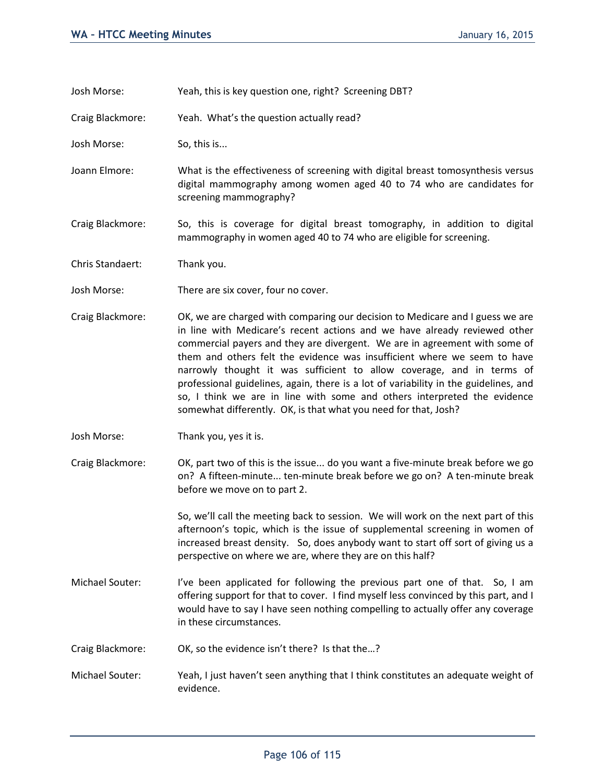- Josh Morse: Yeah, this is key question one, right? Screening DBT?
- Craig Blackmore: Yeah. What's the question actually read?

Josh Morse: So, this is...

- Joann Elmore: What is the effectiveness of screening with digital breast tomosynthesis versus digital mammography among women aged 40 to 74 who are candidates for screening mammography?
- Craig Blackmore: So, this is coverage for digital breast tomography, in addition to digital mammography in women aged 40 to 74 who are eligible for screening.
- Chris Standaert: Thank you.
- Josh Morse: There are six cover, four no cover.
- Craig Blackmore: OK, we are charged with comparing our decision to Medicare and I guess we are in line with Medicare's recent actions and we have already reviewed other commercial payers and they are divergent. We are in agreement with some of them and others felt the evidence was insufficient where we seem to have narrowly thought it was sufficient to allow coverage, and in terms of professional guidelines, again, there is a lot of variability in the guidelines, and so, I think we are in line with some and others interpreted the evidence somewhat differently. OK, is that what you need for that, Josh?
- Josh Morse: Thank you, yes it is.
- Craig Blackmore: OK, part two of this is the issue... do you want a five-minute break before we go on? A fifteen-minute... ten-minute break before we go on? A ten-minute break before we move on to part 2.

So, we'll call the meeting back to session. We will work on the next part of this afternoon's topic, which is the issue of supplemental screening in women of increased breast density. So, does anybody want to start off sort of giving us a perspective on where we are, where they are on this half?

- Michael Souter: I've been applicated for following the previous part one of that. So, I am offering support for that to cover. I find myself less convinced by this part, and I would have to say I have seen nothing compelling to actually offer any coverage in these circumstances.
- Craig Blackmore: OK, so the evidence isn't there? Is that the…?
- Michael Souter: Yeah, I just haven't seen anything that I think constitutes an adequate weight of evidence.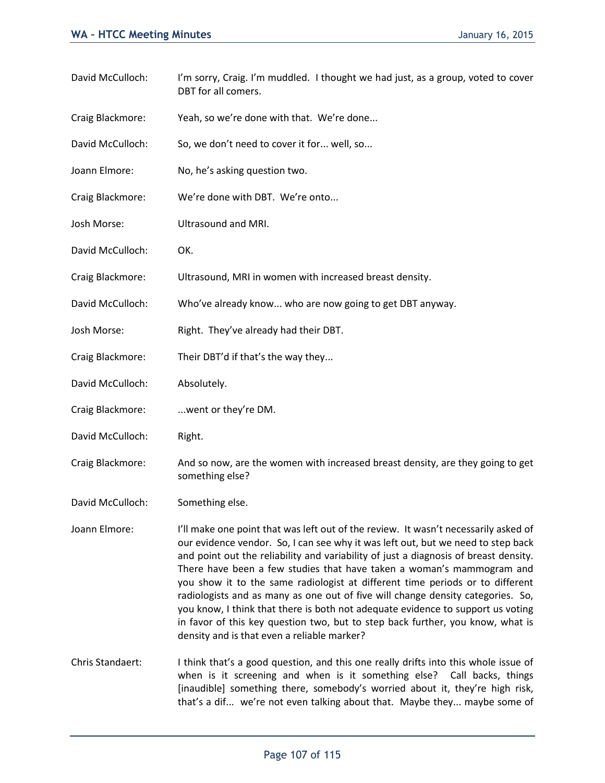David McCulloch: I'm sorry, Craig. I'm muddled. I thought we had just, as a group, voted to cover DBT for all comers. Craig Blackmore: Yeah, so we're done with that. We're done... David McCulloch: So, we don't need to cover it for... well, so... Joann Elmore: No, he's asking question two. Craig Blackmore: We're done with DBT. We're onto... Josh Morse: Ultrasound and MRI. David McCulloch: OK. Craig Blackmore: Ultrasound, MRI in women with increased breast density. David McCulloch: Who've already know... who are now going to get DBT anyway. Josh Morse: Right. They've already had their DBT. Craig Blackmore: Their DBT'd if that's the way they... David McCulloch: Absolutely. Craig Blackmore: ...went or they're DM. David McCulloch: Right. Craig Blackmore: And so now, are the women with increased breast density, are they going to get something else? David McCulloch: Something else. Joann Elmore: I'll make one point that was left out of the review. It wasn't necessarily asked of our evidence vendor. So, I can see why it was left out, but we need to step back and point out the reliability and variability of just a diagnosis of breast density. There have been a few studies that have taken a woman's mammogram and you show it to the same radiologist at different time periods or to different radiologists and as many as one out of five will change density categories. So, you know, I think that there is both not adequate evidence to support us voting in favor of this key question two, but to step back further, you know, what is density and is that even a reliable marker? Chris Standaert: I think that's a good question, and this one really drifts into this whole issue of when is it screening and when is it something else? Call backs, things [inaudible] something there, somebody's worried about it, they're high risk, that's a dif... we're not even talking about that. Maybe they... maybe some of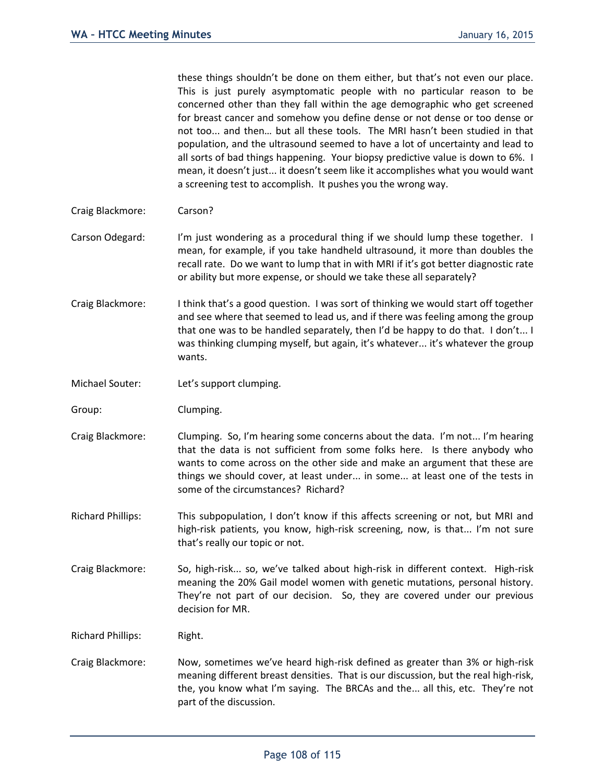these things shouldn't be done on them either, but that's not even our place. This is just purely asymptomatic people with no particular reason to be concerned other than they fall within the age demographic who get screened for breast cancer and somehow you define dense or not dense or too dense or not too... and then… but all these tools. The MRI hasn't been studied in that population, and the ultrasound seemed to have a lot of uncertainty and lead to all sorts of bad things happening. Your biopsy predictive value is down to 6%. I mean, it doesn't just... it doesn't seem like it accomplishes what you would want a screening test to accomplish. It pushes you the wrong way.

- Craig Blackmore: Carson?
- Carson Odegard: I'm just wondering as a procedural thing if we should lump these together. I mean, for example, if you take handheld ultrasound, it more than doubles the recall rate. Do we want to lump that in with MRI if it's got better diagnostic rate or ability but more expense, or should we take these all separately?
- Craig Blackmore: I think that's a good question. I was sort of thinking we would start off together and see where that seemed to lead us, and if there was feeling among the group that one was to be handled separately, then I'd be happy to do that. I don't... I was thinking clumping myself, but again, it's whatever... it's whatever the group wants.
- Michael Souter: Let's support clumping.
- Group: Clumping.
- Craig Blackmore: Clumping. So, I'm hearing some concerns about the data. I'm not... I'm hearing that the data is not sufficient from some folks here. Is there anybody who wants to come across on the other side and make an argument that these are things we should cover, at least under... in some... at least one of the tests in some of the circumstances? Richard?
- Richard Phillips: This subpopulation, I don't know if this affects screening or not, but MRI and high-risk patients, you know, high-risk screening, now, is that... I'm not sure that's really our topic or not.
- Craig Blackmore: So, high-risk... so, we've talked about high-risk in different context. High-risk meaning the 20% Gail model women with genetic mutations, personal history. They're not part of our decision. So, they are covered under our previous decision for MR.

Richard Phillips: Right.

Craig Blackmore: Now, sometimes we've heard high-risk defined as greater than 3% or high-risk meaning different breast densities. That is our discussion, but the real high-risk, the, you know what I'm saying. The BRCAs and the... all this, etc. They're not part of the discussion.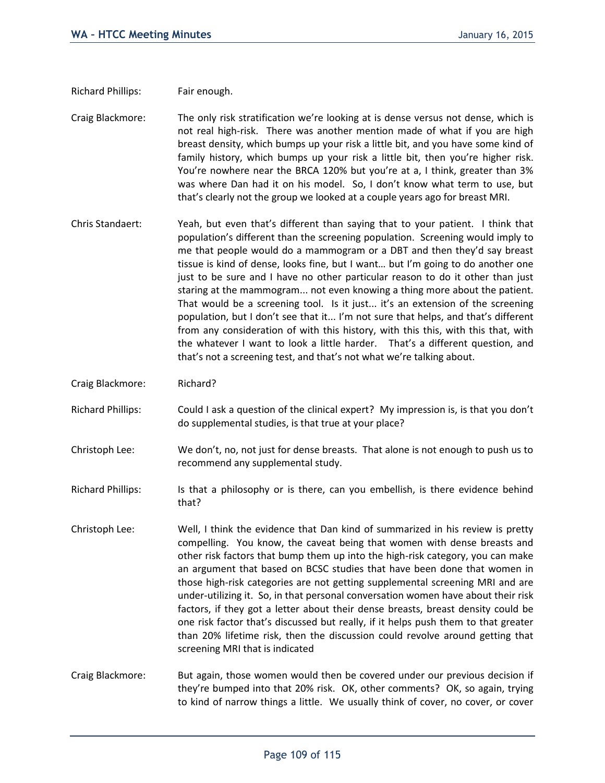Richard Phillips: Fair enough.

Craig Blackmore: The only risk stratification we're looking at is dense versus not dense, which is not real high-risk. There was another mention made of what if you are high breast density, which bumps up your risk a little bit, and you have some kind of family history, which bumps up your risk a little bit, then you're higher risk. You're nowhere near the BRCA 120% but you're at a, I think, greater than 3% was where Dan had it on his model. So, I don't know what term to use, but that's clearly not the group we looked at a couple years ago for breast MRI.

- Chris Standaert: Yeah, but even that's different than saying that to your patient. I think that population's different than the screening population. Screening would imply to me that people would do a mammogram or a DBT and then they'd say breast tissue is kind of dense, looks fine, but I want… but I'm going to do another one just to be sure and I have no other particular reason to do it other than just staring at the mammogram... not even knowing a thing more about the patient. That would be a screening tool. Is it just... it's an extension of the screening population, but I don't see that it... I'm not sure that helps, and that's different from any consideration of with this history, with this this, with this that, with the whatever I want to look a little harder. That's a different question, and that's not a screening test, and that's not what we're talking about.
- Craig Blackmore: Richard?
- Richard Phillips: Could I ask a question of the clinical expert? My impression is, is that you don't do supplemental studies, is that true at your place?
- Christoph Lee: We don't, no, not just for dense breasts. That alone is not enough to push us to recommend any supplemental study.
- Richard Phillips: Is that a philosophy or is there, can you embellish, is there evidence behind that?
- Christoph Lee: Well, I think the evidence that Dan kind of summarized in his review is pretty compelling. You know, the caveat being that women with dense breasts and other risk factors that bump them up into the high-risk category, you can make an argument that based on BCSC studies that have been done that women in those high-risk categories are not getting supplemental screening MRI and are under-utilizing it. So, in that personal conversation women have about their risk factors, if they got a letter about their dense breasts, breast density could be one risk factor that's discussed but really, if it helps push them to that greater than 20% lifetime risk, then the discussion could revolve around getting that screening MRI that is indicated
- Craig Blackmore: But again, those women would then be covered under our previous decision if they're bumped into that 20% risk. OK, other comments? OK, so again, trying to kind of narrow things a little. We usually think of cover, no cover, or cover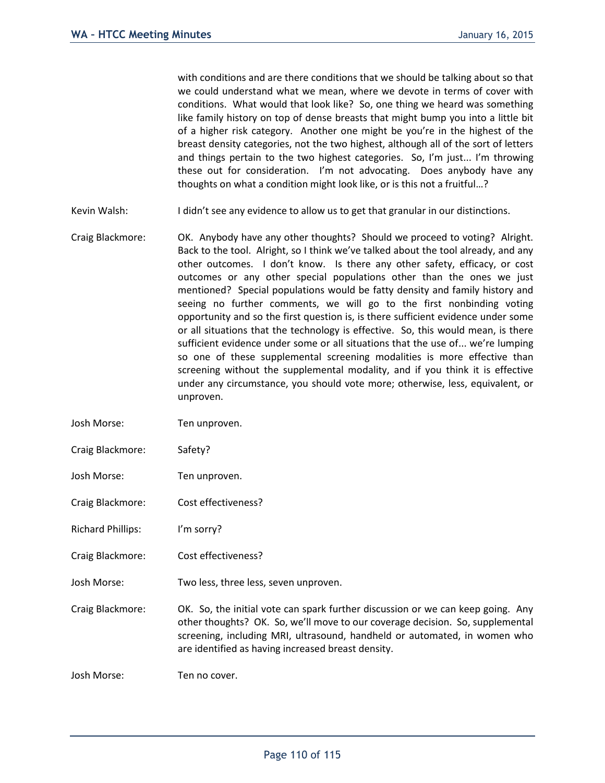with conditions and are there conditions that we should be talking about so that we could understand what we mean, where we devote in terms of cover with conditions. What would that look like? So, one thing we heard was something like family history on top of dense breasts that might bump you into a little bit of a higher risk category. Another one might be you're in the highest of the breast density categories, not the two highest, although all of the sort of letters and things pertain to the two highest categories. So, I'm just... I'm throwing these out for consideration. I'm not advocating. Does anybody have any thoughts on what a condition might look like, or is this not a fruitful…?

- Kevin Walsh: I didn't see any evidence to allow us to get that granular in our distinctions.
- Craig Blackmore: OK. Anybody have any other thoughts? Should we proceed to voting? Alright. Back to the tool. Alright, so I think we've talked about the tool already, and any other outcomes. I don't know. Is there any other safety, efficacy, or cost outcomes or any other special populations other than the ones we just mentioned? Special populations would be fatty density and family history and seeing no further comments, we will go to the first nonbinding voting opportunity and so the first question is, is there sufficient evidence under some or all situations that the technology is effective. So, this would mean, is there sufficient evidence under some or all situations that the use of... we're lumping so one of these supplemental screening modalities is more effective than screening without the supplemental modality, and if you think it is effective under any circumstance, you should vote more; otherwise, less, equivalent, or unproven.

Josh Morse: Ten unproven.

- Craig Blackmore: Safety?
- Josh Morse: Ten unproven.
- Craig Blackmore: Cost effectiveness?
- Richard Phillips: I'm sorry?
- Craig Blackmore: Cost effectiveness?
- Josh Morse: Two less, three less, seven unproven.
- Craig Blackmore: OK. So, the initial vote can spark further discussion or we can keep going. Any other thoughts? OK. So, we'll move to our coverage decision. So, supplemental screening, including MRI, ultrasound, handheld or automated, in women who are identified as having increased breast density.

Josh Morse: Ten no cover.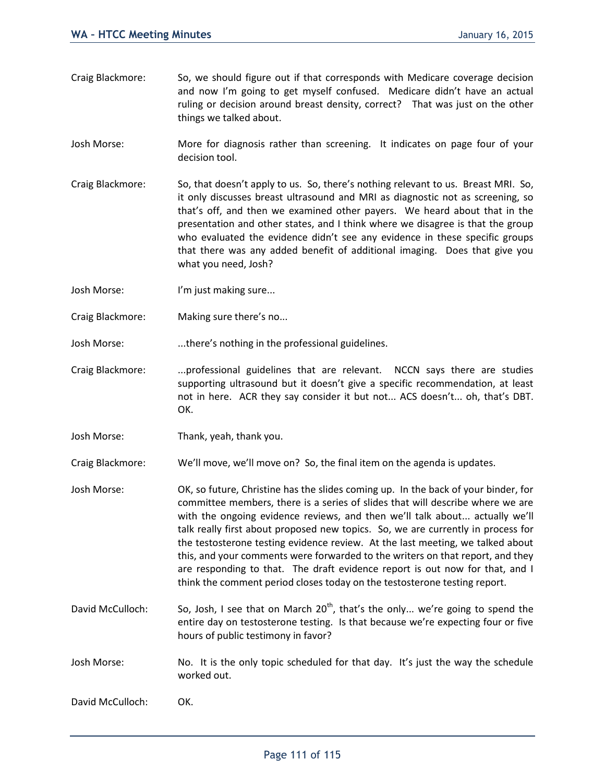- Craig Blackmore: So, we should figure out if that corresponds with Medicare coverage decision and now I'm going to get myself confused. Medicare didn't have an actual ruling or decision around breast density, correct? That was just on the other things we talked about.
- Josh Morse: More for diagnosis rather than screening. It indicates on page four of your decision tool.
- Craig Blackmore: So, that doesn't apply to us. So, there's nothing relevant to us. Breast MRI. So, it only discusses breast ultrasound and MRI as diagnostic not as screening, so that's off, and then we examined other payers. We heard about that in the presentation and other states, and I think where we disagree is that the group who evaluated the evidence didn't see any evidence in these specific groups that there was any added benefit of additional imaging. Does that give you what you need, Josh?
- Josh Morse: I'm just making sure...
- Craig Blackmore: Making sure there's no...
- Josh Morse: ...there's nothing in the professional guidelines.
- Craig Blackmore: ...professional guidelines that are relevant. NCCN says there are studies supporting ultrasound but it doesn't give a specific recommendation, at least not in here. ACR they say consider it but not... ACS doesn't... oh, that's DBT. OK.
- Josh Morse: Thank, yeah, thank you.

Craig Blackmore: We'll move, we'll move on? So, the final item on the agenda is updates.

- Josh Morse: OK, so future, Christine has the slides coming up. In the back of your binder, for committee members, there is a series of slides that will describe where we are with the ongoing evidence reviews, and then we'll talk about... actually we'll talk really first about proposed new topics. So, we are currently in process for the testosterone testing evidence review. At the last meeting, we talked about this, and your comments were forwarded to the writers on that report, and they are responding to that. The draft evidence report is out now for that, and I think the comment period closes today on the testosterone testing report.
- David McCulloch: So, Josh, I see that on March  $20<sup>th</sup>$ , that's the only... we're going to spend the entire day on testosterone testing. Is that because we're expecting four or five hours of public testimony in favor?
- Josh Morse: No. It is the only topic scheduled for that day. It's just the way the schedule worked out.

David McCulloch: OK.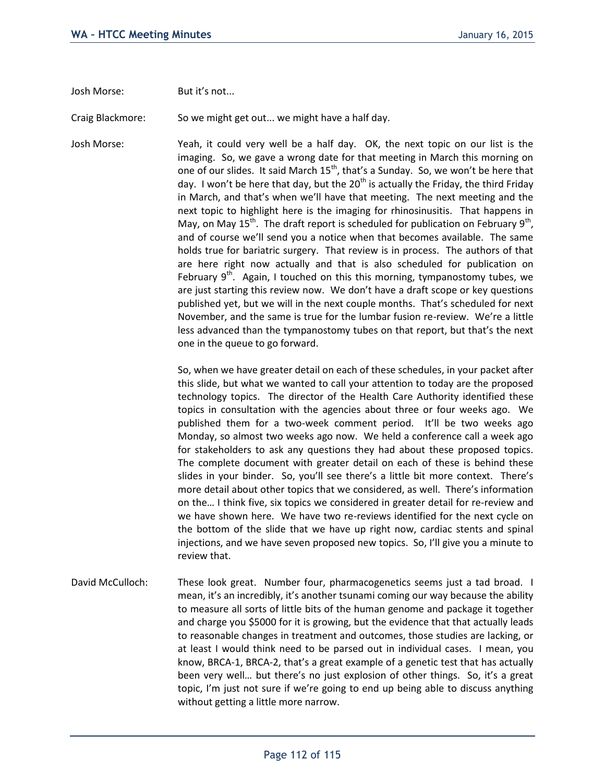Josh Morse: But it's not...

Craig Blackmore: So we might get out... we might have a half day.

Josh Morse: Yeah, it could very well be a half day. OK, the next topic on our list is the imaging. So, we gave a wrong date for that meeting in March this morning on one of our slides. It said March 15<sup>th</sup>, that's a Sunday. So, we won't be here that day. I won't be here that day, but the  $20<sup>th</sup>$  is actually the Friday, the third Friday in March, and that's when we'll have that meeting. The next meeting and the next topic to highlight here is the imaging for rhinosinusitis. That happens in May, on May 15<sup>th</sup>. The draft report is scheduled for publication on February 9<sup>th</sup>, and of course we'll send you a notice when that becomes available. The same holds true for bariatric surgery. That review is in process. The authors of that are here right now actually and that is also scheduled for publication on February  $9<sup>th</sup>$ . Again, I touched on this this morning, tympanostomy tubes, we are just starting this review now. We don't have a draft scope or key questions published yet, but we will in the next couple months. That's scheduled for next November, and the same is true for the lumbar fusion re-review. We're a little less advanced than the tympanostomy tubes on that report, but that's the next one in the queue to go forward.

> So, when we have greater detail on each of these schedules, in your packet after this slide, but what we wanted to call your attention to today are the proposed technology topics. The director of the Health Care Authority identified these topics in consultation with the agencies about three or four weeks ago. We published them for a two-week comment period. It'll be two weeks ago Monday, so almost two weeks ago now. We held a conference call a week ago for stakeholders to ask any questions they had about these proposed topics. The complete document with greater detail on each of these is behind these slides in your binder. So, you'll see there's a little bit more context. There's more detail about other topics that we considered, as well. There's information on the… I think five, six topics we considered in greater detail for re-review and we have shown here. We have two re-reviews identified for the next cycle on the bottom of the slide that we have up right now, cardiac stents and spinal injections, and we have seven proposed new topics. So, I'll give you a minute to review that.

David McCulloch: These look great. Number four, pharmacogenetics seems just a tad broad. I mean, it's an incredibly, it's another tsunami coming our way because the ability to measure all sorts of little bits of the human genome and package it together and charge you \$5000 for it is growing, but the evidence that that actually leads to reasonable changes in treatment and outcomes, those studies are lacking, or at least I would think need to be parsed out in individual cases. I mean, you know, BRCA-1, BRCA-2, that's a great example of a genetic test that has actually been very well… but there's no just explosion of other things. So, it's a great topic, I'm just not sure if we're going to end up being able to discuss anything without getting a little more narrow.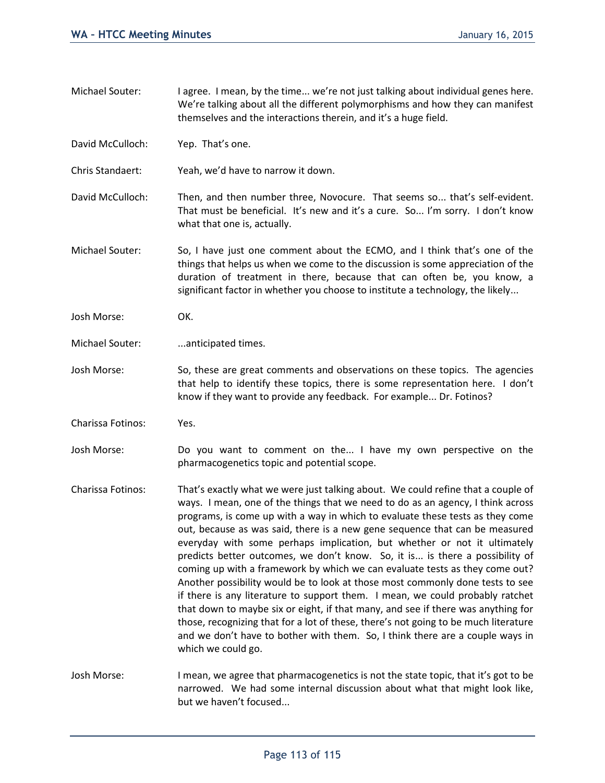- Michael Souter: I agree. I mean, by the time... we're not just talking about individual genes here. We're talking about all the different polymorphisms and how they can manifest themselves and the interactions therein, and it's a huge field.
- David McCulloch: Yep. That's one.
- Chris Standaert: Yeah, we'd have to narrow it down.
- David McCulloch: Then, and then number three, Novocure. That seems so... that's self-evident. That must be beneficial. It's new and it's a cure. So... I'm sorry. I don't know what that one is, actually.
- Michael Souter: So, I have just one comment about the ECMO, and I think that's one of the things that helps us when we come to the discussion is some appreciation of the duration of treatment in there, because that can often be, you know, a significant factor in whether you choose to institute a technology, the likely...
- Josh Morse: OK.
- Michael Souter: ...anticipated times.
- Josh Morse: So, these are great comments and observations on these topics. The agencies that help to identify these topics, there is some representation here. I don't know if they want to provide any feedback. For example... Dr. Fotinos?
- Charissa Fotinos: Yes.
- Josh Morse: Do you want to comment on the... I have my own perspective on the pharmacogenetics topic and potential scope.
- Charissa Fotinos: That's exactly what we were just talking about. We could refine that a couple of ways. I mean, one of the things that we need to do as an agency, I think across programs, is come up with a way in which to evaluate these tests as they come out, because as was said, there is a new gene sequence that can be measured everyday with some perhaps implication, but whether or not it ultimately predicts better outcomes, we don't know. So, it is... is there a possibility of coming up with a framework by which we can evaluate tests as they come out? Another possibility would be to look at those most commonly done tests to see if there is any literature to support them. I mean, we could probably ratchet that down to maybe six or eight, if that many, and see if there was anything for those, recognizing that for a lot of these, there's not going to be much literature and we don't have to bother with them. So, I think there are a couple ways in which we could go.
- Josh Morse: I mean, we agree that pharmacogenetics is not the state topic, that it's got to be narrowed. We had some internal discussion about what that might look like, but we haven't focused...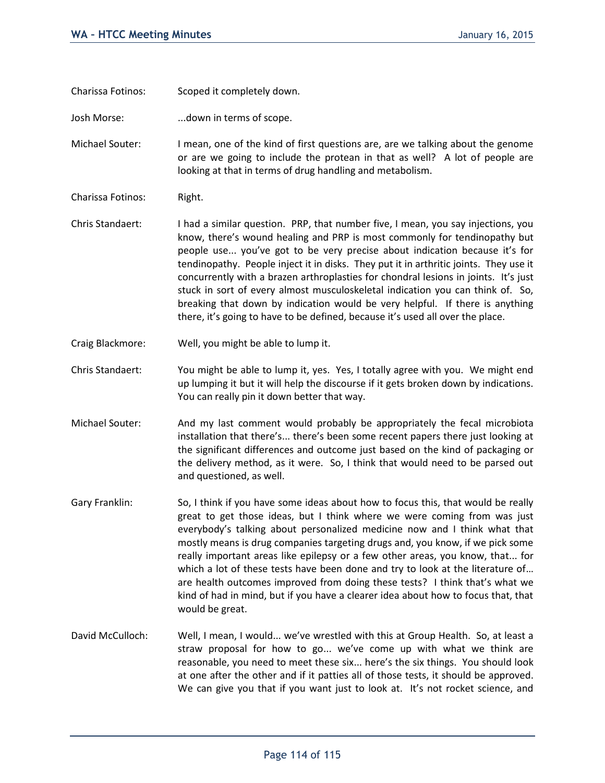Charissa Fotinos: Scoped it completely down.

Josh Morse: ...down in terms of scope.

Michael Souter: I mean, one of the kind of first questions are, are we talking about the genome or are we going to include the protean in that as well? A lot of people are looking at that in terms of drug handling and metabolism.

- Charissa Fotinos: Right.
- Chris Standaert: I had a similar question. PRP, that number five, I mean, you say injections, you know, there's wound healing and PRP is most commonly for tendinopathy but people use... you've got to be very precise about indication because it's for tendinopathy. People inject it in disks. They put it in arthritic joints. They use it concurrently with a brazen arthroplasties for chondral lesions in joints. It's just stuck in sort of every almost musculoskeletal indication you can think of. So, breaking that down by indication would be very helpful. If there is anything there, it's going to have to be defined, because it's used all over the place.
- Craig Blackmore: Well, you might be able to lump it.
- Chris Standaert: You might be able to lump it, yes. Yes, I totally agree with you. We might end up lumping it but it will help the discourse if it gets broken down by indications. You can really pin it down better that way.
- Michael Souter: And my last comment would probably be appropriately the fecal microbiota installation that there's... there's been some recent papers there just looking at the significant differences and outcome just based on the kind of packaging or the delivery method, as it were. So, I think that would need to be parsed out and questioned, as well.
- Gary Franklin: So, I think if you have some ideas about how to focus this, that would be really great to get those ideas, but I think where we were coming from was just everybody's talking about personalized medicine now and I think what that mostly means is drug companies targeting drugs and, you know, if we pick some really important areas like epilepsy or a few other areas, you know, that... for which a lot of these tests have been done and try to look at the literature of... are health outcomes improved from doing these tests? I think that's what we kind of had in mind, but if you have a clearer idea about how to focus that, that would be great.
- David McCulloch: Well, I mean, I would... we've wrestled with this at Group Health. So, at least a straw proposal for how to go... we've come up with what we think are reasonable, you need to meet these six... here's the six things. You should look at one after the other and if it patties all of those tests, it should be approved. We can give you that if you want just to look at. It's not rocket science, and